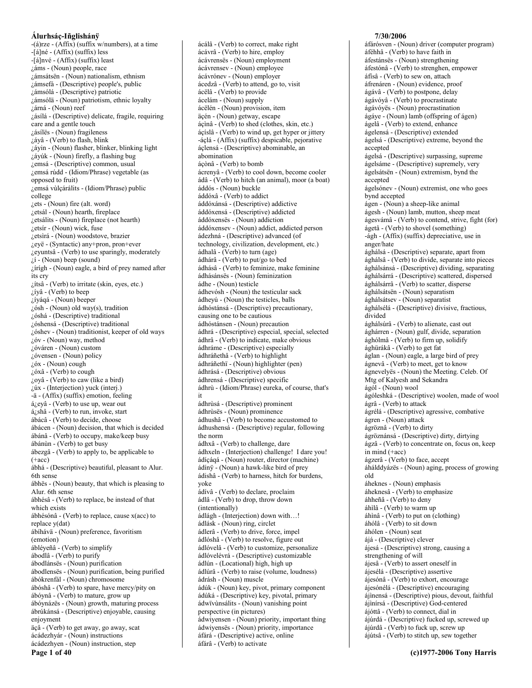$-(a)$ rze - (Affix) (suffix w/numbers), at a time -[á]né - (Affix) (suffix) less  $-[a]nv \acute{e} - (Affix)$  (suffix) least ¿áms - (Noun) people, race zámsátsën - (Noun) nationalism, ethnism ¿ámsefá - (Descriptive) people's, public ¿ámsólá - (Descriptive) patriotic ¿ámsólä - (Noun) patriotism, ethnic loyalty ¿árná - (Noun) reef ¿ásílá - (Descriptive) delicate, fragile, requiring care and a gentle touch ¿ásílës - (Noun) fragileness  $i$ áyâ - (Verb) to flash, blink ¿áyin - (Noun) flasher, blinker, blinking light ¿áyúk - (Noun) firefly, a flashing bug zemsá - (Descriptive) common, usual ¿emsá rúdd - (Idiom/Phrase) vegetable (as opposed to fruit) ¿emsá vùlcárálits - (Idiom/Phrase) public college ¿ets - (Noun) fire (alt. word) ¿etsál - (Noun) hearth, fireplace ¿etsálits - (Noun) fireplace (not hearth)  $i$ etsír - (Noun) wick, fuse ¿etsìrá - (Noun) woodstove, brazier ¿eyë - (Syntactic) any+pron, pron+ever ¿eyuntsâ - (Verb) to use sparingly, moderately  $\lambda$ i - (Noun) beep (sound) ¿írígh - (Noun) eagle, a bird of prey named after its cry ¿ítsâ - (Verb) to irritate (skin, eyes, etc.) ¿íyâ - (Verb) to beep ¿íyáqá - (Noun) beeper  $\zeta$ ósh - (Noun) old way(s), tradition ¿óshá - (Descriptive) traditional ¿óshensá - (Descriptive) traditional ¿óshev - (Noun) traditionist, keeper of old ways  $i$ óv - (Noun) way, method ¿óváren - (Noun) custom  $i$ óvensen - (Noun) policy ¿óx - (Noun) cough  $i$ óxâ - (Verb) to cough ¿oyâ - (Verb) to caw (like a bird) ¿úx - (Interjection) yuck (interj.) -ä - (Affix) (suffix) emotion, feeling  $á_{\ell}$ evâ - (Verb) to use up, wear out á¿shâ - (Verb) to run, invoke, start ábácâ - (Verb) to decide, choose ábácen - (Noun) decision, that which is decided ábánâ - (Verb) to occupy, make/keep busy ábánùn - (Verb) to get busy ábezgâ - (Verb) to apply to, be applicable to  $(+acc)$ ábhá - (Descriptive) beautiful, pleasant to Alur. 6th sense ábhës - (Noun) beauty, that which is pleasing to Alur. 6th sense ábhésâ - (Verb) to replace, be instead of that which exists ábhésónâ - (Verb) to replace, cause x(acc) to replace y(dat) ábíhávä - (Noun) preference, favoritism (emotion) ábléyeñâ - (Verb) to simplify ábodlâ - (Verb) to purify ábodlánsës - (Noun) purification ábodlensës - (Noun) purification, being purified ábókrenfál - (Noun) chromosome ábóshâ - (Verb) to spare, have mercy/pity on ábóynâ - (Verb) to mature, grow up ábóynázës - (Noun) growth, maturing process ábrúkánsá - (Descriptive) enjoyable, causing enjoyment äçâ - (Verb) to get away, go away, scat ácádezhyár - (Noun) instructions ácádezhyen - (Noun) instruction, step

Page 1 of 40

ácálâ - (Verb) to correct, make right ácávrâ - (Verb) to hire, employ ácávrensës - (Noun) employment ácávrensev - (Noun) employee ácávrónev - (Noun) employer ácedzâ - (Verb) to attend, go to, visit ácëlâ - (Verb) to provide ácelám - (Noun) supply ácëlén - (Noun) provision, item äçén - (Noun) getway, escape áçìnâ - (Verb) to shed (clothes, skin, etc.) áçíslâ - (Verb) to wind up, get hyper or jittery -áçlá - (Affix) (suffix) despicable, pejorative áçlensá - (Descriptive) abominable, an abomination áçònâ - (Verb) to bomb ácrenyâ - (Verb) to cool down, become cooler ádâ - (Verb) to hitch (an animal), moor (a boat) áddós - (Noun) buckle áddóxâ - (Verb) to addict áddóxánsá - (Descriptive) addictive áddóxensá - (Descriptive) addicted áddóxensës - (Noun) addiction áddóxensev - (Noun) addict, addicted person ádezhná - (Descriptive) advanced (of technology, civilization, development, etc.) ádhalâ - (Verb) to turn (age) ádhárâ - (Verb) to put/go to bed ádhásâ - (Verb) to feminize, make feminine ádhásánsës - (Noun) feminization ádhe - (Noun) testicle ádhevósh - (Noun) the testicular sack ádheyú - (Noun) the testicles, balls ádhóstánsá - (Descriptive) precautionary, causing one to be cautious ádhóstánsen - (Noun) precaution ádhrá - (Descriptive) especial, special, selected ádhrâ - (Verb) to indicate, make obvious ádhráme - (Descriptive) especially ádhráñethâ - (Verb) to highlight ádhráñethï - (Noun) highlighter (pen) ádhrásá - (Descriptive) obvious ádhrensá - (Descriptive) specific ádhrù - (Idiom/Phrase) eureka, of course, that's it ádhrùsá - (Descriptive) prominent ádhrùsës - (Noun) prominence ádhushâ - (Verb) to become accustomed to ádhushensá - (Descriptive) regular, following the norm ádhxâ - (Verb) to challenge, dare ádhxeln - (Interjection) challenge! I dare you! ádícáqá - (Noun) router, director (machine) ádíny - (Noun) a hawk-like bird of prey ádishâ - (Verb) to harness, hitch for burdens, yoke ádívâ - (Verb) to declare, proclaim ádlâ - (Verb) to drop, throw down (intentionally) ádlágh - (Interjection) down with...! ádlásk - (Noun) ring, circlet ádlerâ - (Verb) to drive, force, impel ádlóshâ - (Verb) to resolve, figure out ádlóvelâ - (Verb) to customize, personalize ádlóvelévrá - (Descriptive) customizable ádlún - (Locational) high, high up ádlúrâ - (Verb) to raise (volume, loudness) ádrásh - (Noun) muscle ádúk - (Noun) key, pivot, primary component ádúká - (Descriptive) key, pivotal, primary ádwïvùnsálits - (Noun) vanishing point perspective (in pictures) ádwiyensen - (Noun) priority, important thing ádwiyensës - (Noun) priority, importance áfárá - (Descriptive) active, online

áfárâ - (Verb) to activate

#### 7/30/2006

áfárósven - (Noun) driver (computer program) áféhhâ - (Verb) to have faith in áfestánsës - (Noun) strengthening áfestónâ - (Verb) to strenghen, empower áfísâ - (Verb) to sew on, attach áfrenáren - (Noun) evidence, proof ágávâ - (Verb) to postpone, delay ágávóyâ - (Verb) to procrastinate ágávóyës - (Noun) procrastination ágáye - (Noun) lamb (offspring of ágen) ágelâ - (Verb) to extend, enhance ágelensá - (Descriptive) extended ágelsá - (Descriptive) extreme, beyond the accepted ágelsá - (Descriptive) surpassing, supreme ágelsáme - (Descriptive) supremely, very ágelsátsën - (Noun) extremism, bynd the accented ágelsónev - (Noun) extremist, one who goes bynd accepted ágen - (Noun) a sheep-like animal ágesh - (Noun) lamb, mutton, sheep meat ágesvámâ - (Verb) to contend, strive, fight (for) ágetâ - (Verb) to shovel (something) -ágh - (Affix) (suffix) depreciative, use in anger/hate ághálsá - (Descriptive) separate, apart from ághálsâ - (Verb) to divide, separate into pieces ághálsánsá - (Descriptive) dividing, separating ághálsárrá - (Descriptive) scattered, dispersed ághálsárrâ - (Verb) to scatter, disperse ághálsátsën - (Noun) separatism ághálsátsev - (Noun) separatist ághálsélá - (Descriptive) divisive, fractious, divided ághálsúrâ - (Verb) to alienate, cast out ághárren - (Noun) gulf, divide, separation ághólmâ - (Verb) to firm up, solidify ághürákâ - (Verb) to get fat áglan - (Noun) eagle, a large bird of prey ágnevâ - (Verb) to meet, get to know ágnevelyës - (Noun) the Meeting. Celeb. Of Mtg of Kalyesh and Sekandra ágól - (Noun) wool ágóleshká - (Descriptive) woolen, made of wool ágrâ - (Verb) to attack ágrélá - (Descriptive) agressive, combative ágren - (Noun) attack ágröznâ - (Verb) to dirty ágröznánsá - (Descriptive) dirty, dirtying ágzâ - (Verb) to concentrate on, focus on, keep in mind  $(+acc)$ ágzerâ - (Verb) to face, accent áhálddyázës - (Noun) aging, process of growing old áheknes - (Noun) emphasis áheknesâ - (Verb) to emphasize áhheñâ - (Verb) to deny áhilâ - (Verb) to warm up áhìnâ - (Verb) to put on (clothing) áhólâ - (Verb) to sit down áhólen - (Noun) seat ájá - (Descriptive) clever ájesá - (Descriptive) strong, causing a strengthening of will ájesâ - (Verb) to assert oneself in ájesélá - (Descriptive) assertive ájesónâ - (Verb) to exhort, encourage ájesónélá - (Descriptive) encouraging ájinensá - (Descriptive) pious, devout, faithful ájinírsá - (Descriptive) God-centered ájóttâ - (Verb) to connect, dial in ájúrdá - (Descriptive) fucked up, screwed up ájúrdâ - (Verb) to fuck up, screw up ájútsâ - (Verb) to stitch up, sew together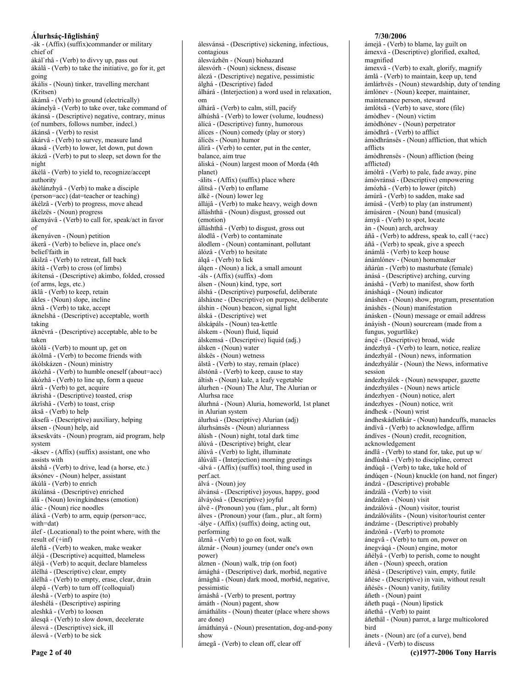-ák - (Affix) (suffix)commander or military chief of ákál'rhâ - (Verb) to divvy up, pass out ákálâ - (Verb) to take the initiative, go for it, get going ákális - (Noun) tinker, travelling merchant (Kritsen) ákámâ - (Verb) to ground (electrically) ákánelyâ - (Verb) to take over, take command of ákánsá - (Descriptive) negative, contrary, minus (of numbers, follows number, indeel.) ákánsâ - (Verb) to resist ákárvâ - (Verb) to survey, measure land ákasâ - (Verb) to lower, let down, put down ákázâ - (Verb) to put to sleep, set down for the night ákèlâ - (Verb) to yield to, recognize/accept authority ákèlánzhyâ - (Verb) to make a disciple (person=acc) (dat=teacher or teaching) ákélzâ - (Verb) to progress, move ahead ákélzës - (Noun) progress ákenyávâ - (Verb) to call for, speak/act in favor  $\alpha$ f ákenyáven - (Noun) petition ákerâ - (Verb) to believe in, place one's belief/faith in ákilzâ - (Verb) to retreat, fall back ákítâ - (Verb) to cross (of limbs) ákítensá - (Descriptive) akimbo, folded, crossed (of arms, legs, etc.) áklâ - (Verb) to keep, retain ákles - (Noun) slope, incline áknâ - (Verb) to take, accept áknelshá - (Descriptive) acceptable, worth taking áknévrá - (Descriptive) acceptable, able to be taken ákólâ - (Verb) to mount up, get on ákólmâ - (Verb) to become friends with ákólskázen - (Noun) ministry ákózhâ - (Verb) to humble oneself (about=acc) ákózhâ - (Verb) to line up, form a queue ákrâ - (Verb) to get, acquire ákrishá - (Descriptive) toasted, crisp ákrïshâ - (Verb) to toast, crisp áksâ - (Verb) to help áksefá - (Descriptive) auxiliary, helping áksen - (Noun) help, aid ákseskváts - (Noun) program, aid program, help system -áksev - (Affix) (suffix) assistant, one who assists with ákshâ - (Verb) to drive, lead (a horse, etc.) áksónev - (Noun) helper, assistant ákúlâ - (Verb) to enrich ákúlánsá - (Descriptive) enriched álä - (Noun) lovingkindness (emotion) álác - (Noun) rice noodles áláxâ - (Verb) to arm, equip (person=acc, with=dat) álef - (Locational) to the point where, with the result of  $(+\inf)$ áleftâ - (Verb) to weaken, make weaker áléjá - (Descriptive) acquitted, blameless áléjâ - (Verb) to acquit, declare blameless álélhá - (Descriptive) clear, empty álélhâ - (Verb) to empty, erase, clear, drain álepâ - (Verb) to turn off (colloquial) áleshâ - (Verb) to aspire (to) áleshélá - (Descriptive) aspiring aleshkâ - (Verb) to loosen álesqâ - (Verb) to slow down, decelerate álesvá - (Descriptive) sick, ill álesvâ - (Verb) to be sick

álesvánsá - (Descriptive) sickening, infectious, contagious álesvázhën - (Noun) biohazard álesvórh - (Noun) sickness, disease álezá - (Descriptive) negative, pessimistic álghá - (Descriptive) faded álhárá - (Interjection) a word used in relaxation,  $_{\text{om}}$ álhárâ - (Verb) to calm, still, pacify álhúshâ - (Verb) to lower (volume, loudness) álícá - (Descriptive) funny, humorous álíces - (Noun) comedy (play or story) álícës - (Noun) humor álírâ - (Verb) to center, put in the center, balance, aim true áliská - (Noun) largest moon of Morda (4th planet) -álits - (Affix) (suffix) place where álitsâ - (Verb) to enflame álkë - (Noun) lower leg állájâ - (Verb) to make heavy, weigh down álláshthä - (Noun) disgust, grossed out (emotion) álláshthâ - (Verb) to disgust, gross out álodlâ - (Verb) to contaminate álodlem - (Noun) contaminant, pollutant álózâ - (Verb) to hesitate álqâ - (Verb) to lick álqen - (Noun) a lick, a small amount -áls -  $(Affix)$  (suffix) -dom álsen - (Noun) kind, type, sort álshá - (Descriptive) purposeful, deliberate álsháxne - (Descriptive) on purpose, deliberate álshin - (Noun) beacon, signal light álská - (Descriptive) wet álskápáls - (Noun) tea-kettle álskem - (Noun) fluid, liquid álskemsá - (Descriptive) liquid (adj.) álsken - (Noun) water álskës - (Noun) wetness álstâ - (Verb) to stay, remain (place) álstónâ - (Verb) to keep, cause to stay áltish - (Noun) kale, a leafy vegetable álurhen - (Noun) The Alur, The Alurian or Alurhsa race álurhná - (Noun) Aluria, homeworld, 1st planet in Alurian system álurhsá - (Descriptive) Alurian (adj) álurhsánsës - (Noun) alurianness álúsh - (Noun) night, total dark time álúvá - (Descriptive) bright, clear álúvâ - (Verb) to light, illuminate álúválî - (Interjection) morning greetings -álvá - (Affix) (suffix) tool, thing used in perf.act. álvá - (Noun) joy álvánsá - (Descriptive) joyous, happy, good álváyósá - (Descriptive) joyful álvë - (Pronoun) you (fam., plur., alt form) álves - (Pronoun) your (fam., plur., alt form) -álye - (Affix) (suffix) doing, acting out, performing álznâ - (Verb) to go on foot, walk álznár - (Noun) journey (under one's own nower) álznen - (Noun) walk, trip (on foot) ámághá - (Descriptive) dark, morbid, negative ámághä - (Noun) dark mood, morbid, negative, pessimistic ámáshâ - (Verb) to present, portray ámáth - (Noun) pagent, show ámáthálits - (Noun) theater (place where shows are done) ámáthányá - (Noun) presentation, dog-and-pony show

ámegâ - (Verb) to clean off, clear off

# 7/30/2006

ámejâ - (Verb) to blame, lay guilt on ámexvá - (Descriptive) glorified, exalted, magnified ámexvâ - (Verb) to exalt, glorify, magnify ámlâ - (Verb) to maintain, keep up, tend ámlárhvës - (Noun) stewardship, duty of tending ámlónev - (Noun) keeper, maintainer, maintenance person, steward ámlótsâ - (Verb) to save, store (file) ámòdhev - (Noun) victim ámòdhónev - (Noun) perpetrator ámòdhrâ - (Verb) to afflict ámòdhránsës - (Noun) affliction, that which afflicts ámòdhrensës - (Noun) affliction (being afflicted) ámólrâ - (Verb) to pale, fade away, pine ámóvránsá - (Descriptive) empowering ámózhâ - (Verb) to lower (pitch) ámúrâ - (Verb) to sadden, make sad ámúsâ - (Verb) to play (an instrument) ámúsáren - (Noun) band (musical) ámyâ - (Verb) to spot, locate àn - (Noun) arch, archway áñâ - (Verb) to address, speak to, call (+acc) áñâ - (Verb) to speak, give a speech ánámlâ - (Verb) to keep house ánámlónev - (Noun) homemaker áñárùn - (Verb) to masturbate (female) ànásá - (Descriptive) arching, curving ánáshâ - (Verb) to manifest, show forth ánásháqá - (Noun) indicator ánáshen - (Noun) show, program, presentation ánáshës - (Noun) manifestation ánásken - (Noun) message or email address ánáyish - (Noun) sourcream (made from a fungus, yogurtlike) áncë - (Descriptive) broad, wide ándezhyâ - (Verb) to learn, notice, realize ándezhvál - (Noun) news, information ándezhyálár - (Noun) the News, informative session ándezhyálek - (Noun) newspaper, gazette ándezhyáles - (Noun) news article ándezhyen - (Noun) notice, alert ándezhyes - (Noun) notice, writ ándhesk - (Noun) wrist ándheskádleñkár - (Noun) handcuffs, manacles ándívâ - (Verb) to acknowledge, affirm ándíves - (Noun) credit, recognition, acknowledgement ándlâ - (Verb) to stand for, take, put up w/ ándlúshâ - (Verb) to discipline, correct ándúqâ - (Verb) to take, take hold of ándúqen - (Noun) knuckle (on hand, not finger) ándzá - (Descriptive) probable ándzálâ - (Verb) to visit ándzálen - (Noun) visit ándzálóvá - (Noun) visitor, tourist ándzálóválits - (Noun) visitor/tourist center ándzáme - (Descriptive) probably ándzónâ - (Verb) to promote ánegvâ - (Verb) to turn on, power on ánegváqá - (Noun) engine, motor áñélyâ - (Verb) to perish, come to nought áñen - (Noun) speech, oration áñésá - (Descriptive) vain, empty, futile áñése - (Descriptive) in vain, without result áñésës - (Noun) vanity, futility áñeth - (Noun) paint áñeth pugá - (Noun) lipstick áñethâ - (Verb) to paint áñethäl - (Noun) parrot, a large multicolored bird ànets - (Noun) arc (of a curve), bend áñevâ - (Verb) to discuss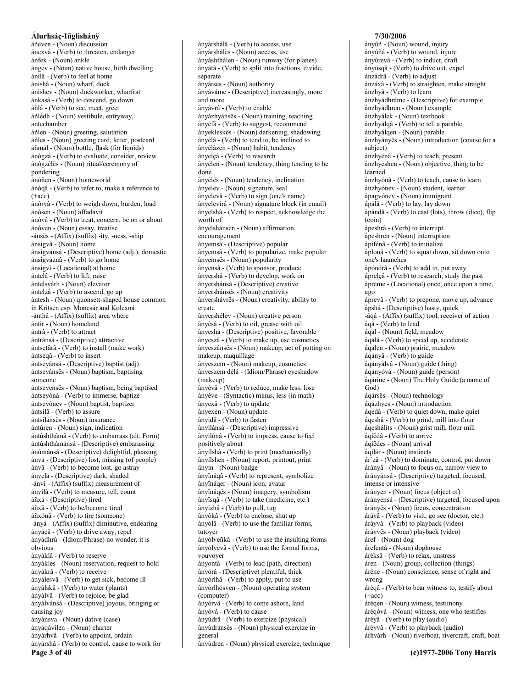áñeven - (Noun) discussion ánexvâ - (Verb) to threaten, endanger ánfek - (Noun) ankle ángev - (Noun) native house, birth dwelling ánilâ - (Verb) to feel at home ánishá - (Noun) wharf, dock ánishev - (Noun) dockworker, wharfrat ánkasâ - (Verb) to descend, go down áñlâ - (Verb) to see, meet, greet áñlédh - (Noun) vestibule, entryway, antechamber áñlen - (Noun) greeting, salutation áñles - (Noun) greeting card, letter, postcard áñmál - (Noun) bottle, flask (for liquids) ánògzâ - (Verb) to evaluate, consider, review ánògzélës - (Noun) ritual/ceremony of pondering ánóñen - (Noun) homeworld ánògâ - (Verb) to refer to, make a reference to  $(+acc)$ ánóryâ - (Verb) to weigh down, burden, load ánòsen - (Noun) affadavit ánòvâ - (Verb) to treat, concern, be on or about ánòven - (Noun) essay, treatise -ánsës - (Affix) (suffix) -ity, -ness, -ship ánsígvâ - (Noun) home ánsígvánsá - (Descriptive) home (adj.), domestic ánsígváznâ - (Verb) to go home ánsígvì - (Locational) at home ántelâ - (Verb) to lift, raise ántelsvárh - (Noun) elevator ántelzâ - (Verb) to ascend, go up àntesh - (Noun) quonsett-shaped house common in Kritsen esp. Monesár and Kolexná -ánthá - (Affix) (suffix) area where ántir - (Noun) homeland ántrâ - (Verb) to attract ántránsá - (Descriptive) attractive ántsefárâ - (Verb) to install (make work) ántsegâ - (Verb) to insert ántseyánsá - (Descriptive) baptist (adj) ántseyánsës - (Noun) baptism, baptising someone ántseyensës - (Noun) baptism, being baptised ántseyónâ - (Verb) to immerse, baptize ántseyónev - (Noun) baptist, baptizer ántsilâ - (Verb) to assure ántsilánsës - (Noun) insurance ántúren - (Noun) sign, indication ántúshthámâ - (Verb) to embarrass (alt. Form) ántúshthámánsá - (Descriptive) embarassing ánúmánsá - (Descriptive) delightful, pleasing ánvá - (Descriptive) lost, missing (of people) ánvâ - (Verb) to become lost, go astray ánvelá - (Descriptive) dark, shaded -ánvi - (Affix) (suffix) measurement of ánvilâ - (Verb) to measure, tell, count áñxá - (Descriptive) tired áñxâ - (Verb) to be/become tired áñxónâ - (Verb) to tire (someone) -ányá - (Affix) (suffix) diminutive, endearing ányáçâ - (Verb) to drive away, repel ányádhrù - (Idiom/Phrase) no wonder, it is obvious ányáklâ - (Verb) to reserve ányákles - (Noun) reservation, request to hold ányákrâ - (Verb) to receive ányálesvâ - (Verb) to get sick, become ill ányálskâ - (Verb) to water (plants) ányálvâ - (Verb) to rejoice, be glad ányálvánsá - (Descriptive) joyous, bringing or causing joy ányánsva - (Noun) dative (case) ányáqávílen - (Noun) charter ányárhvâ - (Verb) to appoint, ordain ányárshâ - (Verb) to control, cause to work for Page 3 of 40

ányárshálâ - (Verb) to access, use ányárshálës - (Noun) access, use ányáshthálen - (Noun) runway (for planes) ányátâ - (Verb) to split into fractions, divide, separate ányátsës - (Noun) authority ányáváme - (Descriptive) increasingly, more and more ányávrâ - (Verb) to enable ányázhyánsës - (Noun) training, teaching ányéfâ - (Verb) to suggest, recommend ányekleskës - (Noun) darkening, shadowing ányélâ - (Verb) to tend to, be inclined to ányélázen - (Noun) habit, tendency ányelçâ - (Verb) to research ányélen - (Noun) tendency, thing tending to be done ányélës - (Noun) tendency, inclination ányelev - (Noun) signature, seal ányelevâ - (Verb) to sign (one's name) ányelevìrá - (Noun) signature block (in email) ányelshâ - (Verb) to respect, acknowledge the worth of ányelshánsen - (Noun) affirmation, encouragement ányemsá - (Descriptive) popular ányemsâ - (Verb) to popularize, make popular ányemsës - (Noun) popularity ányensâ - (Verb) to sponsor, produce ányershâ - (Verb) to develop, work on ányershánsá - (Descriptive) creative ányershánsës - (Noun) creativity ányershávrës - (Noun) creativity, ability to create ányershélev - (Noun) creative person ányèsâ - (Verb) to oil, grease with oil ányeshá - (Descriptive) positive, favorable ányeszâ - (Verb) to make up, use cosmetics ányeszánsës - (Noun) makeup, act of putting on makeup, maquillage ányeszem - (Noun) makeup, cosmetics ányeszem dèlá - (Idiom/Phrase) eyeshadow (makeup) ányévâ - (Verb) to reduce, make less, lose ányéve - (Syntactic) minus, less (in math) ányexâ - (Verb) to update ányexen - (Noun) update ányidâ - (Verb) to fasten ányìlánsá - (Descriptive) impressive ányilónâ - (Verb) to impress, cause to feel positively about ányílshâ - (Verb) to print (mechanically) ányílshen - (Noun) report, printout, print änyin - (Noun) badge ányïnáqâ - (Verb) to represent, symbolize ányïnáqer - (Noun) icon, avatar ányïnáqës - (Noun) imagery, symbolism ányïsqâ - (Verb) to take (medicine, etc.) ányízhâ - (Verb) to pull, tug ányòkâ - (Verb) to enclose, shut up ányólâ - (Verb) to use the familiar forms, tutover ányólveñkâ - (Verb) to use the insulting forms ányólyevâ - (Verb) to use the formal forms, vouvover ányontâ - (Verb) to lead (path, direction) ányórá - (Descriptive) plentiful, thick ányórlhâ - (Verb) to apply, put to use ányórlhósven - (Noun) operating system (computer) ányórvâ - (Verb) to come ashore, land ányóvâ - (Verb) to cause ányúdrâ - (Verb) to exercize (physical) ányúdránsës - (Noun) physical exercize in general ányúdren - (Noun) physical exercize, technique

# 7/30/2006

ányúñ - (Noun) wound, injury ányúñâ - (Verb) to wound, injure ányúrevâ - (Verb) to induct, draft ányüsqâ - (Verb) to drive out, expel ánzádrâ - (Verb) to adjust ánzáxâ - (Verb) to straighten, make straight ánzhyâ - (Verb) to learn ánzhyádhráme - (Descriptive) for example ánzhyádhren - (Noun) example ánzhyálek - (Noun) textbook ánzhyálgâ - (Verb) to tell a parable ánzhyálqen - (Noun) parable ánzhyányës - (Noun) introduction (course for a subject) ánzhyénâ - (Verb) to teach, present ánzhyeshen - (Noun) objective, thing to be learned ánzhyónâ - (Verb) to teach, cause to learn ánzhyónev - (Noun) student, learner ápagyónev - (Noun) immigrant ápálâ - (Verb) to lay, lay down ápándâ - (Verb) to cast (lots), throw (dice), flip  $(coin)$ ápeshrâ - (Verb) to interrupt ápeshren - (Noun) interruption ápífénâ - (Verb) to initialize áplonâ - (Verb) to squat down, sit down onto one's haunches ápóndrâ - (Verb) to add in, put away áprelçâ - (Verb) to research, study the past ápreme - (Locational) once, once upon a time, ago áprevâ - (Verb) to prepone, move up, advance ápshá - (Descriptive) hasty, quick -áqá - (Affix) (suffix) tool, receiver of action  $áq\hat{a}$  - (Verb) to lead áqál - (Noun) field, meadow áqálâ - (Verb) to speed up, accelerate áqálen - (Noun) prairie, meadow ágányâ - (Verb) to guide áqányálvá - (Noun) guide (thing) ágányóvá - (Noun) guide (person) áqárine - (Noun) The Holy Guide (a name of God) áqársës - (Noun) technology ágázhyes - (Noun) introduction áqedâ - (Verb) to quiet down, make quiet áqeshâ - (Verb) to grind, mill into flour áqeshálits - (Noun) grist mill, flour mill áqíëdâ - (Verb) to arrive áqíëdes - (Noun) arrival áqilár - (Noun) instincts ár`zâ - (Verb) to dominate, control, put down árányâ - (Noun) to focus on, narrow view to árányánsá - (Descriptive) targeted, focused, intense or intensive árányen - (Noun) focus (object of) árányensá - (Descriptive) targeted, focused upon árányës - (Noun) focus, concentration áráyâ - (Verb) to visit, go see (doctor, etc.) áráyvâ - (Verb) to playback (video) áráyvës - (Noun) playback (video) áref - (Noun) dog árefentá - (Noun) doghouse árèksâ - (Verb) to relax, unstress áren - (Noun) group, collection (things) áréne - (Noun) conscience, sense of right and wrong áréqâ - (Verb) to bear witness to, testify about  $(+acc)$ árégen - (Noun) witness, testimony áréqóvá - (Noun) witness, one who testifies áréyâ - (Verb) to play (audio) áréyvâ - (Verb) to playback (audio) árhvárh - (Noun) riverboat, rivercraft, craft, boat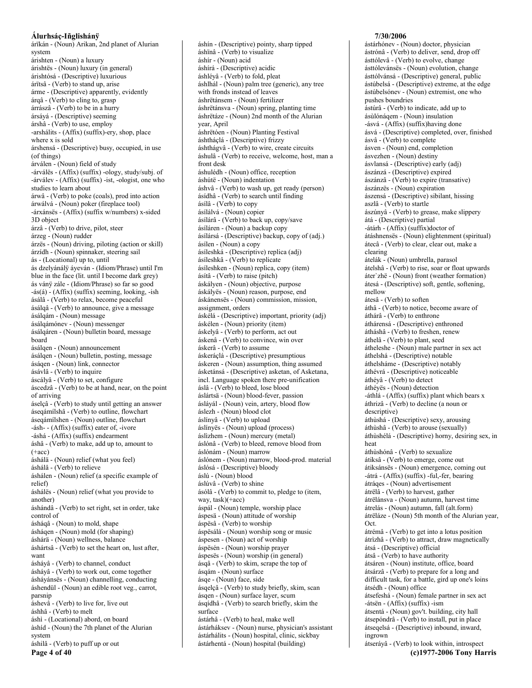árïkán - (Noun) Arikan, 2nd planet of Alurian system árishten - (Noun) a luxury árishtës - (Noun) luxury (in general) árishtósá - (Descriptive) luxurious árïtsâ - (Verb) to stand up, arise árme - (Descriptive) apparently, evidently árqâ - (Verb) to cling to, grasp árrászâ - (Verb) to be in a hurry ársáyá - (Descriptive) seeming árshâ - (Verb) to use, employ -arshálits - (Affix) (suffix)-ery, shop, place where x is sold árshensá - (Descriptive) busy, occupied, in use (of things) árválen - (Noun) field of study -árválës - (Affix) (suffix) -ology, study/subj. of -árválev - (Affix) (suffix) -ist, -ologist, one who studies to learn about árwâ - (Verb) to poke (coals), prod into action árwálvá - (Noun) poker (fireplace tool) -árxánsës - (Affix) (suffix w/numbers) x-sided 3D object árzâ - (Verb) to drive, pilot, steer árzeg - (Noun) rudder árzës - (Noun) driving, piloting (action or skill) árzídh - (Noun) spinnaker, steering sail ás - (Locational) up to, until ás dzelyánálÿ áyeván - (Idiom/Phrase) until I'm blue in the face (lit. until I become dark grey) ás váný zále - (Idiom/Phrase) so far so good -ás(á) - (Affix) (suffix) seeming, looking, -ish ásálâ - (Verb) to relax, become peaceful ásálqâ - (Verb) to announce, give a message ásálqám - (Noun) message ásálgámónev - (Noun) messenger ásálqáren - (Noun) bulletin board, message board ásálgen - (Noun) announcement ásálgen - (Noun) bulletin, posting, message áságen - (Noun) link, connector ásávlâ - (Verb) to inquire áscályâ - (Verb) to set, configure áscedzâ - (Verb) to be at hand, near, on the point of arriving áselçâ - (Verb) to study until getting an answer áseqámílshâ - (Verb) to outline, flowchart ásegámílshen - (Noun) outline, flowchart -ásh- - (Affix) (suffix) eater of, -ivore -áshá - (Affix) (suffix) endearment áshâ - (Verb) to make, add up to, amount to  $(+acc)$ áshála - (Noun) relief (what you feel) áshálâ - (Verb) to relieve áshálen - (Noun) relief (a specific example of relief áshálës - (Noun) relief (what you provide to another) áshándâ - (Verb) to set right, set in order, take control of ásháqâ - (Noun) to mold. shape ásháqen - (Noun) mold (for shaping) áshárä - (Noun) wellness, balance áshártsâ - (Verb) to set the heart on, lust after, want ásháyâ - (Verb) to channel, conduct áshávâ - (Verb) to work out, come together ásháyánsës - (Noun) channelling, conducting áshendül - (Noun) an edible root veg., carrot, parsnip áshevâ - (Verb) to live for, live out áshhâ - (Verb) to melt áshì - (Locational) abord, on board àshid - (Noun) the 7th planet of the Alurian system áshilâ - (Verb) to puff up or out

Page 4 of 40

áshín - (Descriptive) pointy, sharp tipped áshïnâ - (Verb) to visualize áshír - (Noun) acid áshírá - (Descriptive) acidic áshlévâ - (Verb) to fold, pleat áshlhál - (Noun) palm tree (generic), any tree with fronds instead of leaves áshrëtánsem - (Noun) fertilizer áshrëtánsva - (Noun) spring, planting time áshrëtáze - (Noun) 2nd month of the Alurian year, April áshrëtóen - (Noun) Planting Festival áshtháçlá - (Descriptive) frizzy áshthágvâ - (Verb) to wire, create circuits áshulâ - (Verb) to receive, welcome, host, man a front desk áshulédh - (Noun) office, reception áshútë - (Noun) indentation áshvâ - (Verb) to wash up, get ready (person) ásídhâ - (Verb) to search until finding ásílâ - (Verb) to copy ásílálvá - (Noun) copier ásílárâ - (Verb) to back up, copy/save ásíláren - (Noun) a backup copy ásílársá - (Descriptive) backup, copy of (adj.) ásílen - (Noun) a copy ásíleshká - (Descriptive) replica (adj) ásíleshkâ - (Verb) to replicate ásíleshken - (Noun) replica, copy (item) ásítâ - (Verb) to raise (pitch) áskályen - (Noun) objective, purpose áskályës - (Noun) reason, purpose, end áskánensës - (Noun) commission, mission, assignment, orders áskélá - (Descriptive) important, priority (adj) áskélen - (Noun) priority (item) áskelyâ - (Verb) to perform, act out áskenâ - (Verb) to convince, win over áskerâ - (Verb) to assume áskeráclá - (Descriptive) presumptious áskeren - (Noun) assumption, thing assumed ásketánsá - (Descriptive) asketan, of Asketana, incl. Language spoken there pre-unification áslâ - (Verb) to bleed, lose blood áslártsä - (Noun) blood-fever, passion áslávál - (Noun) vein, artery, blood flow áslezh - (Noun) blood clot áslínyâ - (Verb) to upload áslínyës - (Noun) upload (process) áslizhem - (Noun) mercury (metal) áslónâ - (Verb) to bleed, remove blood from áslónám - (Noun) marrow áslónem - (Noun) marrow, blood-prod. material áslósá - (Descriptive) bloody áslú - (Noun) blood áslúvâ - (Verb) to shine ásólâ - (Verb) to commit to, pledge to (item, way, task)(+acc) áspál - (Noun) temple, worship place áspesä - (Noun) attitude of worship áspësâ - (Verb) to worship áspësálá - (Noun) worship song or music áspesen - (Noun) act of worship áspësén - (Noun) worship prayer áspesës - (Noun) worship (in general) ásqâ - (Verb) to skim, scrape the top of ásgám - (Noun) surface ásqe - (Noun) face, side ásqelçâ - (Verb) to study briefly, skim, scan ásgen - (Noun) surface layer, scum ásqídhâ - (Verb) to search briefly, skim the surface ástárhâ - (Verb) to heal, make well ástárháksev - (Noun) nurse, physician's assistant ástárhálits - (Noun) hospital, clinic, sickbay

ástárhentá - (Noun) hospital (building)

#### 7/30/2006

ástárhónev - (Noun) doctor, physician ástrónâ - (Verb) to deliver, send, drop off ásttólevâ - (Verb) to evolve, change ásttólevánsës - (Noun) evolution, change ásttólvánsá - (Descriptive) general, public ástúbelsá - (Descriptive) extreme, at the edge ástúbelsónev - (Noun) extremist, one who pushes boundries ástúrâ - (Verb) to indicate, add up to ásùlónágem - (Noun) insulation -ásvá - (Affix) (suffix) having done ásvá - (Descriptive) completed, over, finished ásvâ - (Verb) to complete ásven - (Noun) end, completion ásvezhen - (Noun) destiny ásvlansá - (Descriptive) early (adj) ászánzá - (Descriptive) expired ászánzâ - (Verb) to expire (transative) ászánzës - (Noun) expiration ászensá - (Descriptive) sibilant, hissing aszlâ - (Verb) to startle ászúnyâ - (Verb) to grease, make slippery átá - (Descriptive) partial -átárh - (Affix) (suffix) doctor of átáshnensës - (Noun) elightenment (spiritual) átecâ - (Verb) to clear, clear out, make a clearing átelák - (Noun) umbrella, parasol átelshâ - (Verb) to rise, soar or float upwards áter'zhë - (Noun) front (weather formation) átesá - (Descriptive) soft, gentle, softening, mellow átesâ - (Verb) to soften áthâ - (Verb) to notice, become aware of áthárâ - (Verb) to enthrone áthárensá - (Descriptive) enthroned átháshâ - (Verb) to freshen, renew áthelâ - (Verb) to plant, seed átheleshe - (Noun) male partner in sex act áthelshá - (Descriptive) notable áthelsháme - (Descriptive) notably áthévrá - (Descriptive) noticeable áthéyâ - (Verb) to detect áthéyës - (Noun) detection -áthlá - (Affix) (suffix) plant which bears x áthrizâ - (Verb) to decline (a noun or descriptive) áthùshá - (Descriptive) sexy, arousing áthùshâ - (Verb) to arouse (sexually) áthùshélá - (Descriptive) horny, desiring sex, in heat áthùshónâ - (Verb) to sexualize átiksâ - (Verb) to emerge, come out átiksánsës - (Noun) emergence, coming out -átrá - (Affix) (suffix) - ful, - fer, bearing átráqes - (Noun) advertisement átrëlâ - (Verb) to harvest, gather átrëlánsva - (Noun) autumn, harvest time átrelás - (Noun) autumn, fall (alt.form) átrëláze - (Noun) 5th month of the Alurian year, Oct átrémâ - (Verb) to get into a lotus position átrìzhâ - (Verb) to attract, draw magnetically átsá - (Descriptive) official átsâ - (Verb) to have authority átsáren - (Noun) institute, office, board átsárzâ - (Verb) to prepare for a long and difficult task, for a battle, gird up one's loins átsédh - (Noun) office átsefeshá - (Noun) female partner in sex act -átsën -  $(Affix)$  (suffix) -ism átsentá - (Noun) gov't. building, city hall átsepóndrâ - (Verb) to install, put in place átseqelsá - (Descriptive) inbound, inward, ingrown átseráyâ - (Verb) to look within, introspect

```
(c)1977-2006 Tony Harris
```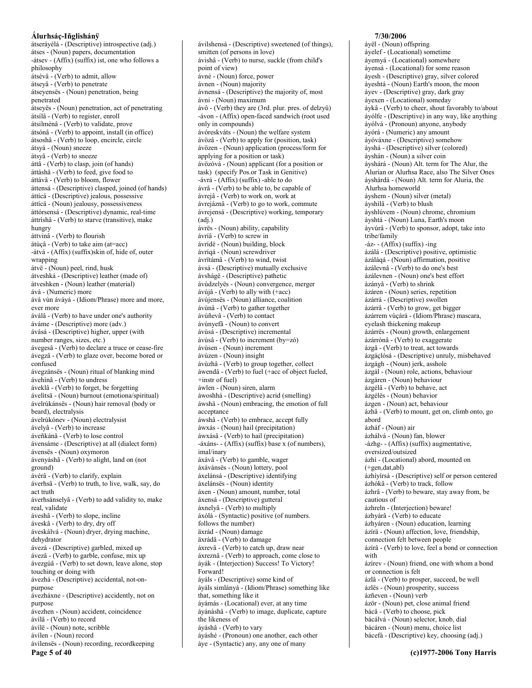átserávélá - (Descriptive) introspective (adj.) átses - (Noun) papers, documentation -átsev - (Affix) (suffix) ist, one who follows a philosophy átsévâ - (Verb) to admit, allow átseyâ - (Verb) to penetrate átseyensës - (Noun) penetration, being nenetrated átseyës - (Noun) penetration, act of penetrating átsílâ - (Verb) to register, enroll átsilménâ - (Verb) to validate, prove átsónâ - (Verb) to appoint, install (in office) átsoshâ - (Verb) to loop, encircle, circle átsyá - (Noun) sneeze átsyâ - (Verb) to sneeze áttâ - (Verb) to clasp, join (of hands) áttáshâ - (Verb) to feed, give food to áttávâ - (Verb) to bloom, flower áttensá - (Descriptive) clasped, joined (of hands) áttícá - (Descriptive) jealous, possessive áttícä - (Noun) jealousy, possessiveness áttórsensá - (Descriptive) dynamic, real-time áttrìshâ - (Verb) to starve (transitive), make hungry áttvinâ - (Verb) to flourish átúçâ - (Verb) to take aim (at=acc) -átvá - (Affix) (suffix)skin of, hide of, outer wrapping átvë - (Noun) peel, rind, husk átveshká - (Descriptive) leather (made of) átveshken - (Noun) leather (material) ává - (Numeric) more ává vùn áváyá - (Idiom/Phrase) more and more, ever more áválâ - (Verb) to have under one's authority áváme - (Descriptive) more (adv.) ávásá - (Descriptive) higher, upper (with number ranges, sizes, etc.) ávegesâ - (Verb) to declare a truce or cease-fire ávegzâ - (Verb) to glaze over, become bored or confused ávegzánsës - (Noun) ritual of blanking mind ávehinâ - (Verb) to undress áveklâ - (Verb) to forget, be forgetting ávelitsä - (Noun) burnout (emotiona/spiritual) ávelrúkánsës - (Noun) hair removal (body or beard), electralysis ávelrúkónev - (Noun) electralysist ávelyâ - (Verb) to increase áveñkánâ - (Verb) to lose control ávensáme - (Descriptive) at all (dialect form) ávensës - (Noun) oxymoron ávenyáshâ - (Verb) to alight, land on (not ground) ávérâ - (Verb) to clarify, explain áverhsâ - (Verb) to truth, to live, walk, say, do act truth áverhsánselyâ - (Verb) to add validity to, make real. validate áveshâ - (Verb) to slope, incline áveskâ - (Verb) to dry, dry off áveskálvá - (Noun) dryer, drying machine, dehydrator ávezá - (Descriptive) garbled, mixed up ávezâ - (Verb) to garble, confuse, mix up ávezgúâ - (Verb) to set down, leave alone, stop touching or doing with ávezhá - (Descriptive) accidental, not-onpurpose ávezháxne - (Descriptive) accidently, not on purpose ávezhen - (Noun) accident, coincidence ávílâ - (Verb) to record ávílë - (Noun) note, scribble ávílen - (Noun) record ávílensës - (Noun) recording, recordkeeping Page 5 of 40

ávilshensá - (Descriptive) sweetened (of things). smitten (of persons in love) ávishâ - (Verb) to nurse, suckle (from child's point of view) ávné - (Noun) force, power ávnen - (Noun) majority ávnensá - (Descriptive) the majority of, most ávni - (Noun) maximum ávô - (Verb) they are (3rd. plur. pres. of delzyû) -ávon - (Affix) open-faced sandwich (root used only in compounds) ávóreskváts - (Noun) the welfare system ávözâ - (Verb) to apply for (position, task) ávözen - (Noun) application (process/form for applying for a position or task) ávözóvá - (Noun) applicant (for a position or task) (specify Pos.or Task in Genitive) -ávrá - (Affix) (suffix) -able to do ávrâ - (Verb) to be able to, be capable of ávrejâ - (Verb) to work on, work at ávrejáznâ - (Verb) to go to work, commute ávrejensá - (Descriptive) working, temporary  $(adj.)$ ávrës - (Noun) ability, capability ávríâ - (Verb) to screw in ávrídë - (Noun) building, block ávríqá - (Noun) screwdriver ávrïtámâ - (Verb) to wind, twist ávsá - (Descriptive) mutually exclusive ávshágë - (Descriptive) pathetic ávùdzelyës - (Noun) convergence, merger ávùjâ - (Verb) to ally with  $(+acc)$ ávùjensës - (Noun) alliance, coalition ávùnâ - (Verb) to gather together ávùñevâ - (Verb) to contact ávùnyefâ - (Noun) to convert ávùsá - (Descriptive) incremental ávùsâ - (Verb) to increment (by=zó) ávùsen - (Noun) increment ávùzen - (Noun) insight ávùzhâ - (Verb) to group together, collect áwendâ - (Verb) to fuel (+acc of object fueled, +instr of fuel) áwlen - (Noun) siren, alarm áwoshhá - (Descriptive) acrid (smelling) áwshä - (Noun) embracing, the emotion of full acceptance áwshâ - (Verb) to embrace, accept fully áwxás - (Noun) hail (precipitation) áwxásâ - (Verb) to hail (precipitation) -áxáns--(Affix) (suffix) base x (of numbers), imal/inary áxávâ - (Verb) to gamble, wager áxávánsës - (Noun) lottery, pool áxelánsá - (Descriptive) identifying áxelánsës - (Noun) identity áxen - (Noun) amount, number, total áxensá - (Descriptive) gutteral áxnelyâ - (Verb) to multiply áxólá - (Syntactic) positive (of numbers. follows the number) äxrád - (Noun) damage äxrádâ - (Verb) to damage áxrevâ - (Verb) to catch up, draw near áxreznâ - (Verb) to approach, come close to áyák - (Interjection) Success! To Victory! Forward! áyáls - (Descriptive) some kind of áváls simlányá - (Idiom/Phrase) something like that, something like it áyámás - (Locational) ever, at any time áyánáshâ - (Verb) to image, duplicate, capture the likeness of áyáshâ - (Verb) to vary áyáshé - (Pronoun) one another, each other áye - (Syntactic) any, any one of many

#### 7/30/2006

áyël - (Noun) offspring áyelef - (Locational) sometime áyemyá - (Locational) somewhere áyensá - (Locational) for some reason áyesh - (Descriptive) gray, silver colored áyeshtá - (Noun) Earth's moon, the moon áyev - (Descriptive) gray, dark gray áyexen - (Locational) someday áykâ - (Verb) to cheer, shout favorably to/about áyólfe - (Descriptive) in any way, like anything áyólvá - (Pronoun) anyone, anybody áyórá - (Numeric) any amount áyóváxne - (Descriptive) somehow áyshá - (Descriptive) silver (colored) áyshán - (Noun) a silver coin áyshárá - (Noun) Alt. term for The Alur, the Alurian or Alurhsa Race, also The Silver Ones áyshárdá - (Noun) Alt. term for Aluria, the Alurhsa homeworld áyshem - (Noun) silver (metal) áyshìlâ - (Verb) to blush áyshlúvem - (Noun) chrome, chromium áyshtá - (Noun) Luna, Earth's moon ávvúrâ - (Verb) to sponsor, adopt, take into tribe/family -áz- - (Affix) (suffix) -ing ázálá - (Descriptive) positive, optimistic ázáláqá - (Noun) affirmation, positive ázálevnâ - (Verb) to do one's best ázálevnen - (Noun) one's best effort ázányâ - (Verb) to shrink ázáren - (Noun) series, repetition ázárrá - (Descriptive) swollen ázárrâ - (Verb) to grow, get bigger ázárrem vùçárá - (Idiom/Phrase) mascara, evelash thickening makeup ázárrës - (Noun) growth, enlargement ázárrónâ - (Verb) to exaggerate ázgâ - (Verb) to treat, act towards ázgáclósá - (Descriptive) unruly, misbehaved ázgágh - (Noun) jerk, asshole ázgál - (Noun) role, actions, behaviour ázgáren - (Noun) behaviour ázgélâ - (Verb) to behave, act ázgélës - (Noun) behavior ázgen - (Noun) act, behaviour ázhâ - (Verb) to mount, get on, climb onto, go abord ázháf - (Noun) air ázhálvá - (Noun) fan, blower -ázhg- - (Affix) (suffix) augmentative, oversized/outsized ázhì - (Locational) abord, mounted on  $(+gen, dat,abl)$ ázhíyírsá - (Descriptive) self or person centered ázhókâ - (Verb) to track, follow ázhrâ - (Verb) to beware, stay away from, be cautious of ázhreln - (Interjection) beware! ázhyárâ - (Verb) to educate ázhyáren - (Noun) education, learning ázírä - (Noun) affection, love, friendship, connection felt between people ázírâ - (Verb) to love, feel a bond or connection with ázírev - (Noun) friend, one with whom a bond or connection is felt ázlâ - (Verb) to prosper, succeed, be well ázlës - (Noun) prosperity, success ázñeven - (Noun) verb ázör - (Noun) pet, close animal friend bácâ - (Verb) to choose, pick bácálvá - (Noun) selector, knob, dial bácáren - (Noun) menu, choice list bácefá - (Descriptive) key, choosing (adj.)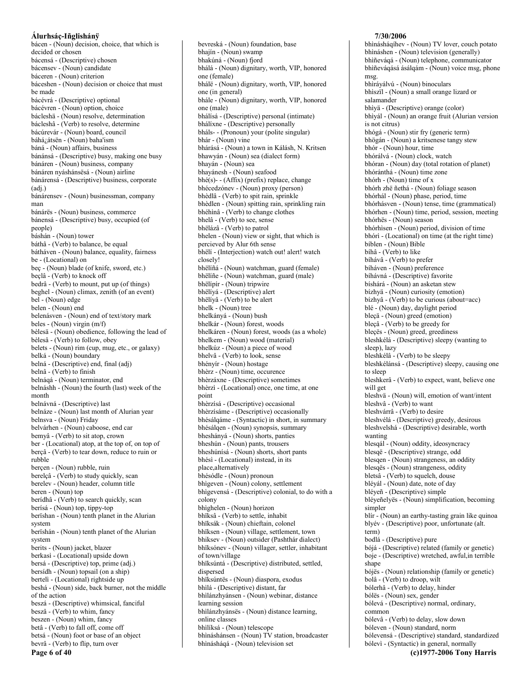bácen - (Noun) decision, choice, that which is decided or chosen bácensá - (Descriptive) chosen bácensev - (Noun) candidate báceren - (Noun) criterion báceshen - (Noun) decision or choice that must be made bácévrá - (Descriptive) optional bácévren - (Noun) option, choice bácleshä - (Noun) resolve, determination bácleshâ - (Verb) to resolve, determine bácúrevár - (Noun) board, council báhá¿átsën - (Noun) baha'ism báná - (Noun) affairs, business bánánsá - (Descriptive) busy, making one busy bánáren - (Noun) business, company bánáren nyáshánsësá - (Noun) airline bánárensá - (Descriptive) business, corporate  $(adi.)$ bánárensev - (Noun) businessman, company man bánárës - (Noun) business, commerce bánensá - (Descriptive) busy, occupied (of neonle) báshán - (Noun) tower báthâ - (Verb) to balance, be equal bátháven - (Noun) balance, equality, fairness be - (Locational) on beç - (Noun) blade (of knife, sword, etc.) beçlâ - (Verb) to knock off bedrâ - (Verb) to mount, put up (of things) beghel - (Noun) climax, zenith (of an event) bel - (Noun) edge belen - (Noun) end belenásven - (Noun) end of text/story mark beles - (Noun) virgin (m/f) bèlesä - (Noun) obedience, following the lead of bèlesâ - (Verb) to follow, obey belets - (Noun) rim (cup, mug, etc., or galaxy) belká - (Noun) boundary belná - (Descriptive) end, final (adj) belnâ - (Verb) to finish belnáqá - (Noun) terminator, end belnáshh - (Noun) the fourth (last) week of the month belnávná - (Descriptive) last belnáze - (Noun) last month of Alurian year belnsva - (Noun) Friday belvárhen - (Noun) caboose, end car bemyâ - (Verb) to sit atop, crown ber - (Locational) atop, at the top of, on top of berçâ - (Verb) to tear down, reduce to ruin or rubble bercen - (Noun) rubble, ruin berelçâ - (Verb) to study quickly, scan berelev - (Noun) header, column title beren - (Noun) top berídhâ - (Verb) to search quickly, scan berísá - (Noun) top, tippy-top berïshan - (Noun) tenth planet in the Alurian system berïshán - (Noun) tenth planet of the Alurian system berits - (Noun) jacket, blazer berkasì - (Locational) upside down bersá - (Descriptive) top, prime (adj.) bersídh - (Noun) topsail (on a ship) bertelì - (Locational) rightside up beshá - (Noun) side, back burner, not the middle of the action beszá - (Descriptive) whimsical, fanciful beszâ - (Verb) to whim, fancy beszen - (Noun) whim, fancy betâ - (Verb) to fall off, come off betsá - (Noun) foot or base of an object bevrâ - (Verb) to flip, turn over Page 6 of 40

bhajín - (Noun) swamp bhakúná - (Noun) fiord bhálá - (Noun) dignitary, worth, VIP, honored one (female) bhálë - (Noun) dignitary, worth, VIP, honored one (in general) bhále - (Noun) dignitary, worth, VIP, honored one (male) bhálísá - (Descriptive) personal (intimate) bhálíxne - (Descriptive) personally bháls-- (Pronoun) your (polite singular) bhár - (Noun) vine bhárásá - (Noun) a town in Kálásh, N. Kritsen bhawyán - (Noun) sea (dialect form) bhaván - (Noun) sea bhayánesh - (Noun) seafood bhé(s)--(Affix) (prefix) replace, change bhécedzónev - (Noun) proxy (person) bhèdlâ - (Verb) to spit rain, sprinkle bhèdlen - (Noun) spitting rain, sprinkling rain bhéhìnâ - (Verb) to change clothes bhelâ - (Verb) to see, sense bhëlázâ - (Verb) to patrol bhelen - (Noun) view or sight, that which is percieved by Alur 6th sense bhëlí - (Interjection) watch out! alert! watch closely! bhëlíñá - (Noun) watchman, guard (female) bhëlíñe - (Noun) watchman, guard (male) bhëlipir - (Noun) tripwire bhëliyá - (Descriptive) alert bhëlíyâ - (Verb) to be alert bhelk - (Noun) tree bhelkányá - (Noun) bush bhelkár - (Noun) forest, woods bhelkáren - (Noun) forest, woods (as a whole) bhelkem - (Noun) wood (material) bhelkúz - (Noun) a piece of wood bhelvâ - (Verb) to look, sense bhényír - (Noun) hostage bhèrz - (Noun) time, occurence bhèrzáxne - (Descriptive) sometimes bhèrzì - (Locational) once, one time, at one point bhèrzísá - (Descriptive) occasional bhèrzísáme - (Descriptive) occasionally bhésálgáme - (Syntactic) in short, in summary bhésálqen - (Noun) synopsis, summary bheshányá - (Noun) shorts, panties bheshún - (Noun) pants, trousers bheshúnísá - (Noun) shorts, short pants bhésì - (Locational) instead, in its place, alternatively bhésódle - (Noun) pronoun bhigeven - (Noun) colony, settlement bhigevensá - (Descriptive) colonial, to do with a colony bhìghelen - (Noun) horizon bhïksâ - (Verb) to settle, inhabit bhïksák - (Noun) chieftain, colonel bhïksen - (Noun) village, settlement, town bhiksev - (Noun) outsider (Pashthár dialect) bhïksónev - (Noun) villager, settler, inhabitant of town/village bhïksúntá - (Descriptive) distributed, settled, dispersed bhïksúntës - (Noun) diaspora, exodus bhilá - (Descriptive) distant, far bhìlánzhyánsen - (Noun) webinar, distance learning session bhìlánzhyánsës - (Noun) distance learning, online classes bhilíksá - (Noun) telescope bhìnáshánsen - (Noun) TV station, broadcaster bhìnásháqá - (Noun) television set

bevreská - (Noun) foundation, base

#### 7/30/2006

bhinásháqíhev - (Noun) TV lover, couch potato bhináshen - (Noun) television (generally) bhiñevágá - (Noun) telephone, communicator bhiñeváqásá ásálqám - (Noun) voice msg, phone  $msq$ bhìráyálvú - (Noun) binoculars bhiszïl - (Noun) a small orange lizard or salamander bhiyä - (Descriptive) orange (color) bhiyál - (Noun) an orange fruit (Alurian version is not citrus) bhógá - (Noun) stir fry (generic term) bhögán - (Noun) a kritsenese tangy stew bhór - (Noun) hour, time bhórálvá - (Noun) clock, watch bhóran - (Noun) day (total rotation of planet) bhóránthá - (Noun) time zone bhórh - (Noun) time of x bhórh zhë ñethá - (Noun) foliage season bhórhál - (Noun) phase, period, time bhórhásven - (Noun) tense, time (grammatical) bhórhen - (Noun) time, period, session, meeting bhórhës - (Noun) season bhórhìsen - (Noun) period, division of time bhórì - (Locational) on time (at the right time) bíblen - (Noun) Bible bíhâ - (Verb) to like bíhávâ - (Verb) to prefer bíháven - (Noun) preference bíhávná - (Descriptive) favorite bíshárá - (Noun) an asketan stew bízhyä - (Noun) curiosity (emotion) bízhyâ - (Verb) to be curious (about=acc) blé - (Noun) day, daylight period bleçä - (Noun) greed (emotion) bleçâ - (Verb) to be greedy for bleçës - (Noun) greed, greediness bleshkélá - (Descriptive) sleepy (wanting to sleep), lazy bleshkélâ - (Verb) to be sleepy bleshkélánsá - (Descriptive) sleepy, causing one to sleep bleshkerâ - (Verb) to expect, want, believe one will get bleshvä - (Noun) will, emotion of want/intent bleshvâ - (Verb) to want bleshvárrâ - (Verb) to desire bleshvélá - (Descriptive) greedy, desirous bleshvelshá - (Descriptive) desirable, worth wanting blesqál - (Noun) oddity, ideosyncracy blesqë - (Descriptive) strange, odd blesqen - (Noun) strangeness, an oddity blesqës - (Noun) strangeness, oddity bletsâ - (Verb) to squelch, douse bléyál - (Noun) date, note of day bléyeñ - (Descriptive) simple bléyeñelyës - (Noun) simplification, becoming simpler blír - (Noun) an earthy-tasting grain like quinoa blyév - (Descriptive) poor, unfortunate (alt. term) bodlá - (Descriptive) pure bójá - (Descriptive) related (family or genetic) boje - (Descriptive) wretched, awful, in terrible shape bójës - (Noun) relationship (family or genetic) bolâ - (Verb) to droop, wilt bólerhâ - (Verb) to delay, hinder bólës - (Noun) sex, gender bólevá - (Descriptive) normal, ordinary, common bólevâ - (Verb) to delay, slow down bóleven - (Noun) standard, norm bólevensá - (Descriptive) standard, standardized bólevì - (Syntactic) in general, normally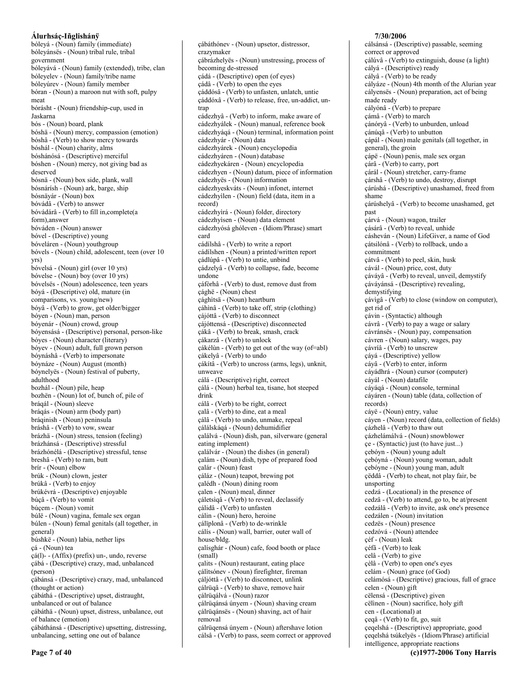Álurhsáç-Iñglishánÿ bólevá - (Noun) family (immediate) bóleyánsës - (Noun) tribal rule, tribal government bóleyává - (Noun) family (extended), tribe, clan bóleyelev - (Noun) family/tribe name bóleyúrev - (Noun) family member bóran - (Noun) a maroon nut with soft, pulpy meat bórásht - (Noun) friendship-cup, used in Jaskarna bós - (Noun) board, plank bóshä - (Noun) mercy, compassion (emotion) bóshâ - (Verb) to show mercy towards bóshál - (Noun) charity, alms bóshánósá - (Descriptive) merciful bóshen - (Noun) mercy, not giving bad as deserved bósnä - (Noun) box side, plank, wall bósnárísh - (Noun) ark, barge, ship bósnävár - (Noun) box bóvádâ - (Verb) to answer bóvádárâ - (Verb) to fill in, complete (a form) answer bóváden - (Noun) answer bóvel - (Descriptive) young bóveláren - (Noun) youthgroup bóvels - (Noun) child, adolescent, teen (over 10  $VIS)$ bóvelsá - (Noun) girl (over 10 yrs) bóvelse - (Noun) boy (over 10 yrs) bóvelsës - (Noun) adolescence, teen years bóyá - (Descriptive) old, mature (in comparisons, vs. young/new) bóyâ - (Verb) to grow, get older/bigger bóyen - (Noun) man, person bóyenár - (Noun) crowd, group bóyensásá - (Descriptive) personal, person-like bóyes - (Noun) character (literary) bóyev - (Noun) adult, full grown person bóvnáshâ - (Verb) to impersonate bóynáze - (Noun) August (month) bóynelyës - (Noun) festival of puberty, adulthood bozhál - (Noun) pile, heap bozhën - (Noun) lot of, bunch of, pile of brágál - (Noun) sleeve bráqás - (Noun) arm (body part) bráginish - (Noun) peninsula bráshâ - (Verb) to vow, swear brázhä - (Noun) stress, tension (feeling) brázhánsá - (Descriptive) stressful brázhónélá - (Descriptive) stressful, tense breshâ - (Verb) to ram, butt brír - (Noun) elbow brúk - (Noun) clown, jester brúkâ - (Verb) to enjoy brúkévrá - (Descriptive) enjoyable búçâ - (Verb) to vomit búçem - (Noun) vomit búlë - (Noun) vagina, female sex organ búlen - (Noun) femal genitals (all together, in general) búshkë - (Noun) labia, nether lips çá - (Noun) tea çá(l)--(Affix) (prefix) un-, undo, reverse çábá - (Descriptive) crazy, mad, unbalanced (person) çábánsá - (Descriptive) crazy, mad, unbalanced (thought or action) çábáthá - (Descriptive) upset, distraught, unbalanced or out of balance çábáthä - (Noun) upset, distress, unbalance, out of balance (emotion) çábáthánsá - (Descriptive) upsetting, distressing, unbalancing, setting one out of balance

cábáthónev - (Noun) upsetor, distressor, crazymaker çábrázhelyes - (Noun) unstressing, process of becoming de-stressed cádá - (Descriptive) open (of eyes) çádâ - (Verb) to open the eyes çáddósâ - (Verb) to unfasten, unlatch, untie çáddóxâ - (Verb) to release, free, un-addict, untran cádezhyâ - (Verb) to inform, make aware of cádezhyálek - (Noun) manual, reference book cádezhyáqá - (Noun) terminal, information point cádezhyár - (Noun) data cádezhyárek - (Noun) encyclopedia cádezhyáren - (Noun) database cádezhyekáren - (Noun) encyclopedia cádezhyen - (Noun) datum, piece of information cádezhyës - (Noun) information cádezhyeskváts - (Noun) infonet, internet cádezhyìlen - (Noun) field (data, item in a record) cádezhyìrá - (Noun) folder, directory cádezhyìsen - (Noun) data element cádezhyósá ghóleven - (Idiom/Phrase) smart card cádílshâ - (Verb) to write a report cádílshen - (Noun) a printed/written report çádlúpâ - (Verb) to untie, unbind çádzelyâ - (Verb) to collapse, fade, become undone cáfòrhâ - (Verb) to dust, remove dust from çághë - (Noun) chest çághìtsä - (Noun) heartburn çáhìnâ - (Verb) to take off, strip (clothing) çájóttâ - (Verb) to disconnect çájóttensá - (Descriptive) disconnected çákâ - (Verb) to break, smash, crack cákarzâ - (Verb) to unlock çákélùn - (Verb) to get out of the way (of=abl) çákelyâ - (Verb) to undo çákítâ - (Verb) to uncross (arms, legs), unknit, unweave cálá - (Descriptive) right, correct çálá - (Noun) herbal tea, tisane, hot steeped drink cálâ - (Verb) to be right, correct çalâ - (Verb) to dine, eat a meal çálâ - (Verb) to undo, unmake, repeal çálálskáqá - (Noun) dehumidifier çalálvá - (Noun) dish, pan, silverware (general eating implement) calálvár - (Noun) the dishes (in general) calám - (Noun) dish, type of prepared food calár - (Noun) feast çáláz - (Noun) teapot, brewing pot çalédh - (Noun) dining room çalen - (Noun) meal, dinner çáletsiqâ - (Verb) to reveal, declassify cálidâ - (Verb) to unfasten cálin - (Noun) hero, heroine çálïplonâ - (Verb) to de-wrinkle cálís - (Noun) wall, barrier, outer wall of house/bldg. calísghár - (Noun) cafe, food booth or place  $(smail)$ çalits - (Noun) restaurant, eating place çálitsónev - (Noun) firefighter, fireman cáljóttâ - (Verb) to disconnect, unlink çálrüqâ - (Verb) to shave, remove hair çálrüqálvá - (Noun) razor cálrüqánsá únyem - (Noun) shaving cream çálrüqánsës - (Noun) shaving, act of hair removal çálrüqensá únyem - (Noun) aftershave lotion cálsâ - (Verb) to pass, seem correct or approved

7/30/2006 cálsánsá - (Descriptive) passable, seeming correct or approved çálúvâ - (Verb) to extinguish, douse (a light) cályá - (Descriptive) ready cályâ - (Verb) to be ready cályáze - (Noun) 4th month of the Alurian year cályenses - (Noun) preparation, act of being made ready cályónâ - (Verb) to prepare çámâ - (Verb) to march çánóryâ - (Verb) to unburden, unload çánúqâ - (Verb) to unbutton çápál - (Noun) male genitals (all together, in general), the groin çápë - (Noun) penis, male sex organ cárâ - (Verb) to carry, port çárál - (Noun) stretcher, carry-frame çárshâ - (Verb) to undo, destroy, disrupt cárúshá - (Descriptive) unashamed, freed from shame çárúshelyâ - (Verb) to become unashamed, get past çárvá - (Noun) wagon, trailer cásárâ - (Verb) to reveal, unhide cásheván - (Noun) LifeGiver, a name of God çátsilónâ - (Verb) to rollback, undo a commitment çátvâ - (Verb) to peel, skin, husk cávál - (Noun) price, cost, duty çáváyâ - (Verb) to reveal, unveil, demystify cávávánsá - (Descriptive) revealing, demystifying çávigâ - (Verb) to close (window on computer), get rid of çávin - (Syntactic) although cávrâ - (Verb) to pay a wage or salary cávránsës - (Noun) pay, compensation cávren - (Noun) salary, wages, pay çávríâ - (Verb) to unscrew çáyá - (Descriptive) yellow cáyâ - (Verb) to enter, inform cáyádhrá - (Noun) cursor (computer) cáyál - (Noun) datafile cáyágá - (Noun) console, terminal cáyáren - (Noun) table (data, collection of records) cáyë - (Noun) entry, value cáyen - (Noun) record (data, collection of fields) çázhelâ - (Verb) to thaw out çázhelámálvá - (Noun) snowblower çe - (Syntactic) just (to have just...) çebóyn - (Noun) young adult çebóyná - (Noun) young woman, adult çebóyne - (Noun) young man, adult çëddâ - (Verb) to cheat, not play fair, be unsporting cedzá - (Locational) in the presence of cedzâ - (Verb) to attend, go to, be at/present cedzálâ - (Verb) to invite, ask one's presence cedzálen - (Noun) invitation cedzës - (Noun) presence cedzóvá - (Noun) attendee çéf - (Noun) leak çéfà - (Verb) to leak celâ - (Verb) to give çèlâ - (Verb) to open one's eyes celám - (Noun) grace (of God) celámósá - (Descriptive) gracious, full of grace celen - (Noun) gift cëlensá - (Descriptive) given cëlinen - (Noun) sacrifice, holy gift cen - (Locational) at çeqâ - (Verb) to fit, go, suit çeqelshá - (Descriptive) appropriate, good çeqelshá tsúkelyës - (Idiom/Phrase) artificial

intelligence, appropriate reactions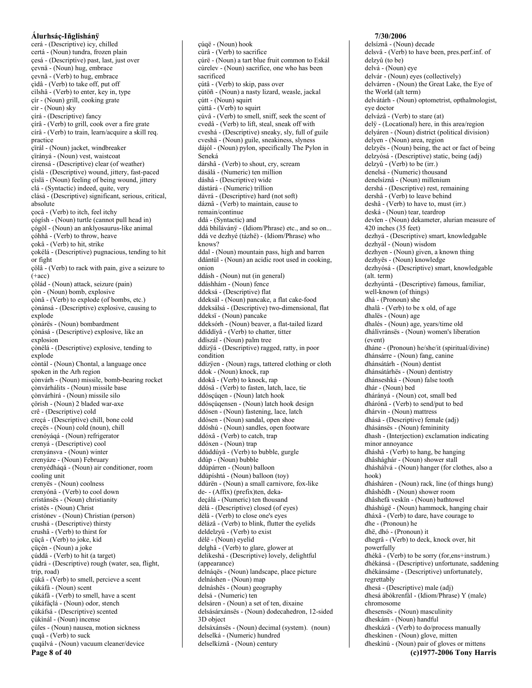cerá - (Descriptive) icy, chilled certá - (Noun) tundra, frozen plain çesá - (Descriptive) past, last, just over çevnä - (Noun) hug, embrace cevnâ - (Verb) to hug, embrace çìdâ - (Verb) to take off, put off cìlshâ - (Verb) to enter, key in, type çír - (Noun) grill, cooking grate cìr - (Noun) sky círá - (Descriptive) fancy círâ - (Verb) to grill, cook over a fire grate círâ - (Verb) to train, learn/acquire a skill req. practice çïrál - (Noun) jacket, windbreaker çïrányá - (Noun) vest, waistcoat cìrensá - (Descriptive) clear (of weather) çíslá - (Descriptive) wound, jittery, fast-paced çíslä - (Noun) feeling of being wound, jittery clá - (Syntactic) indeed, quite, very clásá - (Descriptive) significant, serious, critical, absolute çocâ - (Verb) to itch, feel itchy çógísh - (Noun) turtle (cannot pull head in) cógöl - (Noun) an anklyosaurus-like animal çóhhâ - (Verb) to throw, heave çokâ - (Verb) to hit, strike çokélá - (Descriptive) pugnacious, tending to hit or fight çölâ - (Verb) to rack with pain, give a seizure to  $(+acc)$ cölád - (Noun) attack, seizure (pain) çòn - (Noun) bomb, explosive çònâ - (Verb) to explode (of bombs, etc.) cònánsá - (Descriptive) explosive, causing to explode çònárës - (Noun) bombardment cònásá - (Descriptive) explosive, like an explosion çònélá - (Descriptive) explosive, tending to explode còntál - (Noun) Chontal, a language once spoken in the Arh region çònvárh - (Noun) missile, bomb-bearing rocket çònvárhálits - (Noun) missile base çònvárhìrá - (Noun) missile silo cörish - (Noun) 2 bladed war-axe crê - (Descriptive) cold creçá - (Descriptive) chill, bone cold creçës - (Noun) cold (noun), chill crenóyáqá - (Noun) refrigerator crenyá - (Descriptive) cool crenyánsva - (Noun) winter crenyáze - (Noun) February crenyédháqá - (Noun) air conditioner, room cooling unit crenyës - (Noun) coolness crenyónâ - (Verb) to cool down crístánsës - (Noun) christianity crístës - (Noun) Christ crístónev - (Noun) Christian (person) crushá - (Descriptive) thirsty crushâ - (Verb) to thirst for çüçâ - (Verb) to joke, kid çüçén - (Noun) a joke çúddâ - (Verb) to hit (a target) çúdrá - (Descriptive) rough (water, sea, flight, trin road) çúkâ - (Verb) to smell, percieve a scent cúkáfá - (Noun) scent çúkáfâ - (Verb) to smell, have a scent çúkáfáçlá - (Noun) odor, stench çúkáfsá - (Descriptive) scented çúkinál - (Noun) incense çúles - (Noun) nausea, motion sickness çuqâ - (Verb) to suck çuqálvá - (Noun) vacuum cleaner/device Page 8 of 40

cúqë - (Noun) hook cùrâ - (Verb) to sacrifice çúrë - (Noun) a tart blue fruit common to Eskál cùrelev - (Noun) sacrifice, one who has been sacrificed çútâ - (Verb) to skip, pass over cútöñ - (Noun) a nasty lizard, weasle, jackal çútt - (Noun) squirt çúttâ - (Verb) to squirt çúvâ - (Verb) to smell, sniff, seek the scent of cvedâ - (Verb) to lift, steal, sneak off with cveshá - (Descriptive) sneaky, sly, full of guile cveshä - (Noun) guile, sneakiness, slyness dájól - (Noun) pylon, specifically The Pylon in Seneká dárshâ - (Verb) to shout, cry, scream dásálá - (Numeric) ten million dáshá - (Descriptive) wide dástárá - (Numeric) trillion dávrá - (Descriptive) hard (not soft) dáznâ - (Verb) to maintain, cause to remain/continue ddá - (Syntactic) and ddá bhilávány - (Idiom/Phrase) etc., and so on... ddá ve dezhyé (tázhë) - (Idiom/Phrase) who  $knows?$ ddal - (Noun) mountain pass, high and barren ddántül - (Noun) an acidic root used in cooking, onion ddásh - (Noun) nut (in general) ddáshhám - (Noun) fence ddeksá - (Descriptive) flat ddeksál - (Noun) pancake, a flat cake-food ddeksálsá - (Descriptive) two-dimensional, flat ddeksï - (Noun) pancake ddeksórh - (Noun) beaver, a flat-tailed lizard ddíddíyâ - (Verb) to chatter, titter ddïszál - (Noun) palm tree ddízyá - (Descriptive) ragged, ratty, in poor condition ddízÿen - (Noun) rags, tattered clothing or cloth ddok - (Noun) knock, rap ddokâ - (Verb) to knock, rap ddósâ - (Verb) to fasten, latch, lace, tie ddósçúqen - (Noun) latch hook ddóscúgensen - (Noun) latch hook design ddósen - (Noun) fastening, lace, latch ddósen - (Noun) sandal, open shoe ddóshú - (Noun) sandles, open footware ddóxâ - (Verb) to catch, trap ddóxen - (Noun) trap ddúddúyâ - (Verb) to bubble, gurgle ddúp - (Noun) bubble ddúpárren - (Noun) balloon ddúpíshtá - (Noun) balloon (toy) ddúrën - (Noun) a small carnivore, fox-like de- - (Affix) (prefix)ten, dekadeçálá - (Numeric) ten thousand dèlá - (Descriptive) closed (of eyes) dèlâ - (Verb) to close one's eyes dèlázâ - (Verb) to blink, flutter the eyelids deldelzyû - (Verb) to exist dèlë - (Noun) eyelid delghâ - (Verb) to glare, glower at delikeshá - (Descriptive) lovely, delightful (appearance) delnáqës - (Noun) landscape, place picture delnáshen - (Noun) map delnáshës - (Noun) geography delsá - (Numeric) ten delsáren - (Noun) a set of ten, dixaine delsásárxánsës - (Noun) dodecahedron, 12-sided 3D object delsáxánsës - (Noun) decimal (system). (noun) delselká - (Numeric) hundred delselkíznâ - (Noun) century

#### delsíznâ - (Noun) decade delsvâ - (Verb) to have been, pres.perf.inf. of delzvû (to be) delvá - (Noun) eye delvár - (Noun) eyes (collectively) delvárren - (Noun) the Great Lake, the Eye of the World (alt term) delvátárh - (Noun) optometrist, opthalmologist, eve doctor delvázâ - (Verb) to stare (at) dely - (Locational) here, in this area/region delyáren - (Noun) district (political division) delyen - (Noun) area, region delzyës - (Noun) being, the act or fact of being delzyósá - (Descriptive) static, being (adj)  $delay\hat{u} - (Verb)$  to be  $(irr.)$ denelsá - (Numeric) thousand denelsíznâ - (Noun) millenium dershá - (Descriptive) rest, remaining dershâ - (Verb) to leave behind deshâ - (Verb) to have to, must (irr.) deská - (Noun) tear, teardrop devlen - (Noun) dekameter, alurian measure of  $420$  inches  $(35$  feet) dezhyá - (Descriptive) smart, knowledgable dezhyál - (Noun) wisdom dezhyen - (Noun) given, a known thing dezhyës - (Noun) knowledge dezhyósá - (Descriptive) smart, knowledgable  $(alt. term)$ dezhyúntá - (Descriptive) famous, familiar, well-known (of things) dhá - (Pronoun) she dhalâ - (Verb) to be x old, of age dhalës - (Noun) age dhalés - (Noun) age, years/time old dhálívránsës - (Noun) women's liberation (event) dháne - (Pronoun) he/she/it (spiritual/divine) dhánsárre - (Noun) fang, canine dhánsátárh - (Noun) dentist dhánsátárhës - (Noun) dentistry dhánseshká - (Noun) false tooth dhár - (Noun) bed dhárányá - (Noun) cot, small bed dhárónâ - (Verb) to send/put to bed dhárvin - (Noun) mattress dhásá - (Descriptive) female (adj) dhásánsës - (Noun) femininity dhash - (Interjection) exclamation indicating minor annoyance dháshâ - (Verb) to hang, be hanging dhâshághár - (Noun) shower stall dháshálvá - (Noun) hanger (for clothes, also a  $h \circ \circ k$ dhásháren - (Noun) rack, line (of things hung) dhâshédh - (Noun) shower room dhâshefá veskïn - (Noun) bathtowel dháshúgë - (Noun) hammock, hanging chair dháxâ - (Verb) to dare, have courage to dhe - (Pronoun) he dhë, dhó - (Pronoun) it dhegrâ - (Verb) to deck, knock over, hit powerfully dhékâ - (Verb) to be sorry (for, ens+instrum.) dhékánsá - (Descriptive) unfortunate, saddening dhékánsáme - (Descriptive) unfortunately, regrettably dhesá - (Descriptive) male (adj) dhesá ábókrenfál - (Idiom/Phrase) Y (male) chromosome dhesensës - (Noun) masculinity dheskám - (Noun) handful dheskázâ - (Verb) to do/process manually dheskinen - (Noun) glove, mitten dheskinú - (Noun) pair of gloves or mittens (c)1977-2006 Tony Harris

7/30/2006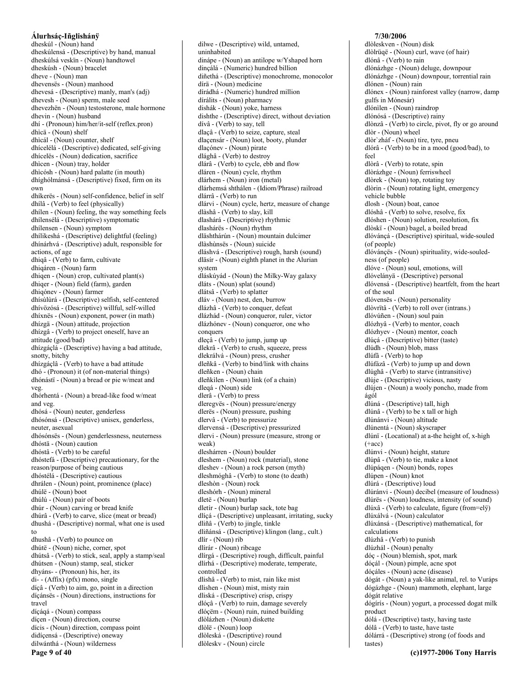dheskúl - (Noun) hand dheskúlensá - (Descriptive) by hand, manual dheskúlsá veskïn - (Noun) handtowel dheskúsh - (Noun) bracelet dheve - (Noun) man dhevensës - (Noun) manhood dhevesá - (Descriptive) manly, man's (adj) dhevesh - (Noun) sperm, male seed dhevezhën - (Noun) testosterone, male hormone dhevin - (Noun) husband dhí - (Pronoun) him/her/it-self (reflex.pron) dhìcä - (Noun) shelf dhìcál - (Noun) counter, shelf dhícelélá - (Descriptive) dedicated, self-giving dhícelës - (Noun) dedication, sacrifice dhìcen - (Noun) tray, holder dhìcósh - (Noun) hard palatte (in mouth) dhíghólmánsá - (Descriptive) fixed, firm on its own dhíkerës - (Noun) self-confidence, belief in self dhílâ - (Verb) to feel (physically) dhílen - (Noun) feeling, the way something feels dhílensélá - (Descriptive) symptomatic dhilensen - (Noun) symptom dhílikeshá - (Descriptive) delightful (feeling) dhínárhvá - (Descriptive) adult, responsible for actions, of age dhiqâ - (Verb) to farm, cultivate dhiqáren - (Noun) farm dhiqen - (Noun) crop, cultivated plant(s) dhiqer - (Noun) field (farm), garden dhiqónev - (Noun) farmer dhísùlùrá - (Descriptive) selfish, self-centered dhívözósá - (Descriptive) willful, self-willed dhíxnës - (Noun) exponent, power (in math) dhízgä - (Noun) attitude, projection dhízgâ - (Verb) to project oneself, have an attitude (good/bad) dhízgáçlá - (Descriptive) having a bad attitude, snotty, bitchy dhízgáçlâ - (Verb) to have a bad attitude  $dhó - (Pronoun)$  it (of non-material things) dhónásti - (Noun) a bread or pie w/meat and veg. dhórhentá - (Noun) a bread-like food w/meat and veg. dhósá - (Noun) neuter, genderless dhósónsá - (Descriptive) unisex, genderless, neuter, asexual dhósónsës - (Noun) genderlessness, neuterness dhóstä - (Noun) caution dhóstâ - (Verb) to be careful dhóstefá - (Descriptive) precautionary, for the reason/purpose of being cautious dhóstélá - (Descriptive) cautious dhrálen - (Noun) point, prominence (place) dhúlë - (Noun) boot dhúlú - (Noun) pair of boots dhúr - (Noun) carving or bread knife dhúrâ - (Verb) to carve, slice (meat or bread) dhushá - (Descriptive) normal, what one is used to dhushâ - (Verb) to pounce on dhútë - (Noun) niche, corner, spot dhútsâ - (Verb) to stick, seal, apply a stamp/seal dhútsen - (Noun) stamp, seal, sticker dhyáns-- (Pronoun) his, her, its di- - (Affix) (pfx) mono, single díçâ - (Verb) to aim, go, point in a direction díçánsës - (Noun) directions, instructions for travel díçáqá - (Noun) compass díçen - (Noun) direction, course dícis - (Noun) direction, compass point didícensá - (Descriptive) oneway dilwánthá - (Noun) wilderness Page 9 of 40

dilwe - (Descriptive) wild, untamed, uninhabited dinápe - (Noun) an antilope w/Yshaped horn dinçálá - (Numeric) hundred billion diñethá - (Descriptive) monochrome, monocolor dírä - (Noun) medicine dírádhá - (Numeric) hundred million dírálits - (Noun) pharmacy dishák - (Noun) yoke, harness dishthe - (Descriptive) direct, without deviation dívâ - (Verb) to say, tell dlaçâ - (Verb) to seize, capture, steal dlaçensár - (Noun) loot, booty, plunder dlaçónev - (Noun) pirate dlághâ - (Verb) to destroy dlárâ - (Verb) to cycle, ebb and flow dláren - (Noun) cycle, rhythm dlárhem - (Noun) iron (metal) dlárhemsá shthálen - (Idiom/Phrase) railroad dlárrâ - (Verb) to run dlárvi - (Noun) cycle, hertz, measure of change dlàshâ - (Verb) to slay, kill dlashárá - (Descriptive) rhythmic dlashárës - (Noun) rhythm dläshthárún - (Noun) mountain dulcimer dlàshùnsës - (Noun) suicide dláshvá - (Descriptive) rough, harsh (sound) dläsír - (Noun) eighth planet in the Alurian system dláskúyád - (Noun) the Milky-Way galaxy dláts - (Noun) splat (sound) dlátsâ - (Verb) to splatter dláv - (Noun) nest, den, burrow dlázhâ - (Verb) to conquer, defeat dlázhád - (Noun) conqueror, ruler, victor dlázhónev - (Noun) conqueror, one who conquers dleçâ - (Verb) to jump, jump up dlekrâ - (Verb) to crush, squeeze, press dlekrálvá - (Noun) press, crusher dleñkâ - (Verb) to bind/link with chains dleñken - (Noun) chain dleñkilen - (Noun) link (of a chain) dlegá - (Noun) side dlerâ - (Verb) to press dleregyës - (Noun) pressure/energy dlerës - (Noun) pressure, pushing dlervâ - (Verb) to pressurize dlervensá - (Descriptive) pressurized dlervi - (Noun) pressure (measure, strong or weak) dleshárren - (Noun) boulder dleshem - (Noun) rock (material), stone dleshev - (Noun) a rock person (myth) dleshmóghâ - (Verb) to stone (to death) dleshòn - (Noun) rock dleshórh - (Noun) mineral dletë - (Noun) burlap dletír - (Noun) burlap sack, tote bag dlíçá - (Descriptive) unpleasant, irritating, sucky dliñâ - (Verb) to jingle, tinkle dliñánsá - (Descriptive) klingon (lang., cult.) dlír - (Noun) rib dlírár - (Noun) ribcage dlírgá - (Descriptive) rough, difficult, painful dlírhá - (Descriptive) moderate, temperate, controlled dlishâ - (Verb) to mist, rain like mist dlishen - (Noun) mist, misty rain dliská - (Descriptive) crisp, crispy dlóçâ - (Verb) to ruin, damage severely dlóçëm - (Noun) ruin, ruined building dlòlázhen - (Noun) diskette dlòlë - (Noun) loop dlòleská - (Descriptive) round dlòlesky - (Noun) circle

#### 7/30/2006 dlòleskven - (Noun) disk dlòlrüqë - (Noun) curl, wave (of hair) dlónâ - (Verb) to rain dlónázhge - (Noun) deluge, downpour dlónázhge - (Noun) downpour, torrential rain dlónen - (Noun) rain dlónex - (Noun) rainforest valley (narrow, damp gulfs in Mónesár) dlónìlen - (Noun) raindrop dlónósá - (Descriptive) rainy dlònzâ - (Verb) to circle, pivot, fly or go around dlòr - (Noun) wheel dlòr'zháf - (Noun) tire, tyre, pneu dlórâ - (Verb) to be in a mood (good/bad), to feel dlòrâ - (Verb) to rotate, spin dlòrázhge - (Noun) ferriswheel dlòrek - (Noun) top, rotating toy dlòrin - (Noun) rotating light, emergency vehicle bubble dlosh - (Noun) boat, canoe dlóshâ - (Verb) to solve, resolve, fix dlóshen - (Noun) solution, resolution, fix dlòskï - (Noun) bagel, a boiled bread dlóváncá - (Descriptive) spiritual, wide-souled (of people) dlóvánçës - (Noun) spirituality, wide-souledness (of people) dlóve - (Noun) soul, emotions, will dlóvelányä - (Descriptive) personal dlóvensá - (Descriptive) heartfelt, from the heart of the soul dlóvensës - (Noun) personality dlòvritâ - (Verb) to roll over (intrans.) dlóvúñen - (Noun) soul pain dlózhyâ - (Verb) to mentor, coach dlózhyev - (Noun) mentor, coach dlúcá - (Descriptive) bitter (taste)  $dlúdh - (Noun) blob, mass$ dlúfâ - (Verb) to hop dlúfázâ - (Verb) to jump up and down  $d$ lúghâ - (Verb) to starve (intransitive) dlúje - (Descriptive) vicious, nasty dlújen - (Noun) a wooly poncho, made from ágól dlúná - (Descriptive) tall, high dlúnâ - (Verb) to be x tall or high dlúnánvi - (Noun) altitude dlúnentá - (Noun) skyscraper dlúnï - (Locational) at a-the height of, x-high  $(+acc)$ dlúnvi - (Noun) height, stature dlúpâ - (Verb) to tie, make a knot dlúpáqen - (Noun) bonds, ropes dlúpen - (Noun) knot dlúrá - (Descriptive) loud dlúránvi - (Noun) decibel (measure of loudness) dlúrës - (Noun) loudness, intensity (of sound) dlúxâ - (Verb) to calculate, figure (from=elÿ) dlúxálvá - (Noun) calculator dlúxánsá - (Descriptive) mathematical, for calculations dlúzhâ - (Verb) to punish dlúzhál - (Noun) penalty dóç - (Noun) blemish, spot, mark dóçál - (Noun) pimple, acne spot dóçáles - (Noun) acne (disease) dógát - (Noun) a yak-like animal, rel. to Vuráps dógázhge - (Noun) mammoth, elephant, large dógát relative dógírís - (Noun) yogurt, a processed dogat milk product dólá - (Descriptive) tasty, having taste dólâ - (Verb) to taste, have taste dólárrá - (Descriptive) strong (of foods and tastes)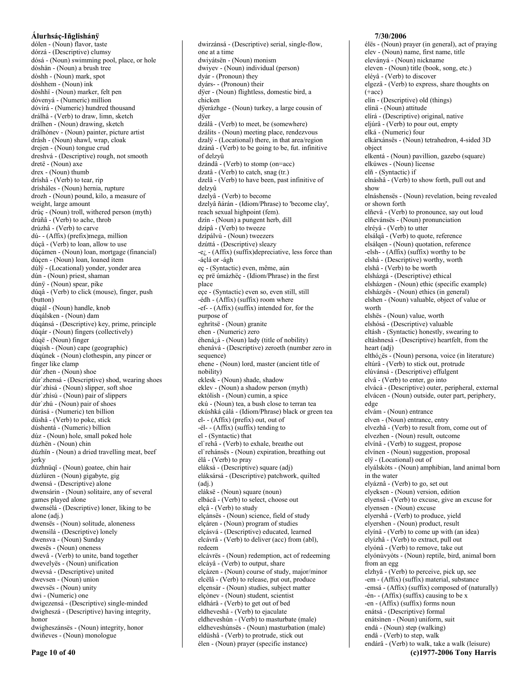dólen - (Noun) flavor, taste dórzá - (Descriptive) clumsy dósá - (Noun) swimming pool, place, or hole dòshän - (Noun) a brush tree dòshh - (Noun) mark, spot dòshhem - (Noun) ink dòshhï - (Noun) marker, felt pen dóvenyá - (Numeric) million dóvírá - (Numeric) hundred thousand drálhâ - (Verb) to draw, limn, sketch drálhen - (Noun) drawing, sketch drálhónev - (Noun) painter, picture artist drásh - (Noun) shawl, wrap, cloak drejen - (Noun) tongue crud dreshvá - (Descriptive) rough, not smooth dretë - (Noun) axe drex - (Noun) thumb dríshâ - (Verb) to tear, rip drísháles - (Noun) hernia, rupture drozh - (Noun) pound, kilo, a measure of weight, large amount drúç - (Noun) troll, withered person (myth) drúñâ - (Verb) to ache, throb drúzhâ - (Verb) to carve dú--(Affix) (prefix) mega, million dúçâ - (Verb) to loan, allow to use dúçámen - (Noun) loan, mortgage (financial) dúçen - (Noun) loan, loaned item dúlÿ - (Locational) yonder, yonder area dún - (Noun) priest, shaman  $d$ únÿ - (Noun) spear, pike dúqâ - (Verb) to click (mouse), finger, push (button) dúqál - (Noun) handle, knob dúqálsken - (Noun) dam dúqánsá - (Descriptive) key, prime, principle dúqár - (Noun) fingers (collectively) dúqë - (Noun) finger dúqish - (Noun) cape (geographic) dúqúnek - (Noun) clothespin, any pincer or finger like clamp dúr'zhen - (Noun) shoe dúr'zhensá - (Descriptive) shod, wearing shoes dúr'zhisá - (Noun) slipper, soft shoe dúr'zhisú - (Noun) pair of slippers dúr'zhú - (Noun) pair of shoes dúrásá - (Numeric) ten billion düshâ - (Verb) to poke, stick dúshentá - (Numeric) billion dúz - (Noun) hole, small poked hole dúzhën - (Noun) chin dúzhïn - (Noun) a dried travelling meat, beef jerky dúzhnüqî - (Noun) goatee, chin hair dúzlúren - (Noun) gigabyte, gig dwensá - (Descriptive) alone dwensárin - (Noun) solitaire, any of several games played alone dwensélá - (Descriptive) loner, liking to be alone (adj.) dwensës - (Noun) solitude, aloneness dwensilá - (Descriptive) lonely dwensva - (Noun) Sunday dwesës - (Noun) oneness dwevâ - (Verb) to unite, band together dwevelyës - (Noun) unification dwevsá - (Descriptive) united dwevsen - (Noun) union dwevsës - (Noun) unity dwi - (Numeric) one dwigezensá - (Descriptive) single-minded dwigheszá - (Descriptive) having integrity, honor dwigheszánsës - (Noun) integrity, honor dwiñeves - (Noun) monologue

one at a time dwiyátsën - (Noun) monism dwiyev - (Noun) individual (person)  $dv$ ár - (Pronoun) they dyárs-- (Pronoun) their dyer - (Noun) flightless, domestic bird, a chicken dÿerázhge - (Noun) turkey, a large cousin of dÿer dzálâ - (Verb) to meet, be (somewhere) dzálits - (Noun) meeting place, rendezvous dzalÿ - (Locational) there, in that area/region dzánâ - (Verb) to be going to be, fut. infinitive of delzyû  $dzánd\hat{a} - (Verb)$  to stomp (on=acc) dzatâ - (Verb) to catch, snag (tr.) dzelâ - (Verb) to have been, past infinitive of delzyû dzelyâ - (Verb) to become dzelyâ ñárán - (Idiom/Phrase) to 'become clay', reach sexual highpoint (fem). dzín - (Noun) a pungent herb, dill dzípâ - (Verb) to tweeze dzípálvú - (Noun) tweezers dzúttá - (Descriptive) sleazy  $-e_{\xi}$  - (Affix) (suffix) depreciative, less force than -áclá or -ágh eç - (Syntactic) even, même, aún eç prë úmázhëç - (Idiom/Phrase) in the first place eçe - (Syntactic) even so, even still, still -édh - (Affix) (suffix) room where -ef- - (Affix) (suffix) intended for, for the purpose of eghrìtsë - (Noun) granite ehen - (Numeric) zero éhenázá - (Noun) lady (title of nobility) ehenává - (Descriptive) zeroeth (number zero in sequence) ehene - (Noun) lord, master (ancient title of nobility) eklesk - (Noun) shade, shadow eklev - (Noun) a shadow person (myth) ektólish - (Noun) cumin, a spice ekú - (Noun) tea, a bush close to terran tea ekúshká çálá - (Idiom/Phrase) black or green tea  $el--(Affix)$  (prefix) out, out of -él- - (Affix) (suffix) tending to el - (Syntactic) that el'rehâ - (Verb) to exhale, breathe out el rehánsës - (Noun) expiration, breathing out élâ - (Verb) to pray eláksá - (Descriptive) square (adj) eláksársá - (Descriptive) patchwork, quilted  $(adj.)$ eláksë - (Noun) square (noun) elbácâ - (Verb) to select, choose out elçâ - (Verb) to study elçánsës - (Noun) science, field of study elcáren - (Noun) program of studies elçásvá - (Descriptive) educated, learned elcávrâ - (Verb) to deliver (acc) from (abl), redeem elcávrës - (Noun) redemption, act of redeeming elcáyâ - (Verb) to output, share elçázen - (Noun) course of study, major/minor elcëlâ - (Verb) to release, put out, produce elçensár - (Noun) studies, subject matter elçónev - (Noun) student, scientist eldhárâ - (Verb) to get out of bed eldheveshâ - (Verb) to ejaculate eldheveshùn - (Verb) to masturbate (male) eldheveshùnsës - (Noun) masturbation (male) eldüshâ - (Verb) to protrude, stick out

élen - (Noun) prayer (specific instance)

dwirzánsá - (Descriptive) serial, single-flow,

#### 7/30/2006

élës - (Noun) prayer (in general), act of praying elev - (Noun) name, first name, title eleványá - (Noun) nickname eleven - (Noun) title (book, song, etc.) elévâ - (Verb) to discover elgezâ - (Verb) to express, share thoughts on  $(+acc)$ elín - (Descriptive) old (things) elìnä - (Noun) attitude elírá - (Descriptive) original, native eljúrâ - (Verb) to pour out, empty elká - (Numeric) four elkárxánsës - (Noun) tetrahedron, 4-sided 3D obiect elkentá - (Noun) pavillion, gazebo (square) elkúwes - (Noun) license elñ - (Syntactic) if elnáshâ - (Verb) to show forth, pull out and show elnáshensës - (Noun) revelation, being revealed or shown forth elñevâ - (Verb) to pronounce, say out loud elñevánsës - (Noun) pronunciation elrévâ - (Verb) to utter elsálgâ - (Verb) to quote, reference elsálqen - (Noun) quotation, reference -elsh- - (Affix) (suffix) worthy to be elshá - (Descriptive) worthy, worth elshâ - (Verb) to be worth elsházgá - (Descriptive) ethical elsházgen - (Noun) ethic (specific example) elsházgës - (Noun) ethics (in general) elshen - (Noun) valuable, object of value or worth elshës - (Noun) value, worth elshósá - (Descriptive) valuable eltásh - (Syntactic) honestly, swearing to eltáshnesá - (Descriptive) heartfelt, from the heart (adi) elthó¿ës - (Noun) persona, voice (in literature) eltúrâ - (Verb) to stick out, protrude elúvánsá - (Descriptive) effulgent elvâ - (Verb) to enter, go into elvácá - (Descriptive) outer, peripheral, external elvácen - (Noun) outside, outer part, periphery, edge elvám - (Noun) entrance elven - (Noun) entrance, entry elvezhâ - (Verb) to result from, come out of elvezhen - (Noun) result, outcome elvínâ - (Verb) to suggest, propose elvínen - (Noun) suggestion, proposal elÿ - (Locational) out of elyálskòts - (Noun) amphibian, land animal born in the water elyáznâ - (Verb) to go, set out elyeksen - (Noun) version, edition elyensâ - (Verb) to excuse, give an excuse for elyensen - (Noun) excuse elyershâ - (Verb) to produce, yield elyershen - (Noun) product, result elyínâ - (Verb) to come up with (an idea) elyízhâ - (Verb) to extract, pull out elyónâ - (Verb) to remove, take out elyónùvyòts - (Noun) reptile, bird, animal born from an egg elzhyâ - (Verb) to perceive, pick up, see -em - (Affix) (suffix) material, substance -emsá - (Affix) (suffix) composed of (naturally)  $-\n\text{én-} - (Affix)$  (suffix) causing to be x -en -  $(Affix)$  (suffix) forms noun enátsá - (Descriptive) formal enátsinen - (Noun) uniform, suit endá - (Noun) step (walking) endâ - (Verb) to step, walk endárâ - (Verb) to walk, take a walk (leisure) (c)1977-2006 Tony Harris

Page 10 of 40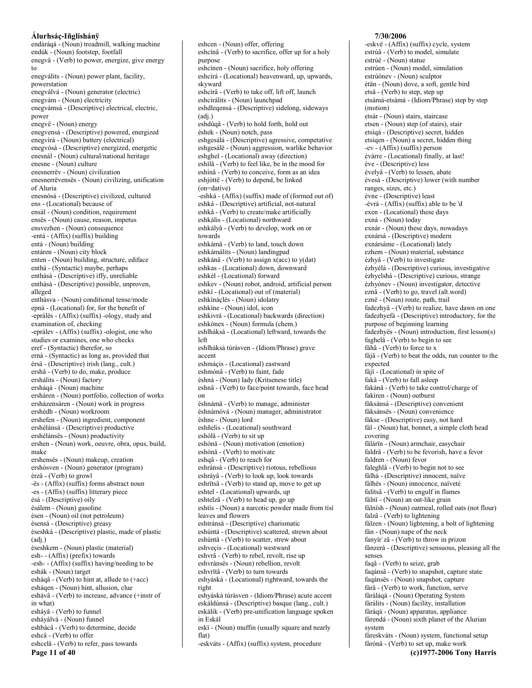endárágá - (Noun) treadmill, walking machine endúk - (Noun) footstep, footfall enegvâ - (Verb) to power, energize, give energy to enegválits - (Noun) power plant, facility, powerstation enegválvá - (Noun) generator (electric) enegvám - (Noun) electricity enegvámsá - (Descriptive) electrical, electric, power enegvë - (Noun) energy enegvensá - (Descriptive) powered, energized enegvìrá - (Noun) battery (electrical) enegvósá - (Descriptive) energized, energetic enesnál - (Noun) cultural/national heritage enesne - (Noun) culture enesnerrëv - (Noun) civilization enesnerrëvensës - (Noun) civilizing, unification of Aluria enesnósá - (Descriptive) civilized, cultured ens - (Locational) because of ensál - (Noun) condition, requirement ensës - (Noun) cause, reason, impetus ensvezhen - (Noun) consequence -entá - (Affix) (suffix) building entá - (Noun) building entáren - (Noun) city block enten - (Noun) building, structure, ediface enthá - (Syntactic) maybe, perhaps enthásá - (Descriptive) iffy, unreliable enthásá - (Descriptive) possible, unproven, alleged enthásva - (Noun) conditional tense/mode epná - (Locational) for, for the benefit of -eprálës - (Affix) (suffix) -ology, study and examination of, checking -eprálev - (Affix) (suffix) -ologist, one who studies or examines, one who checks eref - (Syntactic) therefor, so erná - (Syntactic) as long as, provided that érsá - (Descriptive) irish (lang., cult.) ershâ - (Verb) to do, make, produce ershálits - (Noun) factory ersháqá - (Noun) machine ersháren - (Noun) portfolio, collection of works ersházensáren - (Noun) work in progress ershédh - (Noun) workroom ershefen - (Noun) ingredient, component ershélánsá - (Descriptive) productive ershélánsës - (Noun) productivity ershen - (Noun) work, oeuvre, obra, opus, build, make ershensës - (Noun) makeup, creation ershósven - (Noun) generator (program) èrzâ - (Verb) to growl -ës - (Affix) (suffix) forms abstract noun -es - (Affix) (suffix) litterary piece èsá - (Descriptive) oily èsálem - (Noun) gasoline èsen - (Noun) oil (not petroleum) èsensá - (Descriptive) greasy èseshká - (Descriptive) plastic, made of plastic  $(adi.)$ èseshkem - (Noun) plastic (material) esh- - (Affix) (prefix) towards -esh- - (Affix) (suffix) having/needing to be eshák - (Noun) target esháqâ - (Verb) to hint at, allude to (+acc) eshágen - (Noun) hint, allusion, clue eshávâ - (Verb) to increase, advance (+instr of in what) esháyâ - (Verb) to funnel esháválvá - (Noun) funnel eshbácâ - (Verb) to determine, decide eshcâ - (Verb) to offer eshcelâ - (Verb) to refer, pass towards

Page 11 of 40

eshcìnâ - (Verb) to sacrifice, offer up for a holy nurnose eshcìnen - (Noun) sacrifice, holy offering eshcìrá - (Locational) heavenward, up, upwards, skyward eshcìrâ - (Verb) to take off, lift off, launch eshcìrálits - (Noun) launchpad eshdleqensá - (Descriptive) sidelong, sideways  $(adi.)$ eshdúqâ - (Verb) to hold forth, hold out éshek - (Noun) notch, pass eshgesálá - (Descriptive) agressive, competative eshgesálë - (Noun) aggression, warlike behavior eshghel - (Locational) away (direction) eshilâ - (Verb) to feel like, be in the mood for eshínâ - (Verb) to conceive, form as an idea eshjóttê - (Verb) to depend, be linked (on=dative) -eshká - (Affix) (suffix) made of (formed out of) eshká - (Descriptive) artificial, not-natural eshkâ - (Verb) to create/make artificially eshkális - (Locational) northward eshkályâ - (Verb) to develop, work on or towards eshkámâ - (Verb) to land, touch down eshkámálits - (Noun) landingpad eshkánâ - (Verb) to assign x(acc) to y(dat) eshkas - (Locational) down, downward eshkél - (Locational) forward eshkev - (Noun) robot, android, artificial person eshkï - (Locational) out of (material) eshkináçlës - (Noun) idolatry eshkine - (Noun) idol, icon eshkivrá - (Locational) backwards (direction) eshkónex - (Noun) formula (chem.) eshlháksá - (Locational) leftward, towards the  $left$ eshlháksá túrásven - (Idiom/Phrase) grave accent eshmáçis - (Locational) eastward eshmónâ - (Verb) to faint, fade éshná - (Noun) lady (Kritsenese title) eshnâ - (Verb) to face/point towards, face head on éshnámâ - (Verb) to manage, administer éshnámóvá - (Noun) manager, administrator éshne - (Noun) lord eshñelis - (Locational) southward eshólâ - (Verb) to sit up eshónä - (Noun) motivation (emotion) eshónâ - (Verb) to motivate eshqâ - (Verb) to reach for eshránsá - (Descriptive) riotous, rebellious eshráyâ - (Verb) to look up, look towards eshrïtsâ - (Verb) to stand up, move to get up eshtel - (Locational) upwards, up eshtelzâ - (Verb) to head up, go up eshtís - (Noun) a narcotic powder made from tísí leaves and flowers eshtránsá - (Descriptive) charismatic eshúntá - (Descriptive) scattered, strewn about eshúntâ - (Verb) to scatter, strew about eshveçis - (Locational) westward eshvrâ - (Verb) to rebel, revolt, rise up eshvránsës - (Noun) rebellion, revolt eshvrïtâ - (Verb) to turn towards eshyáská - (Locational) rightward, towards the right eshyáská túrásven - (Idiom/Phrase) acute accent eskáldúnsá - (Descriptive) basque (lang., cult.) eskálik - (Verb) pre-unification language spoken in Eskál eskï - (Noun) muffin (usually square and nearly flat)

eshcen - (Noun) offer, offering

-eskváts - (Affix) (suffix) system, procedure

#### 7/30/2006

-eskvë - (Affix) (suffix) cycle, system estrúâ - (Verb) to model, simulate estrúë - (Noun) statue estrúen - (Noun) model, simulation estrúónev - (Noun) sculptor étän - (Noun) dove, a soft, gentle bird etsâ - (Verb) to step, step up etsámá-etsámá - (Idiom/Phrase) step by step (motion) etsár - (Noun) stairs, staircase etsen - (Noun) step (of stairs), stair etsìqá - (Descriptive) secret, hidden etsigen - (Noun) a secret, hidden thing -ev - (Affix) (suffix) person évárre - (Locational) finally, at last! éve - (Descriptive) less évelyâ - (Verb) to lessen, abate évesá - (Descriptive) lower (with number ranges, sizes, etc.) évne - (Descriptive) least -évrá - (Affix) (suffix) able to be 'd exen - (Locational) these days exná - (Noun) today exnár - (Noun) these days, nowadays exnársá - (Descriptive) modern exnársáme - (Locational) lately ezhem - (Noun) material, substance ézhyâ - (Verb) to investigate ézhyélá - (Descriptive) curious, investigative ézhyelshá - (Descriptive) curious, strange ézhyónev - (Noun) investigator, detective eznâ - (Verb) to go, travel (alt.word) eznë - (Noun) route, path, trail fadezhyâ - (Verb) to realize, have dawn on one fadezhyefá - (Descriptive) introductory, for the purpose of beginning learning fadezhyës - (Noun) introduction, first lesson(s) faghelâ - (Verb) to begin to see fáhâ - (Verb) to force to x fájâ - (Verb) to beat the odds, run counter to the expected fáji - (Locational) in spite of fakâ - (Verb) to fall asleep fakánâ - (Verb) to take control/charge of fakiren - (Noun) outburst fáksánsá - (Descriptive) convenient fáksánsës - (Noun) convenience fákse - (Descriptive) easy, not hard fál - (Noun) hat, bonnet, a simple cloth head covering fälárïn - (Noun) armchair, easychair faldrâ - (Verb) to be fevorish, have a fevor faldren - (Noun) fevor faleghlâ - (Verb) to begin not to see fàlhá - (Descriptive) innocent, naïve fàlhës - (Noun) innocence, naïveté falitsâ - (Verb) to engulf in flames fálnï - (Noun) an oat-like grain fálnïsh - (Noun) oatmeal, rolled oats (not flour) falzâ - (Verb) to lightening fálzen - (Noun) lightening, a bolt of lightening fán - (Noun) nape of the neck fanyír'zâ - (Verb) to throw in prizon fánzerá - (Descriptive) sensuous, pleasing all the senses faqâ - (Verb) to seize, grab faqánsâ - (Verb) to snapshot, capture state faqánsës - (Noun) snapshot, capture fárâ - (Verb) to work, function, serve fárálágá - (Noun) Operating System fárálits - (Noun) facility, installation fáráqá - (Noun) apparatus, appliance fárendá - (Noun) sixth planet of the Alurian system fáreskváts - (Noun) system, functional setup fárónâ - (Verb) to set up, make work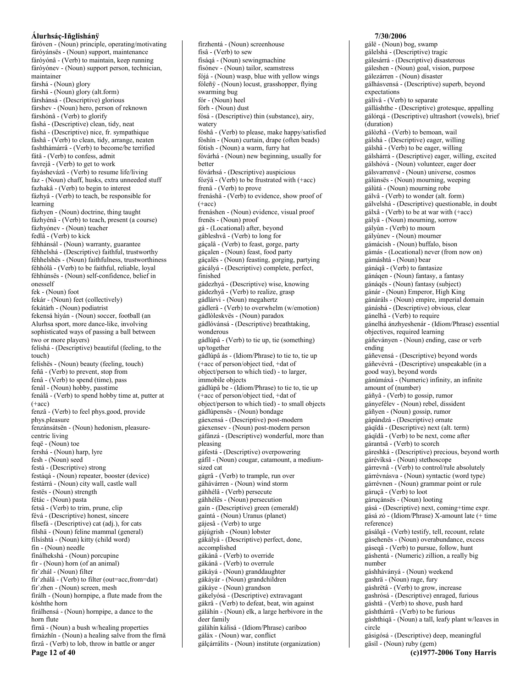fáróven - (Noun) principle, operating/motivating fáróyánsës - (Noun) support, maintenance fáróyónâ - (Verb) to maintain, keep running fáróyónev - (Noun) support person, technician, maintainer fárshá - (Noun) glory fárshä - (Noun) glory (alt.form) fárshánsá - (Descriptive) glorious fárshev - (Noun) hero, person of reknown fárshónâ - (Verb) to glorify fàshá - (Descriptive) clean, tidy, neat fáshá - (Descriptive) nice, fr. sympathique fàshâ - (Verb) to clean, tidy, arrange, neaten fashthámárrâ - (Verb) to become/be terrified fátâ - (Verb) to confess, admit favrejâ - (Verb) to get to work fayáshevázâ - (Verb) to resume life/living faz - (Noun) chaff, husks, extra unneeded stuff fazhakâ - (Verb) to begin to interest fázhyâ - (Verb) to teach, be responsible for learning fázhyen - (Noun) doctrine, thing taught fázhyénâ - (Verb) to teach, present (a course) fázhvónev - (Noun) teacher fedlâ - (Verb) to kick féhhánsál - (Noun) warranty, guarantee féhhelshá - (Descriptive) faithful, trustworthy féhhelshës - (Noun) faithfulness, trustworthiness féhhólâ - (Verb) to be faithful, reliable, loyal féhhùnsës - (Noun) self-confidence, belief in onesself fek - (Noun) foot fekár - (Noun) feet (collectively) fekátárh - (Noun) podiatrist fekensá hìyán - (Noun) soccer, football (an Alurhsa sport, more dance-like, involving sophisticated ways of passing a ball between two or more players) felíshá - (Descriptive) beautiful (feeling, to the touch) felíshës - (Noun) beauty (feeling, touch) feñâ - (Verb) to prevent, stop from fenâ - (Verb) to spend (time), pass fenál - (Noun) hobby, passtime fenálâ - (Verb) to spend hobby time at, putter at  $(+acc)$ fenzâ - (Verb) to feel phys.good, provide phys.pleasure fenzánsátsën - (Noun) hedonism, pleasurecentric living feqë - (Noun) toe fershá - (Noun) harp, lyre fesh - (Noun) seed festá - (Descriptive) strong festáqá - (Noun) repeater, booster (device) festárrá - (Noun) city wall, castle wall festës - (Noun) strength fétác - (Noun) pasta fetsâ - (Verb) to trim, prune, clip févá - (Descriptive) honest, sincere filsefá - (Descriptive) cat (adj.), for cats filshä - (Noun) feline mammal (general) filsíshtá - (Noun) kitty (child word) fín - (Noun) needle fínálhekshá - (Noun) porcupine fir - (Noun) horn (of an animal) fir'zhál - (Noun) filter fir`zhálâ - (Verb) to filter (out=acc, from=dat) fir'zhen - (Noun) screen, mesh firálh - (Noun) hornpipe, a flute made from the kóshthe horn firálhensá - (Noun) hornpipe, a dance to the horn flute fírnä - (Noun) a bush w/healing properties fírnázhïn - (Noun) a healing salve from the fírnä fírzâ - (Verb) to lob, throw in battle or anger Page 12 of 40

fírzhentá - (Noun) screenhouse físâ - (Verb) to sew físágá - (Noun) sewingmachine físónev - (Noun) tailor, seamstress fójá - (Noun) wasp, blue with yellow wings fóleñy - (Noun) locust, grasshopper, flying swarming bug fór - (Noun) heel fòrh - (Noun) dust fósá - (Descriptive) thin (substance), airy, watery fóshâ - (Verb) to please, make happy/satisfied fòshín - (Noun) curtain, drape (often beads) fótish - (Noun) a warm, furry hat fóvárhá - (Noun) new beginning, usually for hetter fóvárhsá - (Descriptive) auspicious fózÿâ - (Verb) to be frustrated with (+acc) frenâ - (Verb) to prove frenáshâ - (Verb) to evidence, show proof of  $(+acc)$ frenáshen - (Noun) evidence, visual proof frenës - (Noun) proof gá - (Locational) after, bevond gábleshvâ - (Verb) to long for gáçalâ - (Verb) to feast, gorge, party gáçalen - (Noun) feast, food party gáçalës - (Noun) feasting, gorging, partying gácályá - (Descriptive) complete, perfect, finished gádezhyá - (Descriptive) wise, knowing gádezhyâ - (Verb) to realize, grasp gádlárvi - (Noun) megahertz gádlerâ - (Verb) to overwhelm (w/emotion) gádlòleskvës - (Noun) paradox gádlóvánsá - (Descriptive) breathtaking, wonderous gádlúpâ - (Verb) to tie up, tie (something) un/together gádlúpâ ás - (Idiom/Phrase) to tie to, tie up (+acc of person/object tied, +dat of object/person to which tied) - to larger, immobile objects gádlúpâ be - (Idiom/Phrase) to tie to, tie up (+acc of person/object tied, +dat of object/person to which tied) - to small objects gádlúpensës - (Noun) bondage gáexensá - (Descriptive) post-modern gáexensev - (Noun) post-modern person gáfánzá - (Descriptive) wonderful, more than pleasing gáfestá - (Descriptive) overpowering gáfil - (Noun) cougar, catamount, a mediumsized cat gágrâ - (Verb) to trample, run over gáhávárren - (Noun) wind storm gáhhélâ - (Verb) persecute gáhhélës - (Noun) persecution gaín - (Descriptive) green (emerald) gaíntá - (Noun) Uranus (planet) gájesâ - (Verb) to urge gájúgrish - (Noun) lobster gákályá - (Descriptive) perfect, done, accomplished gákánâ - (Verb) to override gákánâ - (Verb) to overrule gákáyá - (Noun) granddaughter gákáyár - (Noun) grandchildren gákáye - (Noun) grandson gákelyósá - (Descriptive) extravagant gákrâ - (Verb) to defeat, beat, win against gáláhín - (Noun) elk, a large herbivore in the deer family gáláhín kálisá - (Idiom/Phrase) cariboo gáláx - (Noun) war, conflict gálçárrálits - (Noun) institute (organization)

#### 7/30/2006 gálë - (Noun) bog, swamp gálelshá - (Descriptive) tragic gálesárrá - (Descriptive) disasterous gáleshen - (Noun) goal, vision, purpose gálezárren - (Noun) disaster gálhásvensá - (Descriptive) superb, beyond expectations gálívâ - (Verb) to separate gálláshthe - (Descriptive) grotesque, appalling gálórgá - (Descriptive) ultrashort (vowels), brief (duration) gálòzhâ - (Verb) to bemoan, wail gálshá - (Descriptive) eager, willing gálshâ - (Verb) to be eager, willing gálshárrá - (Descriptive) eager, willing, excited gálshóvá - (Noun) volunteer, eager doer gálsvarrenvë - (Noun) universe, cosmos gálùnsës - (Noun) mourning, weeping gálùtá - (Noun) mourning robe  $\overline{g}$ álvâ - (Verb) to wonder (alt. form) gálvelshá - (Descriptive) questionable, in doubt gálxâ - (Verb) to be at war with (+acc) gályä - (Noun) mourning, sorrow gályùn - (Verb) to mourn gályùnev - (Noun) mourner gámácish - (Noun) buffalo, bison gámás - (Locational) never (from now on) gámáshtá - (Noun) bear gánáqâ - (Verb) to fantasize gánáqen - (Noun) fantasy, a fantasy gánágës - (Noun) fantasy (subject) gánár - (Noun) Emperor, High King gánáráls - (Noun) empire, imperial domain gánáshá - (Descriptive) obvious, clear gánelhâ - (Verb) to require gánelhá ánzhyeshenár - (Idiom/Phrase) essential objectives, required learning gáñeványen - (Noun) ending, case or verb ending gáñevensá - (Descriptive) beyond words gáñevévrá - (Descriptive) unspeakable (in a good way), beyond words gánúmáxá - (Numeric) infinity, an infinite amount of (number) gáñyâ - (Verb) to gossip, rumor gányefélev - (Noun) rebel, dissident gáñyen - (Noun) gossip, rumor gápándzá - (Descriptive) ornate gáqïdá - (Descriptive) next (alt. term) gáqïdâ - (Verb) to be next, come after gárantsâ - (Verb) to scorch gáreshká - (Descriptive) precious, beyond worth gárévíksá - (Noun) stethoscope gárrevnâ - (Verb) to control/rule absolutely gárrévnásva - (Noun) syntactic (word type) gárrévnen - (Noun) grammar point or rule gáruçâ - (Verb) to loot gáruçánsës - (Noun) looting gásá - (Descriptive) next, coming+time expr. gásá zó - (Idiom/Phrase) X-amount late (+ time reference) gásálqâ - (Verb) testify, tell, recount, relate gásehenës - (Noun) overabundance, excess gáseqâ - (Verb) to pursue, follow, hunt gáshentá - (Numeric) zillion, a really big number gáshháványá - (Noun) weekend gashrä - (Noun) rage, fury gáshrëtâ - (Verb) to grow, increase gashrósá - (Descriptive) enraged, furious gáshtâ - (Verb) to shove, push hard gáshthárrâ - (Verb) to be furious gáshthiqä - (Noun) a tall, leafy plant w/leaves in circle gásigósá - (Descriptive) deep, meaningful gäsíl - (Noun) ruby (gem)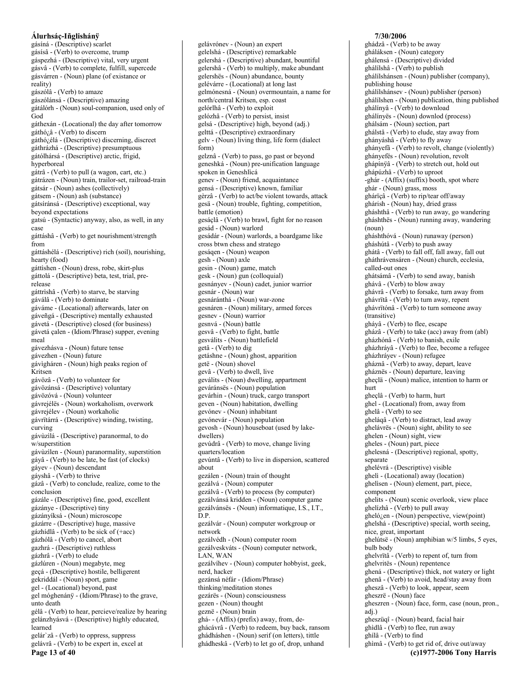gásíná - (Descriptive) scarlet gásísâ - (Verb) to overcome, trump gáspezhá - (Descriptive) vital, very urgent gásvâ - (Verb) to complete, fulfill, supercede gásvárren - (Noun) plane (of existance or reality) gászólâ - (Verb) to amaze gászólánsá - (Descriptive) amazing gátálórh - (Noun) soul-companion, used only of God gáthexán - (Locational) the day after tomorrow gáthó¿â - (Verb) to discern gáthó¿élá - (Descriptive) discerning, discreet gáthrázhá - (Descriptive) presumptuous gátólhársá - (Descriptive) arctic, frigid, hyperboreal gátrâ - (Verb) to pull (a wagon, cart, etc.) gátrázen - (Noun) train, trailor-set, railroad-train gátsár - (Noun) ashes (collectively) gátsem - (Noun) ash (substance) gátsíránsá - (Descriptive) exceptional, way beyond expectations gatsú - (Syntactic) anyway, also, as well, in any case gáttáshâ - (Verb) to get nourishment/strength from gáttáshélá - (Descriptive) rich (soil), nourishing, hearty (food) gáttìshen - (Noun) dress, robe, skirt-plus gáttolá - (Descriptive) beta, test, trial, prerelease gáttrìshâ - (Verb) to starve, be starving gáválâ - (Verb) to dominate gáváme - (Locational) afterwards, later on gáveñgá - (Descriptive) mentally exhausted gávetá - (Descriptive) closed (for business) gávetá çalen - (Idiom/Phrase) supper, evening meal gávezhásva - (Noun) future tense gávezhen - (Noun) future gávigháren - (Noun) high peaks region of Kritsen gávözâ - (Verb) to volunteer for gávözánsá - (Descriptive) voluntary gávözóvá - (Noun) volunteer gávrejélës - (Noun) workaholism, overwork gávrejélev - (Noun) workaholic gávrïtárrá - (Descriptive) winding, twisting, curving gávùzilá - (Descriptive) paranormal, to do w/superstition gávùzilen - (Noun) paranormality, superstition gáyâ - (Verb) to be late, be fast (of clocks) gáyev - (Noun) descendant gáyshâ - (Verb) to thrive gázâ - (Verb) to conclude, realize, come to the conclusion gázále - (Descriptive) fine, good, excellent gázánye - (Descriptive) tiny gázányíksá - (Noun) microscope gázárre - (Descriptive) huge, massive gázhídlâ - (Verb) to be sick of (+acc) gázhólâ - (Verb) to cancel, abort gazhrá - (Descriptive) ruthless gázhrâ - (Verb) to elude gázlúren - (Noun) megabyte, meg geçá - (Descriptive) hostile, belligerent gekriddál - (Noun) sport, game gel - (Locational) beyond, past gel móghenánÿ - (Idiom/Phrase) to the grave, unto death gélâ - (Verb) to hear, percieve/realize by hearing gelánzhyásvá - (Descriptive) highly educated, learned gelár'zâ - (Verb) to oppress, suppress gelávrâ - (Verb) to be expert in, excel at

Page 13 of 40

gelávrónev - (Noun) an expert gelelshá - (Descriptive) remarkable gelershá - (Descriptive) abundant, bountiful gelershâ - (Verb) to multiply, make abundant gelershës - (Noun) abundance, bounty gelévárre - (Locational) at long last gelmónesná - (Noun) overmountain, a name for north/central Kritsen, esp. coast gelórlhâ - (Verb) to exploit gelózhâ - (Verb) to persist, insist gelsá - (Descriptive) high, beyond (adj.) gelttá - (Descriptive) extraordinary gelv - (Noun) living thing, life form (dialect form) gelznâ - (Verb) to pass, go past or beyond geneshká - (Noun) pre-unification language spoken in Geneshlìcá genev - (Noun) friend, acquaintance gensá - (Descriptive) known, familiar gèrzâ - (Verb) to act/be violent towards, attack gesä - (Noun) trouble, fighting, competition, battle (emotion) gesáçlâ - (Verb) to brawl, fight for no reason gesád - (Noun) warlord gesádár - (Noun) warlords, a boardgame like cross btwn chess and stratego gesáqen - (Noun) weapon gesh - (Noun) axle gesin - (Noun) game, match gesk - (Noun) gun (colloquial) gesnányev - (Noun) cadet, junior warrior gesnár - (Noun) war gesnáránthá - (Noun) war-zone gesnáren - (Noun) military, armed forces gesnev - (Noun) warrior gesnvá - (Noun) battle gesvâ - (Verb) to fight, battle gesválits - (Noun) battlefield getâ - (Verb) to dig getáshne - (Noun) ghost, apparition getë - (Noun) shovel gevâ - (Verb) to dwell, live geválits - (Noun) dwelling, appartment geváránsës - (Noun) population gevárhin - (Noun) truck, cargo transport geven - (Noun) habitation, dwelling gevónev - (Noun) inhabitant gevónevár - (Noun) population gevosh - (Noun) houseboat (used by lakedwellers) gevúdrâ - (Verb) to move, change living quarters/location gevúntâ - (Verb) to live in dispersion, scattered about gezálen - (Noun) train of thought gezálvá - (Noun) computer gezálvâ - (Verb) to process (by computer) gezálvánsá kridden - (Noun) computer game gezálvánses - (Noun) informatique, I.S., I.T., D.P. gezálvár - (Noun) computer workgroup or network gezálvédh - (Noun) computer room gezálveskváts - (Noun) computer network, LAN, WAN gezálvíhev - (Noun) computer hobbyist, geek, nerd, hacker gezánsá néfár - (Idiom/Phrase) thinking/meditation stones gezárës - (Noun) consciousness gezen - (Noun) thought geznë - (Noun) brain ghá--(Affix) (prefix) away, from, deghácávrâ - (Verb) to redeem, buy back, ransom ghádháshen - (Noun) serif (on letters), tittle

ghádheskâ - (Verb) to let go of, drop, unhand

#### 7/30/2006 ghádzâ - (Verb) to be away gháláksen - (Noun) category ghálensá - (Descriptive) divided ghálílshâ - (Verb) to publish ghálílshánsen - (Noun) publisher (company), publishing house ghálílshánsev - (Noun) publisher (person) ghálílshen - (Noun) publication, thing published ghálínyâ - (Verb) to download ghálínyës - (Noun) downlod (process) ghálsám - (Noun) section, part ghálstâ - (Verb) to elude, stay away from ghányáshâ - (Verb) to fly away ghányefã - (Verb) to revolt, change (violently) ghányefës - (Noun) revolution, revolt ghápínyâ - (Verb) to stretch out, hold out ghápúzhâ - (Verb) to uproot -ghár - (Affix) (suffix) booth, spot where ghár - (Noun) grass, moss ghárïçâ - (Verb) to rip/tear off/away ghárish - (Noun) hay, dried grass gháshthâ - (Verb) to run away, go wandering gháshthës - (Noun) running away, wandering  $(noun)$ gháshthóvá - (Noun) runaway (person) gháshútâ - (Verb) to push away ghátâ - (Verb) to fall off, fall away, fall out gháthrávensáren - (Noun) church, ecclesia, called-out ones ghátsámâ - (Verb) to send away, banish ghávâ - (Verb) to blow away ghávrâ - (Verb) to forsake, turn away from ghávrïtâ - (Verb) to turn away, repent ghávrïtónâ - (Verb) to turn someone away (transitive) gháyâ - (Verb) to flee, escape gházâ - (Verb) to take (acc) away from (abl) gházhónâ - (Verb) to banish, exile gházhráyâ - (Verb) to flee, become a refugee gházhráyev - (Noun) refugee gháznâ - (Verb) to away, depart, leave gháznës - (Noun) departure, leaving gheçlä - (Noun) malice, intention to harm or hurt gheçlâ - (Verb) to harm, hurt ghel - (Locational) from, away from ghelâ - (Verb) to see gheláqâ - (Verb) to distract, lead away ghelávrës - (Noun) sight, ability to see ghelen - (Noun) sight, view gheles - (Noun) part, piece ghelesná - (Descriptive) regional, spotty, separate ghelévrá - (Descriptive) visible ghelì - (Locational) away (location) ghelisen - (Noun) element, part, piece, component ghelits - (Noun) scenic overlook, view place ghelízhâ - (Verb) to pull away gheló<sub>l</sub>en - (Noun) perspective, view(point) ghelshá - (Descriptive) special, worth seeing, nice, great, important ghelútsë - (Noun) amphibian w/5 limbs, 5 eyes, bulb body ghelvrïtâ - (Verb) to repent of, turn from ghelvritës - (Noun) repentence ghená - (Descriptive) thick, not watery or light ghenâ - (Verb) to avoid, head/stay away from gheszâ - (Verb) to look, appear, seem gheszrë - (Noun) face gheszren - (Noun) face, form, case (noun, pron.,  $adj.$ ) gheszüqî - (Noun) beard, facial hair ghìdlâ - (Verb) to flee, run away ghílâ - (Verb) to find ghìmâ - (Verb) to get rid of, drive out/away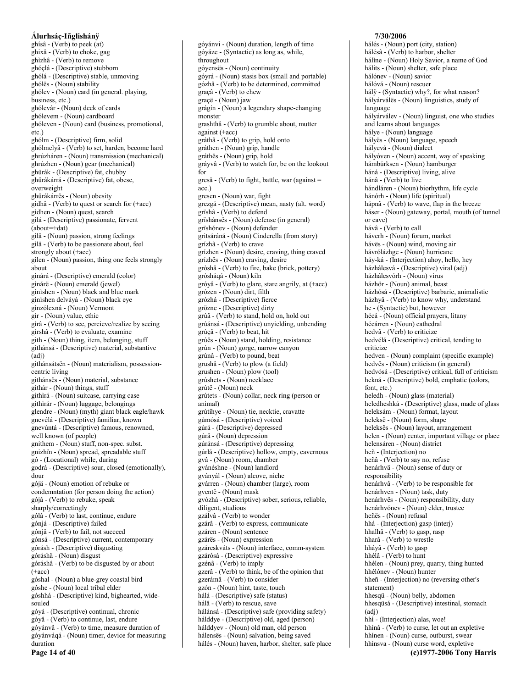#### Álurhsáç-Iñglishánÿ ghísâ - (Verb) to peek (at) ghixâ - (Verb) to choke, gag ghìzhâ - (Verb) to remove ghóclá - (Descriptive) stubborn ghólá - (Descriptive) stable, unmoving ghólës - (Noun) stability ghólev - (Noun) card (in general, playing, business, etc.) ghólevár - (Noun) deck of cards ghólevem - (Noun) cardboard ghóleven - (Noun) card (business, promotional,  $etc.$ ) ghólm - (Descriptive) firm, solid ghólmelyâ - (Verb) to set, harden, become hard ghrúzháren - (Noun) transmission (mechanical) ghrúzhen - (Noun) gear (mechanical) ghürák - (Descriptive) fat, chubby ghürákárrá - (Descriptive) fat, obese, overweight ghürákárrës - (Noun) obesity gìdhâ - (Verb) to quest or search for (+acc) gìdhen - (Noun) quest, search gilá - (Descriptive) passionate, fervent  $(about=+dat)$ gilä - (Noun) passion, strong feelings gilâ - (Verb) to be passionate about, feel strongly about (+acc) gilen - (Noun) passion, thing one feels strongly about ginárá - (Descriptive) emerald (color) ginárë - (Noun) emerald (jewel) ginishen - (Noun) black and blue mark gìnìshen delváyá - (Noun) black eye ginzólexná - (Noun) Vermont gír - (Noun) value, ethic gírâ - (Verb) to see, percieve/realize by seeing gírshâ - (Verb) to evaluate, examine gith - (Noun) thing, item, belonging, stuff githánsá - (Descriptive) material, substantive  $(adi)$ githánsátsën - (Noun) materialism, possessioncentric living githánsës - (Noun) material, substance githár - (Noun) things, stuff githìrá - (Noun) suitcase, carrying case githirár - (Noun) luggage, belongings glendre - (Noun) (myth) giant black eagle/hawk gnevélá - (Descriptive) familiar, known gnevúntá - (Descriptive) famous, renowned, well known (of people) gnithem - (Noun) stuff, non-spec. subst. gnizhïn - (Noun) spread, spreadable stuff gó - (Locational) while, during godrá - (Descriptive) sour, closed (emotionally), dour gójä - (Noun) emotion of rebuke or condemntation (for person doing the action) gójâ - (Verb) to rebuke, speak sharply/correctingly gólâ - (Verb) to last, continue, endure gónjá - (Descriptive) failed gónjâ - (Verb) to fail, not succeed gónsá - (Descriptive) current, contemporary górásh - (Descriptive) disgusting góráshä - (Noun) disgust góráshâ - (Verb) to be disgusted by or about  $(+acc)$ góshal - (Noun) a blue-grey coastal bird góshe - (Noun) local tribal elder góshhá - (Descriptive) kind, bighearted, widesouled góyá - (Descriptive) continual, chronic góyâ - (Verb) to continue, last, endure góyánvâ - (Verb) to time, measure duration of góyánváqá - (Noun) timer, device for measuring duration

Page 14 of 40

góyánvi - (Noun) duration, length of time góyáze - (Syntactic) as long as, while, throughout góyensës - (Noun) continuity góyrá - (Noun) stasis box (small and portable) gózhâ - (Verb) to be determined, committed graçâ - (Verb) to chew graçë - (Noun) jaw grágín - (Noun) a legendary shape-changing monster grashthâ - (Verb) to grumble about, mutter against  $(+acc)$ gráthâ - (Verb) to grip, hold onto gráthen - (Noun) grip, handle gráthës - (Noun) grip, hold grávyâ - (Verb) to watch for, be on the lookout for  $gres\hat{a} - (Verb)$  to fight, battle, war (against =  $acc.)$ gresen - (Noun) war, fight grezgá - (Descriptive) mean, nasty (alt. word) grïshâ - (Verb) to defend grïshánsës - (Noun) defense (in general) grïshónev - (Noun) defender gritsáráná - (Noun) Cinderella (from story) grízhâ - (Verb) to crave grízhen - (Noun) desire, craving, thing craved grízhës - (Noun) craving, desire gròshâ - (Verb) to fire, bake (brick, pottery) gròsháqá - (Noun) kiln gróyâ - (Verb) to glare, stare angrily, at (+acc) grózen - (Noun) dirt, filth grózhá - (Descriptive) fierce grözne - (Descriptive) dirty grúâ - (Verb) to stand, hold on, hold out grúánsá - (Descriptive) unyielding, unbending grúçâ - (Verb) to beat, hit grúës - (Noun) stand, holding, resistance grún - (Noun) gorge, narrow canyon grúnâ - (Verb) to pound, beat grushâ - (Verb) to plow (a field) grushen - (Noun) plow (tool) grúshets - (Noun) necklace grútë - (Noun) neck grútets - (Noun) collar, neck ring (person or animal) grútíhye - (Noun) tie, necktie, cravatte gùmósá - (Descriptive) voiced gúrá - (Descriptive) depressed gúrä - (Noun) depression gúránsá - (Descriptive) depressing gúrlá - (Descriptive) hollow, empty, cavernous gvâ - (Noun) room, chamber gvánéshne - (Noun) landlord gványál - (Noun) alcove, niche gvárren - (Noun) chamber (large), room gventë - (Noun) mask gvózhá - (Descriptive) sober, serious, reliable, diligent, studious gzálvâ - (Verb) to wonder gzárâ - (Verb) to express, communicate gzáren - (Noun) sentence gzárës - (Noun) expression gzáreskváts - (Noun) interface, comm-system gzárósá - (Descriptive) expressive gzénâ - (Verb) to imply gzerâ - (Verb) to think, be of the opinion that gzerámâ - (Verb) to consider gzón - (Noun) hint, taste, touch hálá - (Descriptive) safe (status) hálâ - (Verb) to rescue, save hálánsá - (Descriptive) safe (providing safety) hálddye - (Descriptive) old, aged (person) hálddyev - (Noun) old man, old person hálensës - (Noun) salvation, being saved hálés - (Noun) haven, harbor, shelter, safe place

# 7/30/2006 hálés - (Noun) port (city, station) hálésâ - (Verb) to harbor, shelter háline - (Noun) Holy Savior, a name of God hálits - (Noun) shelter, safe place

hálónev - (Noun) savior hálóvá - (Noun) rescuer hály - (Syntactic) why?, for what reason? hályárválës - (Noun) linguistics, study of language hályárválev - (Noun) linguist, one who studies and learns about languages hálye - (Noun) language hályës - (Noun) language, speech hályevá - (Noun) dialect hályóven - (Noun) accent, way of speaking hámbúrksen - (Noun) hamburger háná - (Descriptive) living, alive hánâ - (Verb) to live hándláren - (Noun) biorhythm, life cycle hánórh - (Noun) life (spiritual) hápnâ - (Verb) to wave, flap in the breeze háser - (Noun) gateway, portal, mouth (of tunnel or cave) hávâ - (Verb) to call háverh - (Noun) forum, market hávës - (Noun) wind, moving air hávrólázhge - (Noun) hurricane háy-ká - (Interjection) ahoy, hello, hey házhálesvá - (Descriptive) viral (adj) házhálesvórh - (Noun) virus házhör - (Noun) animal, beast házhósá - (Descriptive) barbaric, animalistic házhyâ - (Verb) to know why, understand he - (Syntactic) but, however hécá - (Noun) official prayers, litany hécárren - (Noun) cathedral hedvâ - (Verb) to criticize hedvélá - (Descriptive) critical, tending to criticize hedven - (Noun) complaint (specific example) hedvës - (Noun) criticism (in general) hedvósá - (Descriptive) critical, full of criticism hekná - (Descriptive) bold, emphatic (colors, font, etc.) heledh - (Noun) glass (material) heledheshká - (Descriptive) glass, made of glass heleksám - (Noun) format, layout heleksë - (Noun) form, shape heleksës - (Noun) layout, arrangement helen - (Noun) center, important village or place helensáren - (Noun) district heñ - (Interjection) no heñâ - (Verb) to say no, refuse henárhvä - (Noun) sense of duty or responsibility henárhvâ - (Verb) to be responsible for henárhven - (Noun) task, duty henárhvës - (Noun) responsibility, duty henárhvónev - (Noun) elder, trustee heñës - (Noun) refusal hhá - (Interjection) gasp (interj) hhalhâ - (Verb) to gasp, rasp hharâ - (Verb) to wrestle hháyâ - (Verb) to gasp hhélâ - (Verb) to hunt hhélen - (Noun) prey, quarry, thing hunted hhélónev - (Noun) hunter hheñ - (Interjection) no (reversing other's statement) hhesqü - (Noun) belly, abdomen hhesqüsá - (Descriptive) intestinal, stomach  $(adj)$ hhì - (Interjection) alas, woe! hhínâ - (Verb) to curse, let out an expletive hhínen - (Noun) curse, outburst, swear hhínsva - (Noun) curse word, expletive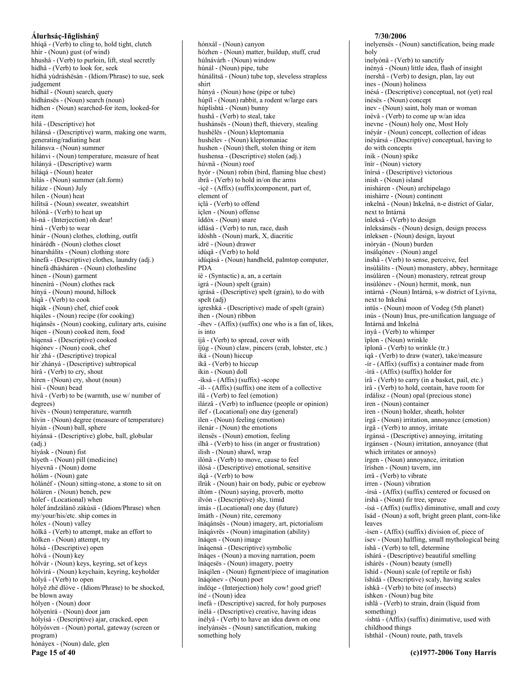hhíqâ - (Verb) to cling to, hold tight, clutch hhír - (Noun) gust (of wind) hhushâ - (Verb) to purloin, lift, steal secretly hídhâ - (Verb) to look for, seek hídhâ vúdráshësán - (Idiom/Phrase) to sue, seek judgement hídhál - (Noun) search, query hídhánsës - (Noun) search (noun) hídhen - (Noun) searched-for item, looked-for item hìlá - (Descriptive) hot hilánsá - (Descriptive) warm, making one warm, generating/radiating heat hìlánsva - (Noun) summer hilánvi - (Noun) temperature, measure of heat hilányá - (Descriptive) warm hìláqá - (Noun) heater hilás - (Noun) summer (alt.form) hiláze - (Noun) July hilen - (Noun) heat hilitsä - (Noun) sweater, sweatshirt hìlónâ - (Verb) to heat up hì-ná - (Interjection) oh dear! hìnâ - (Verb) to wear hìnár - (Noun) clothes, clothing, outfit hìnárédh - (Noun) clothes closet hinarshálits - (Noun) clothing store hìnefá - (Descriptive) clothes, laundry (adj.) hìnefá dhásháren - (Noun) clothesline hinen - (Noun) garment hìnenìrá - (Noun) clothes rack hínyá - (Noun) mound, hillock híqâ - (Verb) to cook híqák - (Noun) chef, chief cook híqáles - (Noun) recipe (for cooking) híqánsës - (Noun) cooking, culinary arts, cuisine hígen - (Noun) cooked item, food hígensá - (Descriptive) cooked híqónev - (Noun) cook, chef hìr'zhá - (Descriptive) tropical hìr'zhányá - (Descriptive) subtropical hìrâ - (Verb) to cry, shout hiren - (Noun) cry, shout (noun) hìsï - (Noun) bead hìvâ - (Verb) to be (warmth, use w/ number of degrees) hìvës - (Noun) temperature, warmth hivin - (Noun) degree (measure of temperature) hìyán - (Noun) ball, sphere hìyánsá - (Descriptive) globe, ball, globular  $(adj.)$ hìyásk - (Noun) fist hìyeth - (Noun) pill (medicine) hiyevnä - (Noun) dome hólám - (Noun) gate hólánéf - (Noun) sitting-stone, a stone to sit on hóláren - (Noun) bench, pew hólef - (Locational) when hólef ándzálánô zákúsä - (Idiom/Phrase) when my/your/his/etc. ship comes in hólex - (Noun) valley hólkâ - (Verb) to attempt, make an effort to hólken - (Noun) attempt, try hólsá - (Descriptive) open hólvá - (Noun) key hólvár - (Noun) keys, keyring, set of keys hólvirá - (Noun) keychain, keyring, keyholder hólyâ - (Verb) to open hólyê zhë dlóve - (Idiom/Phrase) to be shocked, be blown away hólyen - (Noun) door hólyenirá - (Noun) door jam hólyísá - (Descriptive) ajar, cracked, open hólyósven - (Noun) portal, gateway (screen or program) hónáyex - (Noun) dale, glen Page 15 of 40

hónxál - (Noun) canyon hózhen - (Noun) matter, buildup, stuff, crud húlnávárh - (Noun) window húnál - (Noun) pipe, tube húnálitsä - (Noun) tube top, sleveless strapless shirt húnyá - (Noun) hose (pipe or tube) húpïl - (Noun) rabbit, a rodent w/large ears húplíshtá - (Noun) bunny hushâ - (Verb) to steal, take hushánsës - (Noun) theft, thievery, stealing hushélës - (Noun) kleptomania hushélev - (Noun) kleptomaniac hushen - (Noun) theft, stolen thing or item hushensa - (Descriptive) stolen (adj.) húvnä - (Noun) roof hyór - (Noun) robin (bird, flaming blue chest) ibrâ - (Verb) to hold in/on the arms -íçë - (Affix) (suffix) component, part of, element of ìçlâ - (Verb) to offend içlen - (Noun) offense ïddóx - (Noun) snare ídlásâ - (Verb) to run, race, dash ïdòshh - (Noun) mark, X, diacritic idrë - (Noun) drawer idúqâ - (Verb) to hold idúqásá - (Noun) handheld, palmtop computer, **PDA** íë - (Syntactic) a, an, a certain igrá - (Noun) spelt (grain) igrásá - (Descriptive) spelt (grain), to do with spelt (adj) igreshká - (Descriptive) made of spelt (grain) íhen - (Noun) ribbon -íhev - (Affix) (suffix) one who is a fan of, likes, is into íjâ - (Verb) to spread, cover with ijúg - (Noun) claw, pincers (crab, lobster, etc.) íká - (Noun) hiccup íkâ - (Verb) to hiccup íkin - (Noun) doll -íksá - (Affix) (suffix) -scope -il- - (Affix) (suffix) one item of a collective ilâ - (Verb) to feel (emotion) ilárzâ - (Verb) to influence (people or opinion) ilef - (Locational) one day (general) ilen - (Noun) feeling (emotion) ilenár - (Noun) the emotions ilensës - (Noun) emotion, feeling ilhâ - (Verb) to hiss (in anger or frustration) ilish - (Noun) shawl, wrap ìlónâ - (Verb) to move, cause to feel ilósá - (Descriptive) emotional, sensitive ilqâ - (Verb) to bow ïlrúk - (Noun) hair on body, pubic or eyebrow iltóm - (Noun) saying, proverb, motto ílvón - (Descriptive) shy, timid ímás - (Locational) one day (future) ïmáth - (Noun) rite, ceremony ïnáqánsës - (Noun) imagery, art, pictorialism ïnáqávrës - (Noun) imagination (ability) ïnágen - (Noun) image ïnáqensá - (Descriptive) symbolic ïnáqes - (Noun) a moving narration, poem ïnáqesës - (Noun) imagery, poetry ïnáqilen - (Noun) figment/piece of imagination ïnáqónev - (Noun) poet índëge - (Interjection) holy cow! good grief! íné - (Noun) idea inefá - (Descriptive) sacred, for holy purposes ínélá - (Descriptive) creative, having ideas ínélyâ - (Verb) to have an idea dawn on one inelyánses - (Noun) sanctification, making something holy

#### inelyensës - (Noun) sanctification, being made holy inelvónâ - (Verb) to sanctify ínényá - (Noun) little idea, flash of insight ínershâ - (Verb) to design, plan, lay out ines - (Noun) holiness ínésá - (Descriptive) conceptual, not (yet) real ínésës - (Noun) concept inev - (Noun) saint, holy man or woman ínévâ - (Verb) to come up w/an idea inevne - (Noun) holy one, Most Holy ínéyár - (Noun) concept, collection of ideas ínéyársá - (Descriptive) conceptual, having to do with concepts inik - (Noun) spike ïnír - (Noun) victory ïnírsá - (Descriptive) victorious inish - (Noun) island inisháren - (Noun) archipelago inishárre - (Noun) continent inkelná - (Noun) Inkelná, n-e district of Galar, next to Intárná ínleksâ - (Verb) to design ínleksánses - (Noun) design, design process ínleksen - (Noun) design, layout inóryán - (Noun) burden insálqónev - (Noun) angel ínshâ - (Verb) to sense, perceive, feel insùlálits - (Noun) monastery, abbey, hermitage insùláren - (Noun) monastery, retreat group insùlónev - (Noun) hermit, monk, nun intárná - (Noun) Intárná, s-w district of Lyivna, next to Inkelná intüs - (Noun) moon of Vodeg (5th planet) inús - (Noun) Inus, pre-unification language of Intárná and Inkelná ínyâ - (Verb) to whimper ïplon - (Noun) wrinkle ïplonâ - (Verb) to wrinkle (tr.) ígâ - (Verb) to draw (water), take/measure  $-ir - (Affix)$  (suffix) a container made from -ìrá - (Affix) (suffix) holder for írâ - (Verb) to carry (in a basket, pail, etc.) ìrâ - (Verb) to hold, contain, have room for írdálisz - (Noun) opal (precious stone) íren - (Noun) container iren - (Noun) holder, sheath, holster írgä - (Noun) irritation, annoyance (emotion) írgâ - (Verb) to annoy, irritate írgánsá - (Descriptive) annoying, irritating írgánsen - (Noun) irritation, annoyance (that which irritates or annoys) írgen - (Noun) annoyance, irritation ïríshen - (Noun) tavern, inn írrâ - (Verb) to vibrate írren - (Noun) vibration -írsá - (Affix) (suffix) centered or focused on írshä - (Noun) fir tree, spruce -ísá - (Affix) (suffix) diminutive, small and cozy ïsád - (Noun) a soft, bright green plant, corn-like leaves -isen - (Affix) (suffix) division of, piece of ísev - (Noun) halfling, small mythological being íshâ - (Verb) to tell, determine íshárá - (Descriptive) beautiful smelling íshárës - (Noun) beauty (smell) ishid - (Noun) scale (of reptile or fish) ïshídá - (Descriptive) scaly, having scales íshkâ - (Verb) to bite (of insects) íshken - (Noun) bug bite ishlâ - (Verb) to strain, drain (liquid from something) -íshtá - (Affix) (suffix) dinimutive, used with childhood things ïshthál - (Noun) route, path, travels

7/30/2006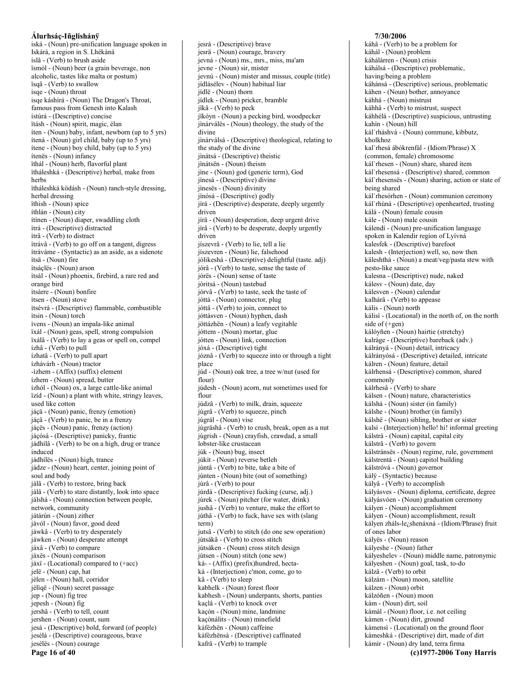iská - (Noun) pre-unification language spoken in Iskárá, a region in S. Lhékáná íslâ - (Verb) to brush aside ïsmól - (Noun) beer (a grain beverage, non alcoholic, tastes like malta or postum) ïsqâ - (Verb) to swallow isqe - (Noun) throat isqe káshírá - (Noun) The Dragon's Throat, famous pass from Genesh into Kalash ístúrá - (Descriptive) concise ïtásh - (Noun) spirit, magic, élan íten - (Noun) baby, infant, newborn (up to 5 yrs) ítená - (Noun) girl child, baby (up to 5 yrs) ítene - (Noun) boy child, baby (up to 5 yrs) ítenës - (Noun) infancy ïthál - (Noun) herb, flavorful plant ïtháleshká - (Descriptive) herbal, make from herbs ïtháleshká ködásh - (Noun) ranch-style dressing, herbal dressing ïthish - (Noun) spice íthlán - (Noun) city ítinen - (Noun) diaper, swaddling cloth itrá - (Descriptive) distracted ìtrâ - (Verb) to distract itrávâ - (Verb) to go off on a tangent, digress itráváme - (Syntactic) as an aside, as a sidenote itsä - (Noun) fire itsáçlës - (Noun) arson itsál - (Noun) phoenix, firebird, a rare red and orange bird itsárre - (Noun) bonfire itsen - (Noun) stove itsévrá - (Descriptive) flammable, combustible itsin - (Noun) torch ivens - (Noun) an impala-like animal ïxál - (Noun) geas, spell, strong compulsion ïxálâ - (Verb) to lay a geas or spell on, compel ízhâ - (Verb) to pull ízhatâ - (Verb) to pull apart ízhávárh - (Noun) tractor  $-izhem - (Affix)$  (suffix) element ízhem - (Noun) spread, butter ízhól - (Noun) ox, a large cattle-like animal ïzíd - (Noun) a plant with white, stringy leaves, used like cotton jáçä - (Noun) panic, frenzy (emotion) jáçâ - (Verb) to panic, be in a frenzy jáçës - (Noun) panic, frenzy (action) jáçósá - (Descriptive) panicky, frantic jádhílâ - (Verb) to be on a high, drug or trance induced jádhílës - (Noun) high, trance jádze - (Noun) heart, center, joining point of soul and body jàlâ - (Verb) to restore, bring back jálâ - (Verb) to stare distantly, look into space jálshá - (Noun) connection between people, network, community játárún - (Noun) zither jàvól - (Noun) favor, good deed jáwkâ - (Verb) to try desperately jáwken - (Noun) desperate attempt jáxâ - (Verb) to compare jáxës - (Noun) comparison jáxï - (Locational) compared to (+acc) jelë - (Noun) cap, hat jèlen - (Noun) hall, corridor jèliqë - (Noun) secret passage jep - (Noun) fig tree jepesh - (Noun) fig jershâ - (Verb) to tell, count jershen - (Noun) count, sum jesá - (Descriptive) bold, forward (of people) jesélá - (Descriptive) courageous, brave jesélës - (Noun) courage

jesrä - (Noun) courage, bravery jevná - (Noun) ms., mrs., miss, ma'am jevne - (Noun) sir, mister jevnú - (Noun) mister and missus, couple (title) jídlásélev - (Noun) habitual liar jídlë - (Noun) thorn jídlek - (Noun) pricker, bramble jikâ - (Verb) to peck jikóyn - (Noun) a pecking bird, woodpecker jinárválës - (Noun) theology, the study of the divine jinárválsá - (Descriptive) theological, relating to the study of the divine jinátsá - (Descriptive) theistic jìnátsën - (Noun) theism jine - (Noun) god (generic term), God jinesá - (Descriptive) divine jinesës - (Noun) divinity jìnósá - (Descriptive) godly jírá - (Descriptive) desperate, deeply urgently driven jírä - (Noun) desperation, deep urgent drive jírâ - (Verb) to be desperate, deeply urgently driven jíszevrâ - (Verb) to lie, tell a lie jíszevren - (Noun) lie, falsehood jólikeshá - (Descriptive) delightful (taste. adj) jórâ - (Verb) to taste, sense the taste of jórës - (Noun) sense of taste jóritsá - (Noun) tastebud jórvâ - (Verb) to taste, seek the taste of jóttá - (Noun) connector, plug jóttâ - (Verb) to join, connect to jóttásven - (Noun) hyphen, dash jöttázhën - (Noun) a leafy vegitable jóttem - (Noun) mortar, glue jótten - (Noun) link, connection jóxá - (Descriptive) tight józnâ - (Verb) to squeeze into or through a tight place júd - (Noun) oak tree, a tree w/nut (used for flour) júdesh - (Noun) acorn, nut sometimes used for flour júdzâ - (Verb) to milk, drain, squeeze júgrâ - (Verb) to squeeze, pinch júgrál - (Noun) vise júgräshâ - (Verb) to crush, break, open as a nut júgrish - (Noun) crayfish, crawdad, a small lobster-like crustacean júk - (Noun) bug, insect júkit - (Noun) reverse betleh júntâ - (Verb) to bite, take a bite of júnten - (Noun) bite (out of something) júrâ - (Verb) to pour júrdá - (Descriptive) fucking (curse, adj.) júrek - (Noun) pitcher (for water, drink) jushâ - (Verb) to venture, make the effort to júthâ - (Verb) to fuck, have sex with (slang  $term)$ jutsâ - (Verb) to stitch (do one sew operation) jútsákâ - (Verb) to cross stitch jútsáken - (Noun) cross stitch design jútsen - (Noun) stitch (one sew) ká- - (Affix) (prefix)hundred, hectaká - (Interjection) c'mon, come, go to kâ - (Verb) to sleep kabhelk - (Noun) forest floor kabhesh - (Noun) underpants, shorts, panties kaçlâ - (Verb) to knock over kaçòn - (Noun) mine, landmine kaçònálits - (Noun) minefield káfézhën - (Noun) caffeine káfézhënsá - (Descriptive) caffinated

kafrâ - (Verb) to trample

jesrá - (Descriptive) brave

#### káhálárren - (Noun) crisis káhálsá - (Descriptive) problematic, having/being a problem káhánsá - (Descriptive) serious, problematic káhen - (Noun) bother, annoyance káhhä - (Noun) mistrust káhhâ - (Verb) to mistrust, suspect káhhélá - (Descriptive) suspicious, untrusting kahín - (Noun) hill kál`rháshvá - (Noun) commune, kibbutz, kholkhoz kal'rhesá ábókrenfál - (Idiom/Phrase) X (common, female) chromosome kál'rhesen - (Noun) share, shared item kál`rhesensá - (Descriptive) shared, common kál'rhesensës - (Noun) sharing, action or state of being shared kál`rhesórhen - (Noun) communion ceremony kál'rhùná - (Descriptive) openhearted, trusting kálá - (Noun) female cousin kále - (Noun) male cousin kálendí - (Noun) pre-unification language spoken in Kalendir region of Lyívná kalesfek - (Descriptive) barefoot kalesh - (Interjection) well, so, now then käleshthá - (Noun) a meat/veg/pasta stew with pesto-like sauce kalesna - (Descriptive) nude, naked kálesv - (Noun) date, day kálesven - (Noun) calendar kalhárâ - (Verb) to appease kális - (Noun) north kálisì - (Locational) in the north of, on the north side of (+gen) kálóvñen - (Noun) hairtie (stretchy) kalràge - (Descriptive) bareback (adv.) kálrányá - (Noun) detail, intricacy kálrányósá - (Descriptive) detailed, intricate kálren - (Noun) feature, detail kálrhensá - (Descriptive) common, shared commonly kálrhesâ - (Verb) to share kálsen - (Noun) nature, characteristics kálshá - (Noun) sister (in family) kálshe - (Noun) brother (in family) kálshë - (Noun) sibling, brother or sister kalsí - (Interjection) hello! hi! informal greeting kálstrá - (Noun) capital, capital city kálstrâ - (Verb) to govern kálstránsës - (Noun) regime, rule, government kálstrentá - (Noun) capitol building kálstróvá - (Noun) governor kálÿ - (Syntactic) because kályâ - (Verb) to accomplish kályásves - (Noun) diploma, certificate, degree kályásvóen - (Noun) graduation ceremony kályen - (Noun) accomplishment kályen - (Noun) accomplishment, result kályen zháls-le<sub>l</sub>shenáxná - (Idiom/Phrase) fruit of ones labor kályës - (Noun) reason kályeshe - (Noun) father kályeshelev - (Noun) middle name, patronymic kályeshen - (Noun) goal, task, to-do kálzâ - (Verb) to orbit kálzám - (Noun) moon, satellite kálzen - (Noun) orbit kálzóñen - (Noun) moon kám - (Noun) dirt, soil kámál - (Noun) floor, i.e. not ceiling kámen - (Noun) dirt, ground kámensì - (Locational) on the ground floor kámeshká - (Descriptive) dirt, made of dirt kámír - (Noun) dry land, terra firma (c)1977-2006 Tony Harris

7/30/2006

káhál - (Noun) problem

káhâ - (Verb) to be a problem for

Page 16 of 40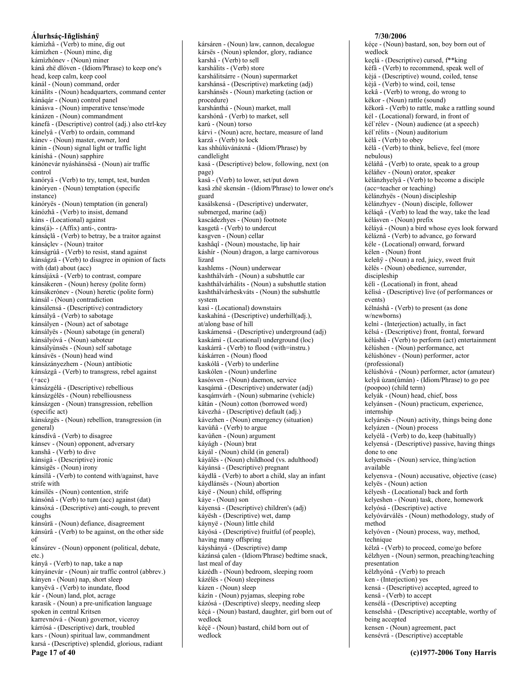kámizhâ - (Verb) to mine, dig out kámìzhen - (Noun) mine, dig kámìzhónev - (Noun) miner kánâ zhë dlóven - (Idiom/Phrase) to keep one's head, keep calm, keep cool kánál - (Noun) command, order kánálits - (Noun) headquarters, command center kánáqár - (Noun) control panel kánásva - (Noun) imperative tense/mode kánázen - (Noun) commandment kánefá - (Descriptive) control (adj.) also ctrl-key kánelyâ - (Verb) to ordain, command kánev - (Noun) master, owner, lord kánin - (Noun) signal light or traffic light káníshá - (Noun) sapphire kánónevár nyáshánsësá - (Noun) air traffic control kanóryâ - (Verb) to try, tempt, test, burden kánóryen - (Noun) temptation (specific instance) kánóryës - (Noun) temptation (in general) kánózhâ - (Verb) to insist, demand káns - (Locational) against káns(á)-- (Affix) anti-, contrakánsáçlâ - (Verb) to betray, be a traitor against kánsáclev - (Noun) traitor kánságrúâ - (Verb) to resist, stand against kánságzâ - (Verb) to disagree in opinion of facts with (dat) about (acc) kánsájáxâ - (Verb) to contrast, compare kánsákeren - (Noun) heresy (polite form) kánsákerónev - (Noun) heretic (polite form) kánsál - (Noun) contradiction kánsálensá - (Descriptive) contradictory kánsályâ - (Verb) to sabotage kánsályen - (Noun) act of sabotage kánsályës - (Noun) sabotage (in general) kánsályóvá - (Noun) saboteur kánsályùnsës - (Noun) self sabotage kánsávës - (Noun) head wind kánsázányezhem - (Noun) antibiotic kánsázgâ - (Verb) to transgress, rebel against  $(+acc)$ kánsázgélá - (Descriptive) rebellious kánsázgéles - (Noun) rebelliousness kánsázgen - (Noun) transgression, rebellion (specific act) kánsázges - (Noun) rebellion, transgression (in general) kánsdívâ - (Verb) to disagree kánsev - (Noun) opponent, adversary kanshâ - (Verb) to dive kánsigá - (Descriptive) ironic kánsigës - (Noun) irony kánsilâ - (Verb) to contend with/against, have strife with kánsilës - (Noun) contention, strife kánsónâ - (Verb) to turn (acc) against (dat) kánsóxá - (Descriptive) anti-cough, to prevent coughs kánsúrä - (Noun) defiance, disagreement kánsúrâ - (Verb) to be against, on the other side  $\alpha$ f kánsúrev - (Noun) opponent (political, debate,  $etc.$ ) kányâ - (Verb) to nap, take a nap kányánevár - (Noun) air traffic control (abbrev.) kányen - (Noun) nap, short sleep kanyëvâ - (Verb) to inundate, flood kár - (Noun) land, plot, acrage karasik - (Noun) a pre-unification language spoken in central Kritsen karrevnóvá - (Noun) governor, viceroy kárrósá - (Descriptive) dark, troubled kars - (Noun) spiritual law, commandment karsá - (Descriptive) splendid, glorious, radiant Page 17 of 40

kársáren - (Noun) law, cannon, decalogue kársës - (Noun) splendor, glory, radiance karshâ - (Verb) to sell karshálits - (Verb) store karshálitsárre - (Noun) supermarket karshánsá - (Descriptive) marketing (adj) karshánsës - (Noun) marketing (action or procedure) karshánthá - (Noun) market, mall karshónâ - (Verb) to market, sell karú - (Noun) torso kárvi - (Noun) acre, hectare, measure of land karzâ - (Verb) to lock kas shhúlúvánáxná - (Idiom/Phrase) by candlelight kasá - (Descriptive) below, following, next (on page) kasâ - (Verb) to lower, set/put down kasâ zhë skensán - (Idiom/Phrase) to lower one's guard kasálskensá - (Descriptive) underwater, submerged, marine (adj) kascádezhyes - (Noun) footnote kasgetâ - (Verb) to undercut kasgven - (Noun) cellar kashâqî - (Noun) moustache, lip hair káshír - (Noun) dragon, a large carnivorous lizard kashlems - (Noun) underwear kashthálvárh - (Noun) a subshuttle car kashthálvárhálits - (Noun) a subshuttle station kashthálvárheskváts - (Noun) the subshuttle system kasì - (Locational) downstairs kaskahíná - (Descriptive) underhill(adj.), at/along base of hill kaskámensá - (Descriptive) underground (adj) kaskámi - (Locational) underground (loc) kaskárrâ - (Verb) to flood (with=instru.) káskárren - (Noun) flood kaskólâ - (Verb) to underline kaskólen - (Noun) underline kasósven - (Noun) daemon, service kasqámá - (Descriptive) underwater (adj) kasqámvárh - (Noun) submarine (vehicle) kätán - (Noun) cotton (borrowed word) kávezhá - (Descriptive) default (adj.) kávezhen - (Noun) emergency (situation) kavùñâ - (Verb) to argue kavùñen - (Noun) argument káyágh - (Noun) brat káyál - (Noun) child (in general) káyálës - (Noun) childhood (vs. adulthood) káyánsá - (Descriptive) pregnant káydlâ - (Verb) to abort a child, slay an infant káydlánsës - (Noun) abortion káyë - (Noun) child, offspring káye - (Noun) son káyensá - (Descriptive) children's (adj) káyësh - (Descriptive) wet, damp káynyë - (Noun) little child káyósá - (Descriptive) fruitful (of people), having many offspring káyshányá - (Descriptive) damp kázánsá çalen - (Idiom/Phrase) bedtime snack, last meal of day kázédh - (Noun) bedroom, sleeping room kázélës - (Noun) sleepiness kázen - (Noun) sleep kázìn - (Noun) pyjamas, sleeping robe kázósá - (Descriptive) sleepy, needing sleep kéçá - (Noun) bastard, daughter, girl born out of wedlock kéçë - (Noun) bastard, child born out of wedlock

#### 7/30/2006

kéce - (Noun) bastard, son, boy born out of wedlock keçlá - (Descriptive) cursed, f<sup>\*\*</sup>king kéfà - (Verb) to recommend, speak well of kèjá - (Descriptive) wound, coiled, tense kèjâ - (Verb) to wind, coil, tense kekâ - (Verb) to wrong, do wrong to këkor - (Noun) rattle (sound) këkorâ - (Verb) to rattle, make a rattling sound kél - (Locational) forward, in front of kél rélev - (Noun) audience (at a speech) kél`rélits - (Noun) auditorium kèlâ - (Verb) to obey kélâ - (Verb) to think, believe, feel (more nebulous) kéláñâ - (Verb) to orate, speak to a group kéláñev - (Noun) orator, speaker kèlánzhyelyâ - (Verb) to become a disciple (acc=teacher or teaching) kèlánzhyës - (Noun) discipleship kèlánzhyev - (Noun) disciple, follower kéláqâ - (Verb) to lead the way, take the lead kélásven - (Noun) prefix kélává - (Noun) a bird whose eyes look forward kéláznâ - (Verb) to advance, go forward kéle - (Locational) onward, forward kélen - (Noun) front keleñÿ - (Noun) a red, juicy, sweet fruit kèlës - (Noun) obedience, surrender, discipleship kélì - (Locational) in front, ahead kélisá - (Descriptive) live (of performances or events) kélnáshâ - (Verb) to present (as done w/newborns) kelnì - (Interjection) actually, in fact kélsá - (Descriptive) front, frontal, forward kélúshâ - (Verb) to perform (act) entertainment kélúshen - (Noun) performance, act kélúshónev - (Noun) performer, actor (professional) kélúshóvá - (Noun) performer, actor (amateur) kelyâ ùzan(ùmán) - (Idiom/Phrase) to go pee (poopoo) (child term) kelyák - (Noun) head, chief, boss kelyánsen - (Noun) practicum, experience, internship kelyársës - (Noun) activity, things being done kelyázen - (Noun) process kelyélâ - (Verb) to do, keep (habitually) kelyensá - (Descriptive) passive, having things done to one kelyensës - (Noun) service, thing/action available kelyensva - (Noun) accusative, objective (case) kelyës - (Noun) action kélyesh - (Locational) back and forth kelyeshen - (Noun) task, chore, homework kelyósá - (Descriptive) active kelyóvárválës - (Noun) methodology, study of method kelyóven - (Noun) process, way, method, technique kélzâ - (Verb) to proceed, come/go before kélzhyen - (Noun) sermon, preaching/teaching presentation kélzhvónâ - (Verb) to preach ken - (Interjection) yes kensá - (Descriptive) accepted, agreed to kensâ - (Verb) to accept kensélá - (Descriptive) accepting kenselshá - (Descriptive) acceptable, worthy of being accepted kensen - (Noun) agreement, pact kensévrá - (Descriptive) acceptable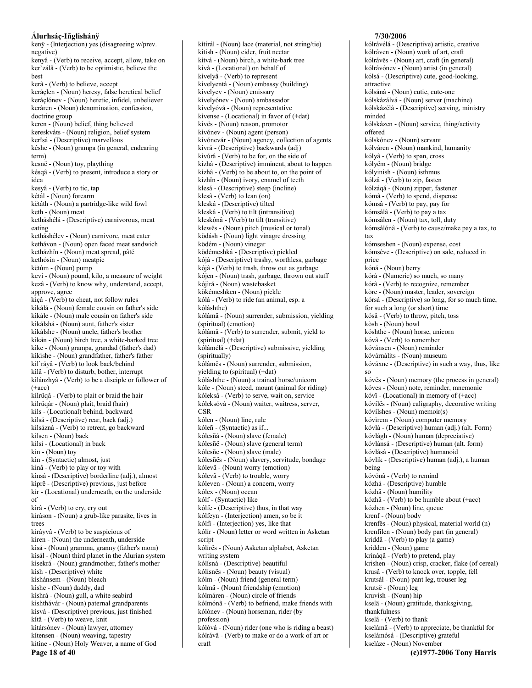kenÿ - (Interjection) yes (disagreeing w/prev. negative) kenyâ - (Verb) to receive, accept, allow, take on ker`zálâ - (Verb) to be optimistic, believe the hest kerâ - (Verb) to believe, accept keráclen - (Noun) heresy, false heretical belief keráclónev - (Noun) heretic, infidel, unbeliever keráren - (Noun) denomination, confession, doctrine group keren - (Noun) belief, thing believed kereskváts - (Noun) religion, belief system kerïsá - (Descriptive) marvellous késhe - (Noun) grampa (in general, endearing term) kesnë - (Noun) toy, plaything késqâ - (Verb) to present, introduce a story or idea kesyâ - (Verb) to tic, tap kétál - (Noun) forearm këtáth - (Noun) a partridge-like wild fowl keth - (Noun) meat ketháshélá - (Descriptive) carnivorous, meat eating ketháshélev - (Noun) carnivore, meat eater kethávon - (Noun) open faced meat sandwich ketházhïn - (Noun) meat spread, pâté kethósin - (Noun) meatpie këtúm - (Noun) pump kevi - (Noun) pound, kilo, a measure of weight kezâ - (Verb) to know why, understand, accept, approve, agree kiçâ - (Verb) to cheat, not follow rules kìkálá - (Noun) female cousin on father's side kìkále - (Noun) male cousin on father's side kìkálshá - (Noun) aunt, father's sister kìkálshe - (Noun) uncle, father's brother kìkän - (Noun) birch tree, a white-barked tree kike - (Noun) grampa, grandad (father's dad) kikishe - (Noun) grandfather, father's father kil'ráyâ - (Verb) to look back/behind kìlâ - (Verb) to disturb, bother, interrupt kilánzhyâ - (Verb) to be a disciple or follower of  $(+acc)$ kílrüqâ - (Verb) to plait or braid the hair kílrügár - (Noun) plait, braid (hair) kils - (Locational) behind, backward kilsá - (Descriptive) rear, back (adj.) kilsáznâ - (Verb) to retreat, go backward kilsen - (Noun) back kilsì - (Locational) in back kin - (Noun) toy kin - (Syntactic) almost, just kinâ - (Verb) to play or toy with kinsá - (Descriptive) borderline (adj.), almost kiprë - (Descriptive) previous, just before kír - (Locational) underneath, on the underside  $\sigma$ f kirâ - (Verb) to cry, cry out kíráson - (Noun) a grub-like parasite, lives in trees kiráyvâ - (Verb) to be suspicious of kíren - (Noun) the underneath, underside kisá - (Noun) gramma, granny (father's mom) kìsál - (Noun) third planet in the Alurian system kisekrá - (Noun) grandmother, father's mother kish - (Descriptive) white kishánsem - (Noun) bleach kishe - (Noun) daddy, dad kìshrá - (Noun) gull, a white seabird kíshthávár - (Noun) paternal grandparents kisvá - (Descriptive) previous, just finished kítâ - (Verb) to weave, knit kitársónev - (Noun) lawyer, attorney kítensen - (Noun) weaving, tapestry kítine - (Noun) Holy Weaver, a name of God

Page 18 of 40

kítírál - (Noun) lace (material, not string/tie) kitish - (Noun) cider, fruit nectar kìtvá - (Noun) birch, a white-bark tree kìvá - (Locational) on behalf of kivelyâ - (Verb) to represent kìvelyentá - (Noun) embassy (building) kivelyev - (Noun) emissary kìvelyónev - (Noun) ambassador kivelyóvá - (Noun) representative kivense - (Locational) in favor of (+dat) kìvës - (Noun) reason, promotor kivónev - (Noun) agent (person) kìvónevár - (Noun) agency, collection of agents kivrá - (Descriptive) backwards (adj) kìvúrâ - (Verb) to be for, on the side of kìzhá - (Descriptive) imminent, about to happen kizhâ - (Verb) to be about to, on the point of kìzhïn - (Noun) ivory, enamel of teeth klesá - (Descriptive) steep (incline) klesâ - (Verb) to lean  $($ on) kleská - (Descriptive) tilted kleskâ - (Verb) to tilt (intransitive) kleskónâ - (Verb) to tilt (transitive) klewës - (Noun) pitch (musical or tonal) ködásh - (Noun) light vinagre dressing ködém - (Noun) vinegar ködémeshká - (Descriptive) pickled kójá - (Descriptive) trashy, worthless, garbage kójâ - (Verb) to trash, throw out as garbage kójen - (Noun) trash, garbage, thrown out stuff kójìrá - (Noun) wastebasket kökémeshken - (Noun) pickle kólâ - (Verb) to ride (an animal, esp. a kóláshthe) kólámä - (Noun) surrender, submission, yielding (spiritual) (emotion) kólámâ - (Verb) to surrender, submit, yield to  $(spiritud)$  $(+dat)$ kólámélá - (Descriptive) submissive, yielding (spiritually) kólámës - (Noun) surrender, submission, yielding to (spiritual) (+dat) kóláshthe - (Noun) a trained horse/unicorn kóle - (Noun) steed, mount (animal for riding) kóleksâ - (Verb) to serve, wait on, service kóleksóvá - (Noun) waiter, waitress, server, **CSR** kólen - (Noun) line, rule kóleñ - (Syntactic) as if... kólesñá - (Noun) slave (female) kólesñë - (Noun) slave (general term) kólesñe - (Noun) slave (male) kólesñës - (Noun) slavery, servitude, bondage kólevä - (Noun) worry (emotion) kólevâ - (Verb) to trouble, worry kóleven - (Noun) a concern, worry kólex - (Noun) ocean kólf - (Syntactic) like kólfe - (Descriptive) thus, in that way kólfeyn - (Interjection) amen, so be it kólfi - (Interjection) yes, like that kólír - (Noun) letter or word written in Asketan script kólírës - (Noun) Asketan alphabet, Asketan writing system kólísná - (Descriptive) beautiful kólísnës - (Noun) beauty (visual) kólm - (Noun) friend (general term) kólmä - (Noun) friendship (emotion) kólmáren - (Noun) circle of friends kólmónâ - (Verb) to befriend, make friends with kólónev - (Noun) horseman, rider (by profession) kólóvá - (Noun) rider (one who is riding a beast) kólrávâ - (Verb) to make or do a work of art or  $craft$ 

#### kólrávónev - (Noun) artist (in general) kólsá - (Descriptive) cute, good-looking, attractive kólsáná - (Noun) cutie, cute-one kólskázálvá - (Noun) server (machine) kólskázélá - (Descriptive) serving, ministry minded kólskázen - (Noun) service, thing/activity offered kólskónev - (Noun) servant kólváren - (Noun) mankind, humanity kólyâ - (Verb) to span, cross kólyëm - (Noun) bridge kólyinish - (Noun) isthmus kólzâ - (Verb) to zip, fasten kólzágá - (Noun) zipper, fastener kómâ - (Verb) to spend, dispense kómsâ - (Verb) to pay, pay for kómsálâ - (Verb) to pay a tax kómsálen - (Noun) tax, toll, duty kómsálónâ - (Verb) to cause/make pay a tax, to tax kómseshen - (Noun) expense, cost kómséve - (Descriptive) on sale, reduced in price kóná - (Noun) berry kórá - (Numeric) so much, so many kórâ - (Verb) to recognize, remember kòre - (Noun) master, leader, sovereign kórsá - (Descriptive) so long, for so much time, for such a long (or short) time kósâ - (Verb) to throw, pitch, toss kòsh - (Noun) bowl kóshthe - (Noun) horse, unicorn kóvâ - (Verb) to remember kóvánsen - (Noun) reminder kóvárnálits - (Noun) museum kóváxne - (Descriptive) in such a way, thus, like  $SO<sub>2</sub>$ kóvës - (Noun) memory (the process in general) kóves - (Noun) note, reminder, mnemonic kóvï - (Locational) in memory of (+acc) kóvílës - (Noun) caligraphy, decorative writing kóvílshes - (Noun) memoir(s) kóvìrem - (Noun) computer memory kóvlá - (Descriptive) human (adj.) (alt. Form) kóvlágh - (Noun) human (depreciative) kóvlánsá - (Descriptive) human (alt. form) kóvlásá - (Descriptive) humanoid kóvlik - (Descriptive) human (adj.), a human being kóvónâ - (Verb) to remind kózhá - (Descriptive) humble kózhä - (Noun) humility kózhâ - (Verb) to be humble about (+acc) kózhen - (Noun) line, queue krenf - (Noun) body krenfës - (Noun) physical, material world (n) krenfilen - (Noun) body part (in general) kriddâ - (Verb) to play (a game) kridden - (Noun) game krináqâ - (Verb) to pretend, play krishen - (Noun) crisp, cracker, flake (of cereal) krusâ - (Verb) to knock over, topple, fell krutsál - (Noun) pant leg, trouser leg krutsë - (Noun) leg kruvish - (Noun) hip kselä - (Noun) gratitude, thanksgiving, thankfulness kselâ - (Verb) to thank kselámâ - (Verb) to appreciate, be thankful for kselámósá - (Descriptive) grateful kseláze - (Noun) November (c)1977-2006 Tony Harris

7/30/2006

kólrávélá - (Descriptive) artistic, creative

kólráven - (Noun) work of art, craft

kólrávës - (Noun) art, craft (in general)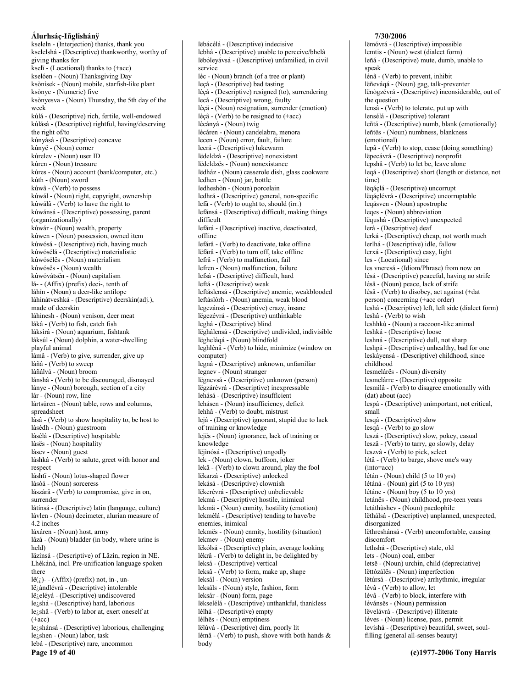kseleln - (Interjection) thanks, thank you kselelshá - (Descriptive) thankworthy, worthy of giving thanks for kselï - (Locational) thanks to (+acc) kselóen - (Noun) Thanksgiving Day ksònísek - (Noun) mobile, starfish-like plant ksònye - (Numeric) five ksònyesva - (Noun) Thursday, the 5th day of the week kúlá - (Descriptive) rich, fertile, well-endowed kúlásá - (Descriptive) rightful, having/deserving the right of/to kúnyásá - (Descriptive) concave kúnyë - (Noun) corner kúrelev - (Noun) user ID kúren - (Noun) treasure kúres - (Noun) account (bank/computer, etc.) kúth - (Noun) sword kúwâ - (Verb) to possess kúwál - (Noun) right, copyright, ownership kúwálâ - (Verb) to have the right to kúwánsá - (Descriptive) possessing, parent (organizationally) kúwár - (Noun) wealth, property kúwen - (Noun) possession, owned item kúwósá - (Descriptive) rich, having much kúwósélá - (Descriptive) materialistic kúwósélës - (Noun) materialism kúwósës - (Noun) wealth kúwóvátsën - (Noun) capitalism lá--(Affix) (prefix) deci-, tenth of láhín - (Noun) a deer-like antilope láhínátveshká - (Descriptive) deerskin(adj.), made of deerskin láhínesh - (Noun) venison, deer meat lákâ - (Verb) to fish, catch fish láksirá - (Noun) aquarium, fishtank láksúl - (Noun) dolphin, a water-dwelling playful animal lámâ - (Verb) to give, surrender, give up làñâ - (Verb) to sweep làñálvá - (Noun) broom lánshâ - (Verb) to be discouraged, dismayed lánye - (Noun) borough, section of a city lár - (Noun) row, line lártsúren - (Noun) table, rows and columns, spreadsheet làsâ - (Verb) to show hospitality to, be host to làsédh - (Noun) guestroom làsélá - (Descriptive) hospitable làsës - (Noun) hospitality làsev - (Noun) guest láshkâ - (Verb) to salute, greet with honor and respect láshtï - (Noun) lotus-shaped flower lásóá - (Noun) sorceress lászárâ - (Verb) to compromise, give in on, surrender látínsá - (Descriptive) latin (language, culture) lávlen - (Noun) decimeter, alurian measure of 4.2 inches láxáren - (Noun) host, army lâzá - (Noun) bladder (in body, where urine is held) läzínsá - (Descriptive) of Läzín, region in NE. Lhékáná, incl. Pre-unification language spoken there  $l\ddot{e}(i)$ - (Affix) (prefix) not, in-, unlë andlévrá - (Descriptive) intolerable lë elévá - (Descriptive) undiscovered le/shá - (Descriptive) hard, laborious  $leq_{\zeta}$ shâ - (Verb) to labor at, exert oneself at  $(+acc)$ le¿shánsá - (Descriptive) laborious, challenging lezshen - (Noun) labor, task lebá - (Descriptive) rare, uncommon Page 19 of 40

lëbácélá - (Descriptive) indecisive lebhá - (Descriptive) unable to perceive/bhelâ lëbóleyávsá - (Descriptive) unfamilied, in civil service léc - (Noun) branch (of a tree or plant) leçá - (Descriptive) bad tasting léçá - (Descriptive) resigned (to), surrendering lecá - (Descriptive) wrong, faulty léçä - (Noun) resignation, surrender (emotion)  $l$ éçâ - (Verb) to be resigned to  $(+acc)$ lécányá - (Noun) twig lécáren - (Noun) candelabra, menora lecen - (Noun) error, fault, failure lecrá - (Descriptive) lukewarm lëdeldzá - (Descriptive) nonexistant lëdeldzës - (Noun) nonexistance lëdház - (Noun) casserole dish, glass cookware ledhen - (Noun) jar, bottle ledheshòn - (Noun) porcelain ledhrá - (Descriptive) general, non-specific lefã - (Verb) to ought to, should (irr.) lefánsá - (Descriptive) difficult, making things difficult lefárá - (Descriptive) inactive, deactivated, offline lefárâ - (Verb) to deactivate, take offline lëfárâ - (Verb) to turn off, take offline lefrâ - (Verb) to malfunction, fail lefren - (Noun) malfunction, failure lefsá - (Descriptive) difficult, hard leftá - (Descriptive) weak leftáslensá - (Descriptive) anemic, weakblooded leftáslórh - (Noun) anemia, weak blood legezánsá - (Descriptive) crazy, insane lëgezévrá - (Descriptive) unthinkable leghá - (Descriptive) blind lëghálensá - (Descriptive) undivided, indivisible lëgheláqá - (Noun) blindfold leghlén $\hat{a}$  - (Verb) to hide, minimize (window on computer) legná - (Descriptive) unknown, unfamiliar legnev - (Noun) stranger lëgnevsá - (Descriptive) unknown (person) lëgzárévrá - (Descriptive) inexpressable lehásá - (Descriptive) insufficient lehásen - (Noun) insufficiency, deficit lehhâ - (Verb) to doubt, mistrust lejá - (Descriptive) ignorant, stupid due to lack of training or knowledge lejës - (Noun) ignorance, lack of training or knowledge lëjinósá - (Descriptive) ungodly lek - (Noun) clown, buffoon, joker lekâ - (Verb) to clown around, play the fool lëkarzá - (Descriptive) unlocked lekásá - (Descriptive) clownish lëkerévrá - (Descriptive) unbelievable lekmá - (Descriptive) hostile, inimical lekmä - (Noun) enmity, hostility (emotion) lekmélá - (Descriptive) tending to have/be enemies inimical lekmës - (Noun) enmity, hostility (situation) lekmev - (Noun) enemy lëkólsá - (Descriptive) plain, average looking lékrâ - (Verb) to delight in, be delighted by leksá - (Descriptive) vertical leksâ - (Verb) to form, make up, shape leksál - (Noun) version leksáls - (Noun) style, fashion, form leksár - (Noun) form, page lëkselélá - (Descriptive) unthankful, thankless lélhá - (Descriptive) empty lélhës - (Noun) emptiness lëlúvá - (Descriptive) dim, poorly lit lèmâ - (Verb) to push, shove with both hands &

body

lemtis - (Noun) west (dialect form) leñá - (Descriptive) mute, dumb, unable to speak lénâ - (Verb) to prevent, inhibit lëñeváqá - (Noun) gag, talk-preventer lënògzévrá - (Descriptive) inconsiderable, out of the question lensâ - (Verb) to tolerate, put up with lensélá - (Descriptive) tolerant leñtá - (Descriptive) numb, blank (emotionally) leñtës - (Noun) numbness, blankness (emotional) lepâ - (Verb) to stop, cease (doing something) lëpecávrá - (Descriptive) nonprofit lepshâ - (Verb) to let be, leave alone legá - (Descriptive) short (length or distance, not time) lëqáçlá - (Descriptive) uncorrupt lëqáçlévrá - (Descriptive) uncorruptable leqásven - (Noun) apostrophe leges - (Noun) abbreviation lëqushá - (Descriptive) unexpected lerá - (Descriptive) deaf lerká - (Descriptive) cheap, not worth much lerlhá - (Descriptive) idle, fallow lerxá - (Descriptive) easy, light les - (Locational) since les vneresá - (Idiom/Phrase) from now on lésá - (Descriptive) peaceful, having no strife lésä - (Noun) peace, lack of strife lèsâ - (Verb) to disobey, act against (+dat person) concerning (+acc order) leshá - (Descriptive) left, left side (dialect form) leshâ - (Verb) to wish leshhkú - (Noun) a raccoon-like animal leshká - (Descriptive) loose leshná - (Descriptive) dull, not sharp leshpá - (Descriptive) unhealthy, bad for one leskáyensá - (Descriptive) childhood, since childhood lesmelárës - (Noun) diversity lesmelárre - (Descriptive) opposite lesmìlâ - (Verb) to disagree emotionally with (dat) about (acc) lespá - (Descriptive) unimportant, not critical, small lesqá - (Descriptive) slow lesqâ - (Verb) to go slow leszá - (Descriptive) slow, pokey, casual leszâ - (Verb) to tarry, go slowly, delay leszvâ - (Verb) to pick, select lètâ - (Verb) to barge, shove one's way  $(into=acc)$ létán - (Noun) child (5 to 10 yrs) létáná - (Noun) girl (5 to 10 yrs) létáne - (Noun) boy (5 to 10 yrs) letánës - (Noun) childhood, pre-teen years letáthùshev - (Noun) paedophile lëthálsá - (Descriptive) unplanned, unexpected, disorganized lëthreshánsá - (Verb) uncomfortable, causing discomfort lethshá - (Descriptive) stale, old lets - (Noun) coal, ember letsë - (Noun) urchin, child (depreciative) lëttòzálës - (Noun) imperfection lëtúrsá - (Descriptive) arrhythmic, irregular lévâ - (Verb) to allow, let lèvâ - (Verb) to block, interfere with lévánsës - (Noun) permission lëvelávrá - (Descriptive) illiterate léves - (Noun) license, pass, permit levíshá - (Descriptive) beautiful, sweet, soul-

7/30/2006

lëmóvrá - (Descriptive) impossible

filling (general all-senses beauty)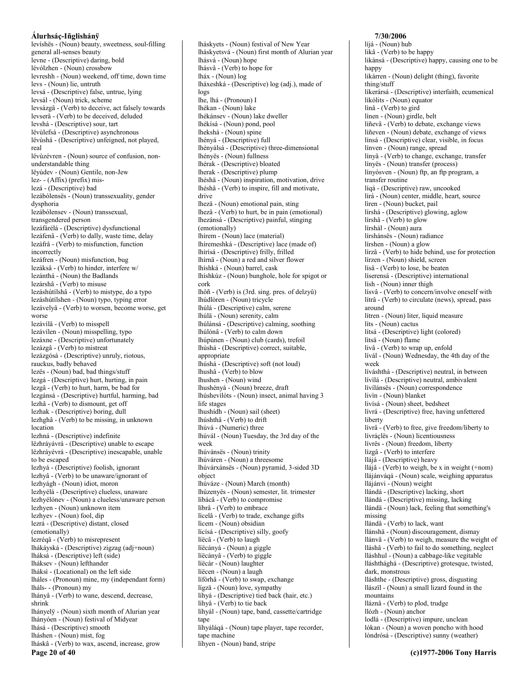levíshës - (Noun) beauty, sweetness, soul-filling general all-senses beauty levne - (Descriptive) daring, bold lévólzhen - (Noun) crossbow levreshh - (Noun) weekend, off time, down time levs - (Noun) lie, untruth levsá - (Descriptive) false, untrue, lying levsál - (Noun) trick, scheme levsázgâ - (Verb) to deceive, act falsely towards levserâ - (Verb) to be deceived, deluded levshá - (Descriptive) sour, tart lëvùlefsá - (Descriptive) asynchronous lëvúshá - (Descriptive) unfeigned, not played, real lëvùzévren - (Noun) source of confusion, nonunderstandable thing lëyúdev - (Noun) Gentile, non-Jew lez- - (Affix) (prefix) mislezá - (Descriptive) bad lezábólenses - (Noun) transsexuality, gender dysphoria lezábólensev - (Noun) transsexual, transgendered person lezáfárélá - (Descriptive) dysfunctional lezáfenâ - (Verb) to dally, waste time, delay lezáfrâ - (Verb) to misfunction, function incorrectly lezáfren - (Noun) misfunction, bug lezáksâ - (Verb) to hinder, interfere w/ lezánthá - (Noun) the Badlands lezárshâ - (Verb) to misuse lezáshútílshâ - (Verb) to mistype, do a typo lezáshútílshen - (Noun) typo, typing error lezávelyâ - (Verb) to worsen, become worse, get worse lezávílâ - (Verb) to misspell lezávílen - (Noun) misspelling, typo lezáxne - (Descriptive) unfortunately lezázgâ - (Verb) to mistreat lezázgósá - (Descriptive) unruly, riotous, rauckus, badly behaved lezës - (Noun) bad, bad things/stuff lezgá - (Descriptive) hurt, hurting, in pain lezgâ - (Verb) to hurt, harm, be bad for lezgánsá - (Descriptive) hurtful, harming, bad lezhâ - (Verb) to dismount, get off lezhak - (Descriptive) boring, dull lezhghâ - (Verb) to be missing, in unknown location lezhná - (Descriptive) indefinite lëzhráyávrá - (Descriptive) unable to escape lëzhráyévrá - (Descriptive) inescapable, unable to be escaned lezhyá - (Descriptive) foolish, ignorant lezhyâ - (Verb) to be unaware/ignorant of lezhyágh - (Noun) idiot, moron lezhyélá - (Descriptive) clueless, unaware lezhyélónev - (Noun) a clueless/unaware person lezhyen - (Noun) unknown item lezhyev - (Noun) fool, dip lezrá - (Descriptive) distant, closed (emotionally) lezréqâ - (Verb) to misrepresent lhákáyská - (Descriptive) zigzag (adj+noun) lháksá - (Descriptive) left (side) lháksev - (Noun) lefthander lháksì - (Locational) on the left side lháles - (Pronoun) mine, my (independant form) lháls-- (Pronoun) my lhányâ - (Verb) to wane, descend, decrease, shrink lhányelÿ - (Noun) sixth month of Alurian year lhányóen - (Noun) festival of Midyear lhásá - (Descriptive) smooth lháshen - (Noun) mist, fog lháskâ - (Verb) to wax, ascend, increase, grow Page 20 of 40

lháskyets - (Noun) festival of New Year lháskyetsvá - (Noun) first month of Alurian year lhásvá - (Noun) hope lhásvâ - (Verb) to hope for lháx - (Noun) log lháxeshká - (Descriptive) log (adj.), made of logs lhe, lhá - (Pronoun) I lhékan - (Noun) lake lhékánsev - (Noun) lake dweller lhékísá - (Noun) pond, pool lhekshá - (Noun) spine lhényá - (Descriptive) full lhényálsá - (Descriptive) three-dimensional lhényës - (Noun) fullness lhérak - (Descriptive) bloated lherak - (Descriptive) plump lhéshä - (Noun) inspiration, motivation, drive lhéshâ - (Verb) to inspire, fill and motivate, drive lhezä - (Noun) emotional pain, sting lhezâ - (Verb) to hurt, be in pain (emotional) lhezánsá - (Descriptive) painful, stinging  $(emotionally)$ lhírem - (Noun) lace (material) lhíremeshká - (Descriptive) lace (made of) lhírísá - (Descriptive) frilly, frilled lhírnä - (Noun) a red and silver flower lhíshká - (Noun) barrel, cask lhíshkúz - (Noun) bunghole, hole for spigot or cork lhôñ - (Verb) is (3rd. sing. pres. of delzyû) lhúdlòren - (Noun) tricycle lhúlá - (Descriptive) calm, serene lhúlä - (Noun) serenity, calm lhúlánsá - (Descriptive) calming, soothing lhúlónâ - (Verb) to calm down lhúpúnen - (Noun) club (cards), trefoil lhùshá - (Descriptive) correct, suitable, appropriate lhúshá - (Descriptive) soft (not loud) lhushâ - (Verb) to blow lhushen - (Noun) wind lhushényá - (Noun) breeze, draft lhúshevilòts - (Noun) insect, animal having 3 life stages lhushídh - (Noun) sail (sheet) lhúshthâ - (Verb) to drift lhúvá - (Numeric) three lhúvál - (Noun) Tuesday, the 3rd day of the week lhúvánsës - (Noun) trinity lhúváren - (Noun) a threesome lhúvárxánsës - (Noun) pyramid, 3-sided 3D object lhúváze - (Noun) March (month) lhúzenyës - (Noun) semester, lit. trimester líbácâ - (Verb) to compromise líbrâ - (Verb) to embrace lícelâ - (Verb) to trade, exchange gifts licem - (Noun) obsidian lícísá - (Descriptive) silly, goofy líëcâ - (Verb) to laugh líëcányá - (Noun) a giggle líëcányâ - (Verb) to giggle líëcár - (Noun) laughter líëcen - (Noun) a laugh lífórhâ - (Verb) to swap, exchange lígzä - (Noun) love, sympathy líhyá - (Descriptive) tied back (hair, etc.) líhyâ - (Verb) to tie back líhyál - (Noun) tape, band, cassette/cartridge tape líhyáláqá - (Noun) tape player, tape recorder, tape machine líhyen - (Noun) band, stripe

#### líjá - (Noun) hub likâ - (Verb) to be happy likánsá - (Descriptive) happy, causing one to be happy likárren - (Noun) delight (thing), favorite thing/stuff líkerársá - (Descriptive) interfaith, ecumenical líkólits - (Noun) equator lìnâ - (Verb) to gird linen - (Noun) girdle, belt líñevâ - (Verb) to debate, exchange views líñeven - (Noun) debate, exchange of views línsá - (Descriptive) clear, visible, in focus línven - (Noun) range, spread línyâ - (Verb) to change, exchange, transfer línyës - (Noun) transfer (process) línyósven - (Noun) ftp, an ftp program, a transfer routine líqá - (Descriptive) raw, uncooked lírá - (Noun) center, middle, heart, source lìren - (Noun) bucket, pail lírshá - (Descriptive) glowing, aglow lírshâ - (Verb) to glow lírshál - (Noun) aura lírshánsës - (Noun) radiance lírshen - (Noun) a glow lírzâ - (Verb) to hide behind, use for protection lírzen - (Noun) shield, screen lísâ - (Verb) to lose, be beaten líserensá - (Descriptive) international lish - (Noun) inner thigh lísvâ - (Verb) to concern/involve oneself with lítrâ - (Verb) to circulate (news), spread, pass around lítren - (Noun) liter, liquid measure lits - (Noun) cactus lítsá - (Descriptive) light (colored) litsä - (Noun) flame livâ - (Verb) to wrap up, enfold lívál - (Noun) Wednesday, the 4th day of the week líváshthá - (Descriptive) neutral, in between lívilá - (Descriptive) neutral, ambivalent lívílánsës - (Noun) correspondence livìn - (Noun) blanket livísá - (Noun) sheet, bedsheet lívrá - (Descriptive) free, having unfettered liberty lívrâ - (Verb) to free, give freedom/liberty to lívráçlës - (Noun) licentiousness lívrës - (Noun) freedom, liberty lízgâ - (Verb) to interfere llájá - (Descriptive) heavy llájâ - (Verb) to weigh, be x in weight (+nom) llájánváqá - (Noun) scale, weighing apparatus llájánvi - (Noun) weight llándá - (Descriptive) lacking, short llándá - (Descriptive) missing, lacking llándä - (Noun) lack, feeling that something's missing llándâ - (Verb) to lack, want llánshä - (Noun) discouragement, dismay llánvâ - (Verb) to weigh, measure the weight of lláshâ - (Verb) to fail to do something, neglect lláshhul - (Noun) a cabbage-like vegitable lláshthághá - (Descriptive) grotesque, twisted, dark. monstrous lláshthe - (Descriptive) gross, disgusting llászïl - (Noun) a small lizard found in the mountains lláznâ - (Verb) to plod, trudge llózh - (Noun) anchor lodlá - (Descriptive) impure, unclean lókan - (Noun) a woven poncho with hood lòndrósá - (Descriptive) sunny (weather)

7/30/2006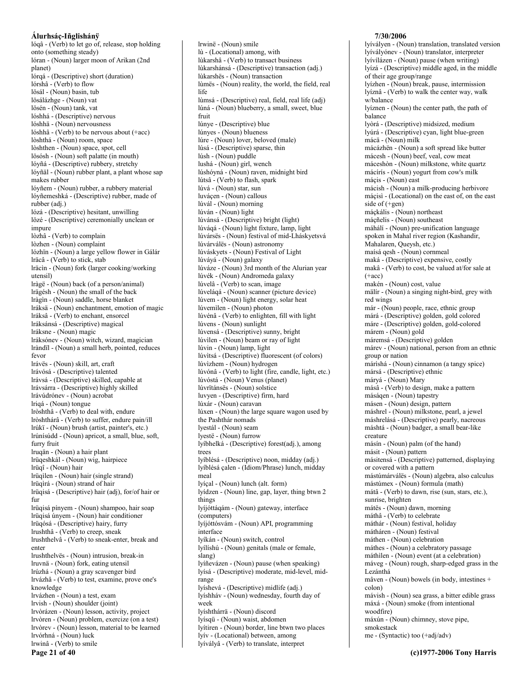lógâ - (Verb) to let go of, release, stop holding onto (something steady) lóran - (Noun) larger moon of Arikan (2nd planet) lórgá - (Descriptive) short (duration) lórshâ - (Verb) to flow lösál - (Noun) basin, tub lösálázhge - (Noun) vat lösén - (Noun) tank, vat lóshhá - (Descriptive) nervous lóshhä - (Noun) nervousness lóshhâ - (Verb) to be nervous about (+acc) lòshthá - (Noun) room, space lòshthen - (Noun) space, spot, cell lösósh - (Noun) soft palatte (in mouth) lóvñá - (Descriptive) rubbery, stretchy lóyñäl - (Noun) rubber plant, a plant whose sap makes rubber lóyñem - (Noun) rubber, a rubbery material lóyñemeshká - (Descriptive) rubber, made of rubber (adj.) lózá - (Descriptive) hesitant, unwilling lözé - (Descriptive) ceremonially unclean or impure lòzhâ - (Verb) to complain lòzhen - (Noun) complaint lózhïn - (Noun) a large yellow flower in Gálár Iräcâ - (Verb) to stick, stab Iräcin - (Noun) fork (larger cooking/working utensil) Iràgë - (Noun) back (of a person/animal) Irägésh - (Noun) the small of the back Iràgìn - (Noun) saddle, horse blanket Iráksä - (Noun) enchantment, emotion of magic lráksâ - (Verb) to enchant, ensorcel Iráksánsá - (Descriptive) magical Iráksne - (Noun) magic Iráksónev - (Noun) witch, wizard, magician Iràndïl - (Noun) a small herb, pointed, reduces fevor lrávës - (Noun) skill, art, craft lrávósá - (Descriptive) talented lrávsá - (Descriptive) skilled, capable at lrávsárra - (Descriptive) highly skilled lrávúdrónev - (Noun) acrobat lrigá - (Noun) tongue lròshthâ - (Verb) to deal with, endure lròshthárâ - (Verb) to suffer, endure pain/ill lrúki - (Noun) brush (artist, painter's, etc.) lrúnísúdd - (Noun) apricot, a small, blue, soft, furry fruit lruqän - (Noun) a hair plant lrüqeshkál - (Noun) wig, hairpiece Irüqî - (Noun) hair lrüqìlen - (Noun) hair (single strand) lrüqìrá - (Noun) strand of hair Irüqisá - (Descriptive) hair (adj), for/of hair or fur Irüqisá pínyem - (Noun) shampoo, hair soap Irüqisá únyem - (Noun) hair conditioner lrügósá - (Descriptive) hairy, furry lrushthâ - (Verb) to creep, sneak lrushthelvâ - (Verb) to sneak-enter, break and enter Irushthelvës - (Noun) intrusion, break-in lruvnä - (Noun) fork, eating utensil lrúzhá - (Noun) a gray scavenger bird lrvázhâ - (Verb) to test, examine, prove one's knowledge lrvázhen - (Noun) a test, exam Irvish - (Noun) shoulder (joint) lrvòrázen - (Noun) lesson, activity, project lrvòren - (Noun) problem, exercize (on a test) Irvòrev - (Noun) lesson, material to be learned lrvórhná - (Noun) luck Irwinâ - (Verb) to smile

Page 21 of 40

Irwinë - (Noun) smile lù - (Locational) among, with lùkarshâ - (Verb) to transact business lùkarshánsá - (Descriptive) transaction (adj.) lùkarshës - (Noun) transaction lùmës - (Noun) reality, the world, the field, real life lùmsá - (Descriptive) real, field, real life (adj) lúná - (Noun) blueberry, a small, sweet, blue fruit lúnye - (Descriptive) blue lúnyes - (Noun) blueness lúre - (Noun) lover, beloved (male) lúsá - (Descriptive) sparse, thin lúsh - (Noun) puddle lushá - (Noun) girl, wench lúshóyná - (Noun) raven, midnight bird lútsâ - (Verb) to flash, spark lúvá - (Noun) star, sun luváçen - (Noun) callous lúvál - (Noun) morning lúván - (Noun) light lúvánsá - (Descriptive) bright (light) lúvágá - (Noun) light fixture, lamp, light lúvársës - (Noun) festival of mid-Lháskyetsvá lúvárválës - (Noun) astronomy lúváskyets - (Noun) Festival of Light lúváyá - (Noun) galaxy lúváze - (Noun) 3rd month of the Alurian year lúvék - (Noun) Andromeda galaxy lúvelâ - (Verb) to scan, image lúveláqá - (Noun) scanner (picture device) lúvem - (Noun) light energy, solar heat lúvemìlen - (Noun) photon lúvénâ - (Verb) to enlighten, fill with light lúvens - (Noun) sunlight lúvensá - (Descriptive) sunny, bright lúvilen - (Noun) beam or ray of light lúvin - (Noun) lamp, light lúvitsá - (Descriptive) fluorescent (of colors) lúvizhem - (Noun) hydrogen lúvónâ - (Verb) to light (fire, candle, light, etc.) lúvóstá - (Noun) Venus (planet) lúvrïtánsës - (Noun) solstice luvyen - (Descriptive) firm, hard lúxár - (Noun) caravan lúxen - (Noun) the large square wagon used by the Pashthár nomads lyestál - (Noun) seam lyestë - (Noun) furrow lyíbhelká - (Descriptive) forest(adj.), among trees lyíblésá - (Descriptive) noon, midday (adj.) lyíblésá çalen - (Idiom/Phrase) lunch, midday meal lyíçal - (Noun) lunch (alt. form) lyídzen - (Noun) line, gap, layer, thing btwn 2 things lyíjóttáqám - (Noun) gateway, interface (computers) lyíjóttósvám - (Noun) API, programming interface lyíkán - (Noun) switch, control lyílíshú - (Noun) genitals (male or female, slang) lyíñevázen - (Noun) pause (when speaking) lyísá - (Descriptive) moderate, mid-level, midrange lyíshevá - (Descriptive) midlife (adj.) lyíshháv - (Noun) wednesday, fourth day of week lyíshthárrä - (Noun) discord lyísqü - (Noun) waist, abdomen lyítiren - (Noun) border, line btwn two places lyív - (Locational) between, among

lyívályâ - (Verb) to translate, interpret

#### 7/30/2006

lyívályen - (Noun) translation, translated version lyívályónev - (Noun) translator, interpreter lyívílázen - (Noun) pause (when writing) lyízá - (Descriptive) middle aged, in the middle of their age group/range lyízhen - (Noun) break, pause, intermission lyíznâ - (Verb) to walk the center way, walk w/halance lyíznen - (Noun) the center path, the path of balance lyòrá - (Descriptive) midsized, medium lyúrá - (Descriptive) cyan, light blue-green mácä - (Noun) milk mácázhën - (Noun) a soft spread like butter mácesh - (Noun) beef, veal, cow meat máceshòn - (Noun) milkstone, white quartz mácírís - (Noun) yogurt from cow's milk máçis - (Noun) east mácish - (Noun) a milk-producing herbivore mácisì - (Locational) on the east of, on the east side of (+gen) máckális - (Noun) northeast máçñelis - (Noun) southeast máhálí - (Noun) pre-unification language spoken in Mahal river region (Kashandir, Mahalaren, Queysh, etc.) maísá qesh - (Noun) cornmeal maká - (Descriptive) expensive, costly makâ - (Verb) to cost, be valued at/for sale at  $(+acc)$ makén - (Noun) cost, value mälír - (Noun) a singing night-bird, grey with red wings már - (Noun) people, race, ethnic group márá - (Descriptive) golden, gold colored máre - (Descriptive) golden, gold-colored márem - (Noun) gold máremsá - (Descriptive) golden márev - (Noun) national, person from an ethnic group or nation márishá - (Noun) cinnamon (a tangy spice) mársá - (Descriptive) ethnic máryá - (Noun) Mary másâ - (Verb) to design, make a pattern máságen - (Noun) tapestry másen - (Noun) design, pattern máshrel - (Noun) milkstone, pearl, a jewel máshrelásá - (Descriptive) pearly, nacreous máshtá - (Noun) badger, a small bear-like creature másín - (Noun) palm (of the hand) másit - (Noun) pattern másitensá - (Descriptive) patterned, displaying or covered with a pattern mástúmárválës - (Noun) algebra, also calculus mástúmex - (Noun) formula (math) mátâ - (Verb) to dawn, rise (sun, stars, etc.), sunrise, brighten mátës - (Noun) dawn, morning máthâ - (Verb) to celebrate máthár - (Noun) festival, holiday mátháren - (Noun) festival máthen - (Noun) celebration máthes - (Noun) a celebratory passage máthìlen - (Noun) event (at a celebration) máveg - (Noun) rough, sharp-edged grass in the Lezánthá  $m\$ {a}ven - (Noun) bowels (in body, intestines + colon) mávish - (Noun) sea grass, a bitter edible grass máxá - (Noun) smoke (from intentional woodfire) máxún - (Noun) chimney, stove pipe, smokestack me - (Syntactic) too (+adj/adv)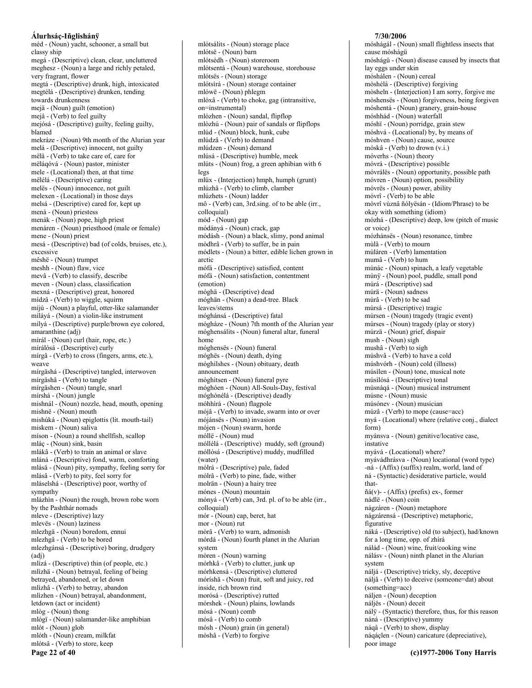méd - (Noun) yacht, schooner, a small but classy ship megá - (Descriptive) clean, clear, uncluttered meghesz - (Noun) a large and richly petaled, very fragrant, flower megtá - (Descriptive) drunk, high, intoxicated megtélá - (Descriptive) drunken, tending towards drunkenness mejä - (Noun) guilt (emotion) mejâ - (Verb) to feel guilty mejósá - (Descriptive) guilty, feeling guilty, hlamed mekráze - (Noun) 9th month of the Alurian year melá - (Descriptive) innocent, not guilty mëlâ - (Verb) to take care of, care for mělágóvá - (Noun) pastor, minister mele - (Locational) then, at that time mëlélá - (Descriptive) caring melës - (Noun) innocence, not guilt melexen - (Locational) in those days melsá - (Descriptive) cared for, kept up mená - (Noun) priestess menák - (Noun) pope, high priest menáren - (Noun) priesthood (male or female) mene - (Noun) priest mesá - (Descriptive) bad (of colds, bruises, etc.), excessive mêshë - (Noun) trumpet meshh - (Noun) flaw, vice mevâ - (Verb) to classify, describe meven - (Noun) class, classification mexná - (Descriptive) great, honored mídzâ - (Verb) to wiggle, squirm míjú - (Noun) a playful, otter-like salamander míláyá - (Noun) a violin-like instrument mílyá - (Descriptive) purple/brown eye colored, amaranthine (adj) mírál - (Noun) curl (hair, rope, etc.) mírálósá - (Descriptive) curly mírgâ - (Verb) to cross (fingers, arms, etc.), weave mírgäshá - (Descriptive) tangled, interwoven mírgäshâ - (Verb) to tangle mírgäshen - (Noun) tangle, snarl mírshá - (Noun) jungle mishnál - (Noun) nozzle, head, mouth, opening mishnë - (Noun) mouth mishúká - (Noun) epiglottis (lit. mouth-tail) miskem - (Noun) saliva míson - (Noun) a round shellfish, scallop mláç - (Noun) sink, basin mlákâ - (Verb) to train an animal or slave mláná - (Descriptive) fond, warm, comforting mlásä - (Noun) pity, sympathy, feeling sorry for mlásâ - (Verb) to pity, feel sorry for mláselshá - (Descriptive) poor, worthy of sympathy mlázhìn - (Noun) the rough, brown robe worn by the Pashthár nomads mleve - (Descriptive) lazy mlevës - (Noun) laziness mlezhgä - (Noun) boredom, ennui mlezhgâ - (Verb) to be bored mlezhgánsá - (Descriptive) boring, drudgery  $(adi)$ mlízá - (Descriptive) thin (of people, etc.) mlìzhä - (Noun) betrayal, feeling of being betrayed, abandoned, or let down mlìzhâ - (Verb) to betray, abandon mlìzhen - (Noun) betrayal, abandonment, letdown (act or incident) mlòg - (Noun) thong mlógï - (Noun) salamander-like amphibian mlót - (Noun) glob mlóth - (Noun) cream, milkfat mlótsâ - (Verb) to store, keep Page 22 of 40

mlótsálits - (Noun) storage place mlótsë - (Noun) barn mlótsédh - (Noun) storeroom mlótsentá - (Noun) warehouse, storehouse mlótsës - (Noun) storage mlótsìrá - (Noun) storage container mlówë - (Noun) phlegm mlóxâ - (Verb) to choke, gag (intransitive, on=instrumental) mlòzhen - (Noun) sandal, flipflop mlòzhú - (Noun) pair of sandals or flipflops mlúd - (Noun) block, hunk, cube mlúdzâ - (Verb) to demand mlúdzen - (Noun) demand mlúsá - (Descriptive) humble, meek mlúts - (Noun) frog, a green aphibian with 6 legs mlüx - (Interjection) hmph, humph (grunt) mlúzhâ - (Verb) to climb, clamber mlúzhets - (Noun) ladder mô - (Verb) can, 3rd.sing. of to be able (irr., colloquial) mód - (Noun) gap módányá - (Noun) crack, gap módásh - (Noun) a black, slimy, pond animal mòdhrâ - (Verb) to suffer, be in pain módlets - (Noun) a bitter, edible lichen grown in arctic mófá - (Descriptive) satisfied, content mófã - (Noun) satisfaction, contentment (emotion) móghä - (Descriptive) dead móghän - (Noun) a dead-tree. Black leaves/stems móghánsá - (Descriptive) fatal mógháze - (Noun) 7th month of the Alurian year móghensálits - (Noun) funeral altar, funeral home móghensës - (Noun) funeral móghës - (Noun) death, dving móghílshes - (Noun) obituary, death announcement móghìtsen - (Noun) funeral pyre móghóen - (Noun) All-Souls-Day, festival móghónélá - (Descriptive) deadly móhhirá - (Noun) flagpole mójâ - (Verb) to invade, swarm into or over mójánsës - (Noun) invasion mójen - (Noun) swarm, horde móllë - (Noun) mud móllélá - (Descriptive) muddy, soft (ground) móllósá - (Descriptive) muddy, mudfilled (water) mólrá - (Descriptive) pale, faded mólrâ - (Verb) to pine, fade, wither molrän - (Noun) a hairy tree mónes - (Noun) mountain mónyá - (Verb) can, 3rd. pl. of to be able (irr., colloquial) mór - (Noun) cap, beret, hat mor - (Noun) rut mòrâ - (Verb) to warn, admonish mórdá - (Noun) fourth planet in the Alurian system mòren - (Noun) warning mórhkâ - (Verb) to clutter, junk up mórhkensá - (Descriptive) cluttered móríshä - (Noun) fruit, soft and juicy, red inside, rich brown rind morósá - (Descriptive) rutted mórshek - (Noun) plains, lowlands mósá - (Noun) comb mósâ - (Verb) to comb mósh - (Noun) grain (in general) mòshâ - (Verb) to forgive

# 7/30/2006

móshágál - (Noun) small flightless insects that cause móshágü móshágü - (Noun) disease caused by insects that lay eggs under skin móshálen - (Noun) cereal mòshélá - (Descriptive) forgiving mòsheln - (Interjection) I am sorry, forgive me mòshensës - (Noun) forgiveness, being forgiven móshentá - (Noun) granery, grain-house móshhád - (Noun) waterfall móshï - (Noun) porridge, grain stew móshvá - (Locational) by, by means of móshven - (Noun) cause, source móskâ - (Verb) to drown (v.i.) móverhs - (Noun) theory móvrá - (Descriptive) possible móvrálës - (Noun) opportunity, possible path móvren - (Noun) option, possibility móvrës - (Noun) power, ability móvrî - (Verb) to be able móvrî vùznâ ñólyësán - (Idiom/Phrase) to be okay with something (idiom) mózhá - (Descriptive) deep, low (pitch of music or voice) mózhánsës - (Noun) resonance, timbre mùlâ - (Verb) to mourn mùláren - (Verb) lamentation mumâ - (Verb) to hum múnác - (Noun) spinach, a leafy vegetable múnÿ - (Noun) pool, puddle, small pond múrá - (Descriptive) sad múrä - (Noun) sadness múrâ - (Verb) to be sad múrsá - (Descriptive) tragic múrsen - (Noun) tragedy (tragic event) múrses - (Noun) tragedy (play or story) múrzä - (Noun) grief, dispair mush - (Noun) sigh mushâ - (Verb) to sigh múshvâ - (Verb) to have a cold múshvórh - (Noun) cold (illness) músilen - (Noun) tone, musical note músilósá - (Descriptive) tonal músnágá - (Noun) musical instrument músne - (Noun) music músónev - (Noun) musician múzâ - (Verb) to mope (cause=acc) myá - (Locational) where (relative conj., dialect form) myánsva - (Noun) genitive/locative case, instative myává - (Locational) where? myávádhrásva - (Noun) locational (word type) -ná - (Affix) (suffix) realm, world, land of ná - (Syntactic) desiderative particle, would that- $\tilde{n}$ á(v) - (Affix) (prefix) ex-, former nádlë - (Noun) coin nágzáren - (Noun) metaphore nágzárensá - (Descriptive) metaphoric, figurative náká - (Descriptive) old (to subject), had/known for a long time, opp. of zhírá nálád - (Noun) wine, fruit/cooking wine nálásv - (Noun) ninth planet in the Alurian system náljá - (Descriptive) tricky, sly, deceptive náljâ - (Verb) to deceive (someone=dat) about (something=acc) náljen - (Noun) deception náljës - (Noun) deceit nály - (Syntactic) therefore, thus, for this reason náná - (Descriptive) yummy náqâ - (Verb) to show, display náqáçlen - (Noun) caricature (depreciative), poor image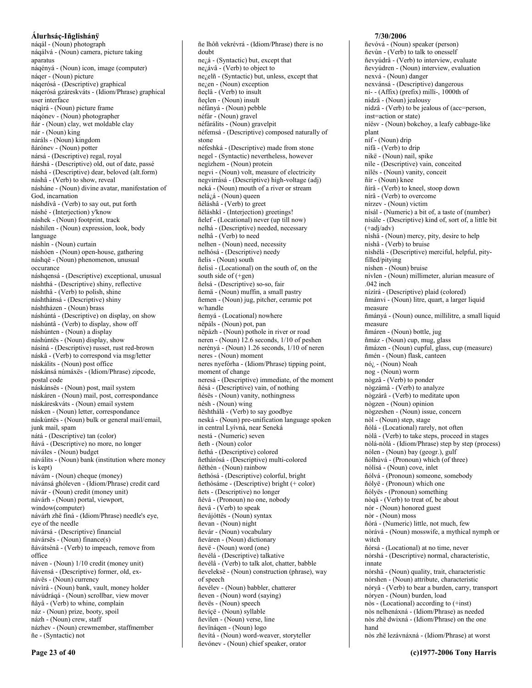#### Álurhsáç-Iñglishánÿ náqál - (Noun) photograph náqálvá - (Noun) camera, picture taking aparatus náqényá - (Noun) icon, image (computer) náger - (Noun) picture náqerósá - (Descriptive) graphical nágerósá gzáreskváts - (Idiom/Phrase) graphical user interface náqirá - (Noun) picture frame náqónev - (Noun) photographer ñár - (Noun) clay, wet moldable clay nár - (Noun) king náráls - (Noun) kingdom ñárónev - (Noun) potter nársá - (Descriptive) regal, royal ñárshá - (Descriptive) old, out of date, passé náshá - (Descriptive) dear, beloved (alt.form) náshâ - (Verb) to show, reveal násháne - (Noun) divine avatar, manifestation of God, incarnation náshdívâ - (Verb) to say out, put forth náshé - (Interjection) y'know náshek - (Noun) footprint, track náshilen - (Noun) expression, look, body language náshìn - (Noun) curtain náshóen - (Noun) open-house, gathering náshqë - (Noun) phenomenon, unusual occurance náshqensá - (Descriptive) exceptional, unusual náshthá - (Descriptive) shiny, reflective náshthâ - (Verb) to polish, shine náshthánsá - (Descriptive) shiny náshtházen - (Noun) brass náshúntá - (Descriptive) on display, on show náshúntâ - (Verb) to display, show off náshúnten - (Noun) a display náshúntës - (Noun) display, show násíná - (Descriptive) russet, rust red-brown náskâ - (Verb) to correspond via msg/letter náskálits - (Noun) post office náskánsá númáxës - (Idiom/Phrase) zipcode, postal code náskánsës - (Noun) post, mail system náskáren - (Noun) mail, post, correspondance náskáreskváts - (Noun) email system násken - (Noun) letter, correspondance náskúntës - (Noun) bulk or general mail/email, junk mail, spam nátá - (Descriptive) tan (color) ñává - (Descriptive) no more, no longer náváles - (Noun) budget náválits - (Noun) bank (institution where money is kept) návám - (Noun) cheque (money) návánsá ghóleven - (Idiom/Phrase) credit card návár - (Noun) credit (money unit) návárh - (Noun) portal, viewport, window(computer) návárh zhë fíná - (Idiom/Phrase) needle's eye, eve of the needle návársá - (Descriptive) financial návársës - (Noun) finance(s) ñávátsénâ - (Verb) to impeach, remove from office náven - (Noun) 1/10 credit (money unit) ñávensá - (Descriptive) former, old, exnávës - (Noun) currency návìrá - (Noun) bank, vault, money holder návúdráqá - (Noun) scrollbar, view mover ñâyâ - (Verb) to whine, complain náz - (Noun) prize, booty, spoil názh - (Noun) crew, staff názhev - (Noun) crewmember, staffmember

ñe - (Syntactic) not Page 23 of 40

ñe lhôñ vekrévrá - (Idiom/Phrase) there is no doubt ne<sub>l</sub>á - (Syntactic) but, except that  $ne_{\lambda}$ ávâ - (Verb) to object to nezelñ - (Syntactic) but, unless, except that nezen - (Noun) exception ñeclâ - (Verb) to insult ñeclen - (Noun) insult néfányá - (Noun) pebble néfár - (Noun) gravel néfárálits - (Noun) gravelpit néfemsá - (Descriptive) composed naturally of stone néfeshká - (Descriptive) made from stone negel - (Syntactic) nevertheless, however negizhem - (Noun) protein negvi - (Noun) volt, measure of electricity negvirrásá - (Descriptive) high-voltage (adj) neká - (Noun) mouth of a river or stream  $nelá<sub>i</sub>á - (Noun) queen$ ñëláshâ - (Verb) to greet ñëláshkî - (Interjection) greetings! ñelef - (Locational) never (up till now) nelhá - (Descriptive) needed, necessary nelhâ - (Verb) to need nelhen - (Noun) need, necessity nelhósá - (Descriptive) needy ñelis - (Noun) south ñelisì - (Locational) on the south of, on the south side of  $(+gen)$ ñelsá - (Descriptive) so-so, fair ñemä - (Noun) muffin, a small pastry ñemen - (Noun) jug, pitcher, ceramic pot w/handle ñemyá - (Locational) nowhere nëpáls - (Noun) pot, pan nëpázh - (Noun) pothole in river or road neren - (Noun) 12.6 seconds, 1/10 of peshen nerényá - (Noun) 1.26 seconds, 1/10 of neren neres - (Noun) moment neres nyefórha - (Idiom/Phrase) tipping point, moment of change neresá - (Descriptive) immediate, of the moment ñésá - (Descriptive) vain, of nothing ñésës - (Noun) vanity, nothingness nésh - (Noun) wing ñështhálâ - (Verb) to say goodbye neská - (Noun) pre-unification language spoken in central Lyívná, near Seneká nestá - (Numeric) seven ñeth - (Noun) color ñethá - (Descriptive) colored ñethárósá - (Descriptive) multi-colored ñëthén - (Noun) rainbow ñethósá - (Descriptive) colorful, bright ñethósáme - (Descriptive) bright (+ color) ñets - (Descriptive) no longer ñévá - (Pronoun) no one, nobody ñevâ - (Verb) to speak ñevájóttës - (Noun) syntax ñevan - (Noun) night ñevár - (Noun) vocabulary ñeváren - (Noun) dictionary ñevë - (Noun) word (one) ñevélá - (Descriptive) talkative ñevélâ - (Verb) to talk alot, chatter, babble ñeveleksë - (Noun) construction (phrase), way of speech ñevélev - (Noun) babbler, chatterer ñeven - (Noun) word (saying) ñevës - (Noun) speech ñevíçë - (Noun) syllable ñevilen - (Noun) verse, line ñevïnágen - (Noun) logo ñevítá - (Noun) word-weaver, storyteller ñevónev - (Noun) chief speaker, orator

#### 7/30/2006

ñevóvá - (Noun) speaker (person) ñevùn - (Verb) to talk to onesself ñevyúdrâ - (Verb) to interview, evaluate ñevyúdren - (Noun) interview, evaluation nexvá - (Noun) danger nexvánsá - (Descriptive) dangerous  $ni$ - (Affix) (prefix) milli-, 1000th of nídzä - (Noun) jealousy nídzâ - (Verb) to be jealous of (acc=person, inst=action or state) níësv - (Noun) bokchov, a leafy cabbage-like plant níf - (Noun) drip nífâ - (Verb) to drip nikë - (Noun) nail, spike nìle - (Descriptive) vain, conceited nilës - (Noun) vanity, conceit ñír - (Noun) knee ñírâ - (Verb) to kneel, stoop down nírâ - (Verb) to overcome nírzev - (Noun) victim nísál - (Numeric) a bit of, a taste of (number) nísále - (Descriptive) kind of, sort of, a little bit  $(+adi/adv)$ nìshä - (Noun) mercy, pity, desire to help níshâ - (Verb) to bruise nìshélá - (Descriptive) merciful, helpful, pityfilled/pitying níshen - (Noun) bruise nívlen - (Noun) millimeter, alurian measure of  $.042$  inch nízírá - (Descriptive) plaid (colored) ñmánvi - (Noun) litre, quart, a larger liquid measure ñmányá - (Noun) ounce, millilitre, a small liquid measure ñmáren - (Noun) bottle, jug ñmáz - (Noun) cup, mug, glass ñmázen - (Noun) cupful, glass, cup (measure) ñmén - (Noun) flask, canteen  $n\delta_{\zeta}$  - (Noun) Noah nog - (Noun) worm nògzâ - (Verb) to ponder nògzámâ - (Verb) to analyze nògzárâ - (Verb) to meditate upon nògzen - (Noun) opinion nògzeshen - (Noun) issue, concern nòl - (Noun) step, stage ñólá - (Locational) rarely, not often nòlâ - (Verb) to take steps, proceed in stages nòlá-nòlá - (Idiom/Phrase) step by step (process) nólen - (Noun) bay (geogr.), gulf ñólhúvá - (Pronoun) which (of three) nólísá - (Noun) cove, inlet ñólvá - (Pronoun) someone, somebody ñólyë - (Pronoun) which one ñólyës - (Pronoun) something nòqâ - (Verb) to treat of, be about nór - (Noun) honored guest nòr - (Noun) moss ñórá - (Numeric) little, not much, few nòrává - (Noun) mosswife, a mythical nymph or witch ñórsá - (Locational) at no time, never nórshá - (Descriptive) normal, characteristic, innate nórshä - (Noun) quality, trait, characteristic nórshen - (Noun) attribute, characteristic nóryâ - (Verb) to bear a burden, carry, transport nóryen - (Noun) burden, load  $n\delta s$  - (Locational) according to  $(\text{+inst})$ nòs nelhenáxná - (Idiom/Phrase) as needed nòs zhë dwixná - (Idiom/Phrase) on the one hand nòs zhë lezávnáxná - (Idiom/Phrase) at worst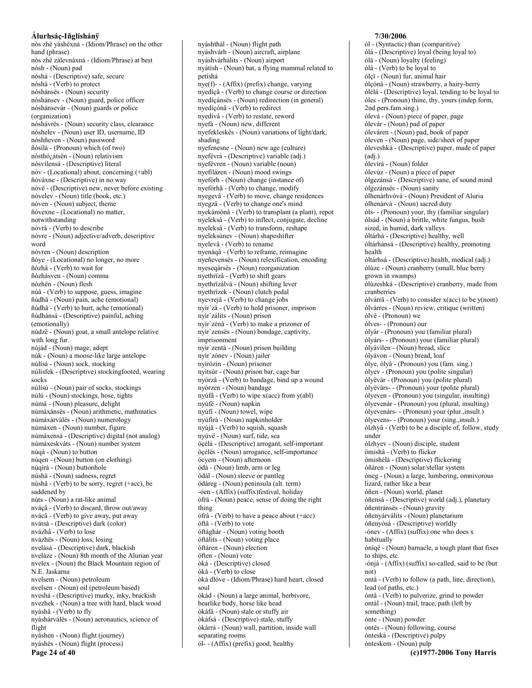nòs zhë yáshëxná - (Idiom/Phrase) on the other hand (phrase) nòs zhë zálevnáxná - (Idiom/Phrase) at best nòsh - (Noun) pad nóshá - (Descriptive) safe, secure nóshâ - (Verb) to protect nóshánsës - (Noun) security nóshánsev - (Noun) guard, police officer nóshánsevár - (Noun) guards or police (organization) nóshávrës - (Noun) security class, clearance nóshelev - (Noun) user ID, username, ID nóshñeven - (Noun) password ñósílá - (Pronoun) which (of two) nòsthó<sub>l</sub>átsën - (Noun) relativism nòsvílensá - (Descriptive) literal nòv - (Locational) about, concerning (+abl) ñóváxne - (Descriptive) in no way nóvë - (Descriptive) new, never before existing nòvelev - (Noun) title (book, etc.) nòven - (Noun) subject, theme ñóvexne - (Locational) no matter, notwithstanding nòvrâ - (Verb) to describe nòvre - (Noun) adjective/adverb, descriptive word nòvren - (Noun) description ñóye - (Locational) no longer, no more ñózhâ - (Verb) to wait for ñózhásven - (Noun) comma nózhën - (Noun) flesh núâ - (Verb) to suppose, guess, imagine ñúdhä - (Noun) pain, ache (emotional) ñúdhâ - (Verb) to hurt, ache (emotional) ñúdhánsá - (Descriptive) painful, aching (emotionally) núdzë - (Noun) goat, a small antelope relative with long fur. nújád - (Noun) mage, adept núk - (Noun) a moose-like large antelope núlísá - (Noun) sock, stocking núlísfek - (Descriptive) stockingfooted, wearing socks núlísú - (Noun) pair of socks, stockings núlú - (Noun) stockings, hose, tights númä - (Noun) pleasure, delight númáxánsës - (Noun) arithmetic, mathmatics númáxárválës - (Noun) numerology númáxen - (Noun) number, figure númáxensá - (Descriptive) digital (not analog) númáxeskváts - (Noun) number system núqâ - (Noun) to button núqen - (Noun) button (on clothing) núqìrá - (Noun) buttonhole núshä - (Noun) sadness, regret núshâ - (Verb) to be sorry, regret (+acc), be saddened by núts - (Noun) a rat-like animal nváçâ - (Verb) to discard, throw out/away nvácâ - (Verb) to give away, put away nvátsá - (Descriptive) dark (color) nvázhâ - (Verb) to lose nvázhës - (Noun) loss, losing nvelásá - (Descriptive) dark, blackish nveláze - (Noun) 8th month of the Alurian year nvelex - (Noun) the Black Mountain region of N.E. Jaskarna nvelsem - (Noun) petroleum nvelsen - (Noun) oil (petroleum based) nveshá - (Descriptive) murky, inky, brackish nvezhek - (Noun) a tree with hard, black wood nyáshâ - (Verb) to fly nyáshárválës - (Noun) aeronautics, science of flight nyáshen - (Noun) flight (journey) nyáshës - (Noun) flight (process) Page 24 of 40

nyáshthál - (Noun) flight path nyáshvárh - (Noun) aircraft, airplane nváshvárhálits - (Noun) airport nyátísh - (Noun) bat, a flying mammal related to petíshá nye(f)--(Affix) (prefix) change, varying nyedíçâ - (Verb) to change course or direction nyedíçánsës - (Noun) redirection (in general) nyedíçónâ - (Verb) to redirect nyedívâ - (Verb) to restate, reword nyefá - (Noun) new, different nyefekleskës - (Noun) variations of light/dark, shading nyefenesne - (Noun) new age (culture) nyefévrá - (Descriptive) variable (adj.) nyefévren - (Noun) variable (noun) nyefilázen - (Noun) mood swings nyefórh - (Noun) change (instance of) nyefórhâ - (Verb) to change, modify nyegevâ - (Verb) to move, change residences nyegzâ - (Verb) to change one's mind nyekámónâ - (Verb) to transplant (a plant), repot nyeleksâ - (Verb) to inflect, conjugate, decline nyeleksâ - (Verb) to transform, reshape nyeleksùnev - (Noun) shapeshifter nyelevâ - (Verb) to rename nyenáqâ - (Verb) to reframe, reimagine nyeñevensës - (Noun) relexification, encoding nyeseqársës - (Noun) reorganization nyethrïzâ - (Verb) to shift gears nyethrïzálvá - (Noun) shifting lever nyethrïzek - (Noun) clutch pedal nyevrejâ - (Verb) to change jobs nyír'zâ - (Verb) to hold prisoner, imprison nyír'zálits - (Noun) prison nyír'zénâ - (Verb) to make a prizoner of nyír'zensës - (Noun) bondage, captivity, imprisonment nyír'zentá - (Noun) prison building nvír`zónev - (Noun) jailer nyírózin - (Noun) prisoner nyítsúr - (Noun) prison bar, cage bar nyórzâ - (Verb) to bandage, bind up a wound nyórzen - (Noun) bandage nyúfâ - (Verb) to wipe x(acc) from y(abl) nyúfë - (Noun) napkin nyúfi - (Noun) towel, wipe nyúfirá - (Noun) napkinholder nyújâ - (Verb) to squish, squash nyúvë - (Noun) surf, tide, sea öçélá - (Descriptive) arrogant, self-important öçélës - (Noun) arrogance, self-importance ócyem - (Noun) afternoon ódá - (Noun) limb, arm or leg ódál - (Noun) sleeve or pantleg ódáreg - (Noun) peninsula (alt. term) -óen - (Affix) (suffix) festival, holiday ófrä - (Noun) peace, sense of doing the right thing ófrâ - (Verb) to have a peace about (+acc) óftâ - (Verb) to vote óftághár - (Noun) voting booth óftálits - (Noun) voting place óftáren - (Noun) election óften - (Noun) vote òká - (Descriptive) closed òkâ - (Verb) to close òká dlóve - (Idiom/Phrase) hard heart, closed soul ókád - (Noun) a large animal, herbivore, bearlike body, horse like head òkáfá - (Noun) stale or stuffy air òkáfsá - (Descriptive) stale, stuffy òkárrá - (Noun) wall, partition, inside wall separating rooms ól- - (Affix) (prefix) good, healthy

7/30/2006 ól - (Syntactic) than (comparitive) ólá - (Descriptive) loyal (being loyal to) ólä - (Noun) loyalty (feeling) ólâ - (Verb) to be loyal to ólcî - (Noun) fur, animal hair ólçóná - (Noun) strawberry, a hairy-berry ólélá - (Descriptive) loyal, tending to be loyal to óles - (Pronoun) thine, thy, yours (indep.form, 2nd pers.fam.sing.) ólevá - (Noun) piece of paper, page ólevár - (Noun) pad of paper óleváren - (Noun) pad, book of paper óleven - (Noun) page, side/sheet of paper óleveshká - (Descriptive) paper, made of paper  $(adi.)$ ólevirá - (Noun) folder ólevúz - (Noun) a piece of paper ólgezánsá - (Descriptive) sane, of sound mind ólgezánsës - (Noun) sanity ólhenárhvóvá - (Noun) President of Aluria ólhenárvá - (Noun) sacred duty óls- - (Pronoun) your, thy (familiar singular) ólsád - (Noun) a brittle, white fungus, bush sized. in humid, dark valleys óltárhá - (Descriptive) healthy, well óltárhánsá - (Descriptive) healthy, promoting health óltárhsá - (Descriptive) health, medical (adj.) ólùze - (Noun) cranberry (small, blue berry grown in swamps) ólùzeshká - (Descriptive) cranberry, made from cranberries ólvárrâ - (Verb) to consider  $x(acc)$  to be  $y(nom)$ ólvárres - (Noun) review, critique (written) ólvë - (Pronoun) we ólves- - (Pronoun) our ólyár - (Pronoun) you (familiar plural) ólyárs- - (Pronoun) your (familiar plural) ólyávilen - (Noun) bread, slice ólvávon - (Noun) bread, loaf ólye, ólyá - (Pronoun) you (fam. sing.) ólyev - (Pronoun) you (polite singular) ólyëvár - (Pronoun) you (polite plural) ólyëvárs- - (Pronoun) your (polite plural) ólyeven - (Pronoun) you (singular, insulting) ólyevenár - (Pronoun) you (plural, insulting) ólyevenárs- - (Pronoun) your (plur., insult.) ólyevens- - (Pronoun) your (sing., insult.) ólzhyâ - (Verb) to be a disciple of, follow, study under ólzhyev - (Noun) disciple, student ömishâ - (Verb) to flicker ömishélá - (Descriptive) flickering óñáren - (Noun) solar/stellar system óneg - (Noun) a large, lumbering, omnivorous lizard, rather like a bear óñen - (Noun) world, planet óñensá - (Descriptive) world (adj.), planetary óñentránsës - (Noun) gravity óñenyárválits - (Noun) planetarium óñenyósá - (Descriptive) worldly -ónev - (Affix) (suffix) one who does x habitually óníqë - (Noun) barnacle, a tough plant that fixes to ships, etc. -ónjá - (Affix) (suffix) so-called, said to be (but  $not)$ ontâ - (Verb) to follow (a path, line, direction), lead (of paths, etc.) óntâ - (Verb) to pulverize, grind to powder ontál - (Noun) trail, trace, path (left by something) ónte - (Noun) powder ontës - (Noun) following, course ónteská - (Descriptive) pulpy ónteskem - (Noun) pulp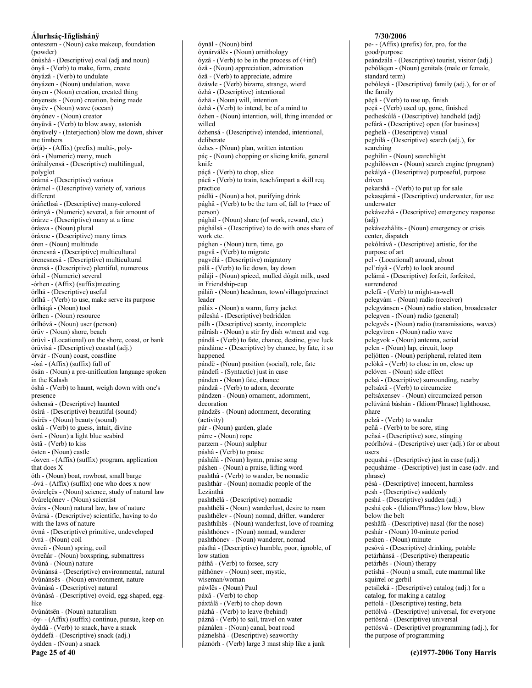onteszem - (Noun) cake makeup, foundation (powder) ónùshá - (Descriptive) oval (adj and noun) ónyâ - (Verb) to make, form, create ónyázâ - (Verb) to undulate ónyázen - (Noun) undulation, wave ónyen - (Noun) creation, created thing ónyensës - (Noun) creation, being made ónyëv - (Noun) wave (ocean) ónyónev - (Noun) creator ónyüvâ - (Verb) to blow away, astonish ónyüvelÿ - (Interjection) blow me down, shiver me timbers ór(á)--(Affix) (prefix) multi-, polyórá - (Numeric) many, much óráhályensá - (Descriptive) multilingual, polyglot órámá - (Descriptive) various órámel - (Descriptive) variety of, various different óráñethsá - (Descriptive) many-colored órányá - (Numeric) several, a fair amount of órárze - (Descriptive) many at a time órásva - (Noun) plural óráxne - (Descriptive) many times óren - (Noun) multitude órenesná - (Descriptive) multicultural órenesnesá - (Descriptive) multicultural órensá - (Descriptive) plentiful, numerous órhál - (Numeric) several -órhen -  $(Affix)$  (suffix) meeting órlhá - (Descriptive) useful órlhâ - (Verb) to use, make serve its purpose órlhágá - (Noun) tool órlhen - (Noun) resource órlhóvá - (Noun) user (person) órüv - (Noun) shore, beach órüvì - (Locational) on the shore, coast, or bank órüvisá - (Descriptive) coastal (adj.) órvár - (Noun) coast, coastline -ósá - (Affix) (suffix) full of ósán - (Noun) a pre-unification language spoken in the Kalash óshâ - (Verb) to haunt, weigh down with one's presence óshensá - (Descriptive) haunted ósírá - (Descriptive) beautiful (sound) ósírës - (Noun) beauty (sound) oskâ - (Verb) to guess, intuit, divine ósrá - (Noun) a light blue seabird òstâ - (Verb) to kiss ósten - (Noun) castle -ósven - (Affix) (suffix) program, application that does X óth - (Noun) boat, rowboat, small barge -óvá - (Affix) (suffix) one who does x now övárelçës - (Noun) science, study of natural law övárelçónev - (Noun) scientist övárs - (Noun) natural law, law of nature övársá - (Descriptive) scientific, having to do with the laws of nature óvná - (Descriptive) primitive, undeveloped óvrá - (Noun) coil óvreñ - (Noun) spring, coil óvreñár - (Noun) boxspring, submattress övùná - (Noun) nature övùnánsá - (Descriptive) environmental, natural övùnánsës - (Noun) environment, nature övùnásá - (Descriptive) natural óvùnásá - (Descriptive) ovoid, egg-shaped, egglike övùnátsën - (Noun) naturalism -óy- - (Affix) (suffix) continue, pursue, keep on óyddâ - (Verb) to snack, have a snack óyddefá - (Descriptive) snack (adj.) óydden - (Noun) a snack

Page 25 of 40

óynäl - (Noun) bird óynárválës - (Noun) ornithology  $6yz\hat{a}$  - (Verb) to be in the process of  $(+inf)$ ózä - (Noun) appreciation, admiration ózâ - (Verb) to appreciate, admire özáwle - (Verb) bizarre, strange, wierd ózhá - (Descriptive) intentional ózhä - (Noun) will, intention ózhâ - (Verb) to intend, be of a mind to ózhen - (Noun) intention, will, thing intended or willed ózhensá - (Descriptive) intended, intentional, deliberate ózhes - (Noun) plan, written intention páç - (Noun) chopping or slicing knife, general knife páçâ - (Verb) to chop, slice pácâ - (Verb) to train, teach/impart a skill req. practice pádlü - (Noun) a hot, purifying drink pághâ - (Verb) to be the turn of, fall to (+acc of person) pághál - (Noun) share (of work, reward, etc.) pághálsá - (Descriptive) to do with ones share of work etc. pághen - (Noun) turn, time, go pagvâ - (Verb) to migrate pagvélá - (Descriptive) migratory pálâ - (Verb) to lie down, lay down páláji - (Noun) spiced, mulled dógát milk, used in Friendship-cup páláñ - (Noun) headman, town/village/precinct leader páláx - (Noun) a warm, furry jacket páleshá - (Descriptive) bedridden pálh - (Descriptive) scanty, incomplete pálrásh - (Noun) a stir fry dish w/meat and veg. pándâ - (Verb) to fate, chance, destine, give luck pándáme - (Descriptive) by chance, by fate, it so happened pándë - (Noun) position (social), role, fate pándefi - (Syntactic) just in case pánden - (Noun) fate, chance pándzâ - (Verb) to adorn, decorate pándzen - (Noun) ornament, adornment, decoration pándzës - (Noun) adornment, decorating (activity) pár - (Noun) garden, glade párre - (Noun) rope parzem - (Noun) sulphur páshâ - (Verb) to praise páshálá - (Noun) hymn, praise song páshen - (Noun) a praise, lifting word pashthâ - (Verb) to wander, be nomadic pashthár - (Noun) nomadic people of the Lezánthá pashthélá - (Descriptive) nomadic pashthélä - (Noun) wanderlust, desire to roam pashthélev - (Noun) nomad, drifter, wanderer pashthíhës - (Noun) wanderlust, love of roaming páshthónev - (Noun) nomad, wanderer pashthónev - (Noun) wanderer, nomad pásthá - (Descriptive) humble, poor, ignoble, of low station páthâ - (Verb) to forsee, scry páthónev - (Noun) seer, mystic, wiseman/woman páwlës - (Noun) Paul páxâ - (Verb) to chop páxtálâ - (Verb) to chop down pázhâ - (Verb) to leave (behind) páznâ - (Verb) to sail, travel on water páználen - (Noun) canal, boat road páznelshá - (Descriptive) seaworthy páznórh - (Verb) large 3 mast ship like a junk

7/30/2006 pe- - (Affix) (prefix) for, pro, for the good/purpose peándzálá - (Descriptive) tourist, visitor (adj.) pebóláqen - (Noun) genitals (male or female, standard term) pebóleyá - (Descriptive) family (adj.), for or of the family pëçâ - (Verb) to use up, finish peçá - (Verb) used up, gone, finished pedheskúlá - (Descriptive) handheld (adj) pefárá - (Descriptive) open (for business) peghelá - (Descriptive) visual peghílá - (Descriptive) search (adj.), for searching peghílin - (Noun) searchlight peghílósven - (Noun) search engine (program) pekályá - (Descriptive) purposeful, purpose driven pekarshâ - (Verb) to put up for sale pekasqámá - (Descriptive) underwater, for use underwater pekávezhá - (Descriptive) emergency response  $(adi)$ pekávezhálits - (Noun) emergency or crisis center, dispatch pekólrává - (Descriptive) artistic, for the purpose of art pel - (Locational) around, about pel`ráyâ - (Verb) to look around pelámá - (Descriptive) forfeit, forfeited, surrendered pelefã - (Verb) to might-as-well pelegvám - (Noun) radio (receiver) pelegvánsen - (Noun) radio station, broadcaster pelegven - (Noun) radio (general) pelegvës - (Noun) radio (transmissions, waves) pelegvìren - (Noun) radio wave pelegvok - (Noun) antenna, aerial pelen - (Noun) lap, circuit, loop peljótten - (Noun) peripheral, related item pelòkâ - (Verb) to close in on, close up pelóven - (Noun) side effect pelsá - (Descriptive) surrounding, nearby peltsáxâ - (Verb) to circumcize peltsáxensev - (Noun) circumcized person pelúváná báshán - (Idiom/Phrase) lighthouse, phare pelzâ - (Verb) to wander peñâ - (Verb) to be sore, sting peñsá - (Descriptive) sore, stinging peórlhóvá - (Descriptive) user (adj.) for or about users pequshá - (Descriptive) just in case (adj.) pequsháme - (Descriptive) just in case (adv. and phrase) pésá - (Descriptive) innocent, harmless pesh - (Descriptive) suddenly peshá - (Descriptive) sudden (adj.) peshá çok - (Idiom/Phrase) low blow, blow below the belt peshâfá - (Descriptive) nasal (for the nose) peshár - (Noun) 10-minute period peshen - (Noun) minute pesóvá - (Descriptive) drinking, potable petárhánsá - (Descriptive) therapeutic petárhës - (Noun) therapy petíshá - (Noun) a small, cute mammal like squirrel or gerbil petsíleká - (Descriptive) catalog (adj.) for a catalog, for making a catalog pettolá - (Descriptive) testing, beta pettólvá - (Descriptive) universal, for everyone pettòsná - (Descriptive) universal pettósvá - (Descriptive) programming (adj.), for the purpose of programming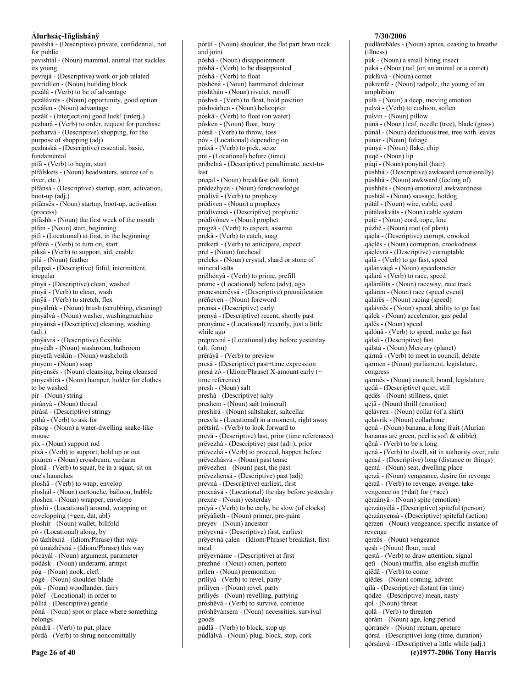pevéshá - (Descriptive) private, confidential, not for public pevishtál - (Noun) mammal, animal that suckles its young pevrejá - (Descriptive) work or job related pevrídìlen - (Noun) building block pezálâ - (Verb) to be of advantage pezálávrës - (Noun) opportunity, good option pezálen - (Noun) advantage pezálî - (Interjection) good luck! (interj.) pezharâ - (Verb) to order, request for purchase pezharvá - (Descriptive) shopping, for the purpose of shopping (adj) pezháská - (Descriptive) essential, basic, fundamental pífã - (Verb) to begin, start pífálskets - (Noun) headwaters, source (of a river, etc.) pífánsá - (Descriptive) startup, start, activation, boot-up (adj.) pífánsës - (Noun) startup, boot-up, activation (process) pífáshh - (Noun) the first week of the month pífen - (Noun) start, beginning pífi - (Locational) at first, in the beginning pífónâ - (Verb) to turn on, start píksâ - (Verb) to support, aid, enable pílá - (Noun) feather pílepsá - (Descriptive) fitful, intermittent, irregular pínyá - (Descriptive) clean, washed pínyâ - (Verb) to clean, wash pínÿâ - (Verb) to stretch, flex pínyálrúk - (Noun) brush (scrubbing, cleaning) pínyálvá - (Noun) washer, washingmachine pínyánsá - (Descriptive) cleaning, washing  $(adi.)$ pínyávrá - (Descriptive) flexible pínyédh - (Noun) washroom, bathroom pínyefá veskïn - (Noun) washcloth pínyem - (Noun) soap pínyensës - (Noun) cleansing, being cleansed pínyeshìrá - (Noun) hamper, holder for clothes to be washed pír - (Noun) string pírányá - (Noun) thread pírásá - (Descriptive) stringy píthâ - (Verb) to ask for pïtsog - (Noun) a water-dwelling snake-like mouse píx - (Noun) support rod píxâ - (Verb) to support, hold up or out píxáren - (Noun) crossbeam, yardarm plonâ - (Verb) to squat, be in a squat, sit on one's haunches ploshâ - (Verb) to wrap, envelop ploshál - (Noun) cartouche, balloon, bubble ploshen - (Noun) wrapper, envelope ploshï - (Locational) around, wrapping or envelopping (+gen, dat, abl) ploshír - (Noun) wallet, billfold pó - (Locational) along, by pó tázhëxná - (Idiom/Phrase) that way pó úmázhëxná - (Idiom/Phrase) this way pócáyál - (Noun) argument, parameter pödásk - (Noun) underarm, armpit póg - (Noun) nook, cleft pógë - (Noun) shoulder blade pók - (Noun) woodlander, fairy pólef - (Locational) in order to pólhá - (Descriptive) gentle póná - (Noun) spot or place where something belongs póndrâ - (Verb) to put, place pórdâ - (Verb) to shrug noncomittally

pórül - (Noun) shoulder, the flat part btwn neck and joint pòshä - (Noun) disappointment pòshâ - (Verb) to be disappointed póshâ - (Verb) to float pöshéná - (Noun) hammered dulcimer pöshthán - (Noun) rivulet, runoff póshvâ - (Verb) to float, hold position póshvárhen - (Noun) helicopter póskâ - (Verb) to float (on water) pósken - (Noun) float, buoy pótsâ - (Verb) to throw, toss póv - (Locational) depending on práxâ - (Verb) to pick, seize prë - (Locational) before (time) prëbelná - (Descriptive) penultimate, next-tolast preçal - (Noun) breakfast (alt. form) prëdezhyen - (Noun) foreknowledge prëdivâ - (Verb) to prophesy prëdiven - (Noun) a prophecy prëdívensá - (Descriptive) prophetic prëdívónev - (Noun) prophet pregzâ - (Verb) to expect, assume prekâ - (Verb) to catch, snag prëkerâ - (Verb) to anticipate, expect prel - (Noun) forehead preleks - (Noun) crystal, shard or stone of mineral salts prëlhényâ - (Verb) to prime, prefill preme - (Locational) before (adv), ago prenesnerrëvsá - (Descriptive) preunification prëñeven - (Noun) foreword prensá - (Descriptive) early prenyá - (Descriptive) recent, shortly past prenyáme - (Locational) recently, just a little while ago prëprexná - (Locational) day before yesterday (alt. form) prërávâ - (Verb) to preview presá - (Descriptive) past+time expression presá zó - (Idiom/Phrase) X-amount early (+ time reference) presh - (Noun) salt preshá - (Descriptive) salty preshem - (Noun) salt (mineral) preshìrá - (Noun) saltshaker, saltcellar presvla - (Locational) in a moment, right away prëtsirâ - (Verb) to look forward to prevá - (Descriptive) last, prior (time references) prëvezhá - (Descriptive) past (adj.), prior prëvezhâ - (Verb) to proceed, happen before prëvezhásva - (Noun) past tense prëvezhen - (Noun) past, the past prëvezhensá - (Descriptive) past (adj) prevná - (Descriptive) earliest, first prexnává - (Locational) the day before yesterday prexne - (Noun) yesterday prëyâ - (Verb) to be early, be slow (of clocks) prëyáñeth - (Noun) primer, pre-paint preyev - (Noun) ancestor prëyevná - (Descriptive) first, earliest prëyevná çalen - (Idiom/Phrase) breakfast, first meal prëyevnáme - (Descriptive) at first prezhnë - (Noun) omen, portent prìlen - (Noun) premonition prílívâ - (Verb) to revel, party prílíyen - (Noun) revel, party prílíyës - (Noun) revelling, partying pròshëvâ - (Verb) to survive, continue pròshëvánsem - (Noun) necessities, survival goods púdlâ - (Verb) to block, stop up

púdlálvá - (Noun) plug, block, stop, cork

#### 7/30/2006

púdláreháles - (Noun) apnea, ceasing to breathe (illness) púk - (Noun) a small biting insect púká - (Noun) tail (on an animal or a comet) púklúvá - (Noun) comet púkrenfë - (Noun) tadpole, the young of an amphibian púlä - (Noun) a deep, moving emotion pulvâ - (Verb) to cushion, soften pulvin - (Noun) pillow púná - (Noun) leaf, needle (tree), blade (grass) púnál - (Noun) deciduous tree, tree with leaves púnár - (Noun) foliage púnyá - (Noun) flake, chip puqë - (Noun) lip púqî - (Noun) ponytail (hair) púshhá - (Descriptive) awkward (emotionally) púshhä - (Noun) awkward (feeling of) púshhës - (Noun) emotional awkwardness pushtál - (Noun) sausage, hotdog pútál - (Noun) wire, cable, cord pútáleskváts - (Noun) cable system pútë - (Noun) cord, rope, line púzhë - (Noun) root (of plant) qáçlá - (Descriptive) corrupt, crooked qáçlës - (Noun) corruption, crookedness qáçlévrá - (Descriptive) corruptable qálâ - (Verb) to go fast, speed qálánváqá - (Noun) speedometer qálárâ - (Verb) to race, speed qálárálits - (Noun) raceway, race track qáláren - (Noun) race (speed event) qálárës - (Noun) racing (speed) qálávrës - (Noun) speed, ability to go fast qálek - (Noun) accelerator, gas pedal qálës - (Noun) speed qálónâ - (Verb) to speed, make go fast qálsá - (Descriptive) fast qálstá - (Noun) Mercury (planet) qármâ - (Verb) to meet in council, debate qármen - (Noun) parliament, legislature, congress qármës - (Noun) council, board, legislature qedá - (Descriptive) quiet, still qedës - (Noun) stillness, quiet qéjä - (Noun) thrill (emotion) qelávren - (Noun) collar (of a shirt) qelávrik - (Noun) collarbone qená - (Noun) banana, a long fruit (Alurian bananas are green, peel is soft  $&$  edible) qënâ - (Verb) to be x long qenâ - (Verb) to dwell, sit in authority over, rule qensá - (Descriptive) long (distance or things) qentá - (Noun) seat, dwelling place qèrzä - (Noun) vengeance, desire for revenge qèrzâ - (Verb) to revenge, avenge, take vengence on (+dat) for (+acc) qèrzányä - (Noun) spite (emotion) qèrzányélá - (Descriptive) spiteful (person) qèrzányensá - (Descriptive) spiteful (action) qèrzen - (Noun) vengeance, specific instance of revenge qèrzës - (Noun) vengeance qesh - (Noun) flour, meal qestâ - (Verb) to draw attention, signal qetï - (Noun) muffin, also english muffin qíëdâ - (Verb) to come qíëdës - (Noun) coming, advent qìlá - (Descriptive) distant (in time) qódze - (Descriptive) mean, nasty qol - (Noun) threat qolâ - (Verb) to threaten qórám - (Noun) age, long period qòrránëv - (Noun) rectum, apeture qórsá - (Descriptive) long (time, duration) qórsányá - (Descriptive) a little while (adj.)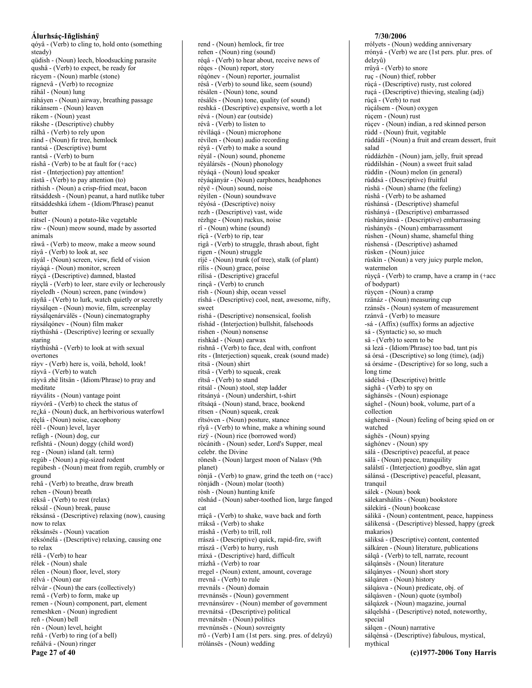qóyâ - (Verb) to cling to, hold onto (something steady) qüdish - (Noun) leech, bloodsucking parasite qushâ - (Verb) to expect, be ready for rácyem - (Noun) marble (stone) rágnevâ - (Verb) to recognize ráhál - (Noun) lung ráháyen - (Noun) airway, breathing passage rákánsem - (Noun) leaven rákem - (Noun) yeast rákshe - (Descriptive) chubby rálhâ - (Verb) to rely upon ránd - (Noun) fir tree, hemlock rantsá - (Descriptive) burnt rantsâ - (Verb) to burn ráshâ - (Verb) to be at fault for  $(+acc)$ rást - (Interjection) pay attention! rástâ - (Verb) to pay attention (to) ráthish - (Noun) a crisp-fried meat, bacon rätsáddesh - (Noun) peanut, a hard nutlike tuber rätsáddeshká ízhem - (Idiom/Phrase) peanut **butter** rátsel - (Noun) a potato-like vegetable râw - (Noun) meow sound, made by assorted animals râwâ - (Verb) to meow, make a meow sound ráyâ - (Verb) to look at, see ráyál - (Noun) screen, view, field of vision ráyáqá - (Noun) monitor, screen ráyçá - (Descriptive) damned, blasted ráyçlâ - (Verb) to leer, stare evily or lecherously ráyeledh - (Noun) screen, pane (window) ráyñâ - (Verb) to lurk, watch quietly or secretly ráysálgen - (Noun) movie, film, screenplay ráysálqenárválës - (Noun) cinematography ráysálgónev - (Noun) film maker ráythùshá - (Descriptive) leering or sexually staring ráythùshâ - (Verb) to look at with sexual overtones ráyv - (Verb) here is, voilà, behold, look! ráyvâ - (Verb) to watch ráyvâ zhë lìtsän - (Idiom/Phrase) to pray and meditate ráyválits - (Noun) vantage point ráyvórâ - (Verb) to check the status of re<sub>ć</sub>ká - (Noun) duck, an herbivorious waterfowl réclá - (Noun) noise, cacophony réël - (Noun) level, layer refágh - (Noun) dog, cur refíshtá - (Noun) doggy (child word) reg - (Noun) island (alt. term) regúb - (Noun) a pig-sized rodent regúbesh - (Noun) meat from regúb, crumbly or ground rehâ - (Verb) to breathe, draw breath rehen - (Noun) breath rèksâ - (Verb) to rest (relax) rèksál - (Noun) break, pause rèksánsá - (Descriptive) relaxing (now), causing now to relax rèksánsës - (Noun) vacation rèksónélá - (Descriptive) relaxing, causing one to relax rélâ - (Verb) to hear rélek - (Noun) shale rélen - (Noun) floor, level, story rélvá - (Noun) ear rélyár - (Noun) the ears (collectively) remâ - (Verb) to form, make up remen - (Noun) component, part, element remeshken - (Noun) ingredient reñ - (Noun) bell rén - (Noun) level, height reñâ - (Verb) to ring (of a bell) reñálvá - (Noun) ringer

Page 27 of 40

rend - (Noun) hemlock, fir tree reñen - (Noun) ring (sound) régâ - (Verb) to hear about, receive news of réqes - (Noun) report, story régónev - (Noun) reporter, journalist résâ - (Verb) to sound like, seem (sound) résálen - (Noun) tone, sound résálës - (Noun) tone, quality (of sound) reshká - (Descriptive) expensive, worth a lot révá - (Noun) ear (outside) révâ - (Verb) to listen to révíláqá - (Noun) microphone révilen - (Noun) audio recording réyâ - (Verb) to make a sound réyál - (Noun) sound, phoneme réválársës - (Noun) phonology réyáqá - (Noun) loud speaker réyáqányár - (Noun) earphones, headphones réyë - (Noun) sound, noise réyilen - (Noun) soundwave réyósá - (Descriptive) noisy rezh - (Descriptive) vast, wide rézhge - (Noun) ruckus, noise  $r\hat{i}$  - (Noun) whine (sound) rïçâ - (Verb) to rip, tear rigâ - (Verb) to struggle, thrash about, fight rigen - (Noun) struggle ríjë - (Noun) trunk (of tree), stalk (of plant) rílís - (Noun) grace, poise rílísá - (Descriptive) graceful rinçâ - (Verb) to crunch rísh - (Noun) ship, ocean vessel ríshá - (Descriptive) cool, neat, awesome, nifty, sweet rishá - (Descriptive) nonsensical, foolish rïshád - (Interjection) bullshit, falsehoods rishen - (Noun) nonsense rishkád - (Noun) earwax rishnâ - (Verb) to face, deal with, confront ríts - (Interjection) squeak, creak (sound made) rìtsä - (Noun) shirt rítsâ - (Verb) to squeak, creak rïtsâ - (Verb) to stand ritsál - (Noun) stool, step ladder ritsányá - (Noun) undershirt, t-shirt rïtságá - (Noun) stand, brace, bookend rítsen - (Noun) squeak, creak rïtsóven - (Noun) posture, stance rîyâ - (Verb) to whine, make a whining sound rízÿ - (Noun) rice (borrowed word) ròcánith - (Noun) seder, Lord's Supper, meal celebr. the Divine rönesh - (Noun) largest moon of Nalasv (9th planet) rònjâ - (Verb) to gnaw, grind the teeth on (+acc) rònjádh - (Noun) molar (tooth) ròsh - (Noun) hunting knife röshád - (Noun) saber-toothed lion, large fanged cat rráçâ - (Verb) to shake, wave back and forth rráksâ - (Verb) to shake rráshâ - (Verb) to trill, roll rrászá - (Descriptive) quick, rapid-fire, swift rrászâ - (Verb) to hurry, rush rráxá - (Descriptive) hard, difficult rrázhâ - (Verb) to roar rregel - (Noun) extent, amount, coverage rrevnâ - (Verb) to rule rrevnáls - (Noun) domain rrevnánsës - (Noun) government rrevnánsúrev - (Noun) member of government rrevnátsá - (Descriptive) political rrevnátsën - (Noun) politics rrevnùnsës - (Noun) sovreignty rrô - (Verb) I am (1st pers. sing. pres. of delzyû) rrólánsës - (Noun) wedding

rrólyets - (Noun) wedding anniversary rrónyá - (Verb) we are (1st pers. plur. pres. of delzvû) rrûyâ - (Verb) to snore ruc - (Noun) thief, robber rúçá - (Descriptive) rusty, rust colored ruçá - (Descriptive) thieving, stealing (adj) rúçâ - (Verb) to rust rúçálsem - (Noun) oxygen rúçem - (Noun) rust rúçev - (Noun) indian, a red skinned person rúdd - (Noun) fruit, vegitable rúddálï - (Noun) a fruit and cream dessert, fruit salad rúddázhën - (Noun) jam, jelly, fruit spread rúddilshán - (Noun) a sweet fruit salad rúddìn - (Noun) melon (in general) rúddsá - (Descriptive) fruitful rúshä - (Noun) shame (the feeling) rúshâ - (Verb) to be ashamed rúshánsá - (Descriptive) shameful rúshányá - (Descriptive) embarrassed rúshányánsá - (Descriptive) embarrassing rúshányës - (Noun) embarrassment rúshen - (Noun) shame, shameful thing rúshensá - (Descriptive) ashamed rúsken - (Noun) juice rúskin - (Noun) a very juicy purple melon, watermelon rùyçâ - (Verb) to cramp, have a cramp in (+acc of bodypart) rùyçen - (Noun) a cramp rzänáz - (Noun) measuring cup rzánsës - (Noun) system of measurement rzánvâ - (Verb) to measure -sá - (Affix) (suffix) forms an adjective sá - (Syntactic) so, so much sâ - (Verb) to seem to be sá lezá - (Idiom/Phrase) too bad, tant pis sá órsá - (Descriptive) so long (time), (adj) sá órsáme - (Descriptive) for so long, such a long time sádélsá - (Descriptive) brittle sághâ - (Verb) to spy on sághánsës - (Noun) espionage sághel - (Noun) book, volume, part of a collection sághensä - (Noun) feeling of being spied on or watched sághës - (Noun) spying sághónev - (Noun) spy sálá - (Descriptive) peaceful, at peace sálä - (Noun) peace, tranquility salálstï - (Interjection) goodbye, slán agat sálánsá - (Descriptive) peaceful, pleasant, tranquil sálek - (Noun) book sálekarshálits - (Noun) bookstore sálekìrá - (Noun) bookcase sálikä - (Noun) contentment, peace, happiness sálikensá - (Descriptive) blessed, happy (greek makarios) sáliksá - (Descriptive) content, contented sálkáren - (Noun) literature, publications sálqâ - (Verb) to tell, narrate, recount sálqánsës - (Noun) literature sálgányes - (Noun) short story sálgáren - (Noun) history sálgásva - (Noun) predicate, obj. of sálqásven - (Noun) quote (symbol) sálqázek - (Noun) magazine, journal sálqelshá - (Descriptive) noted, noteworthy, special sálqen - (Noun) narrative sálqénsá - (Descriptive) fabulous, mystical, mythical (c)1977-2006 Tony Harris

7/30/2006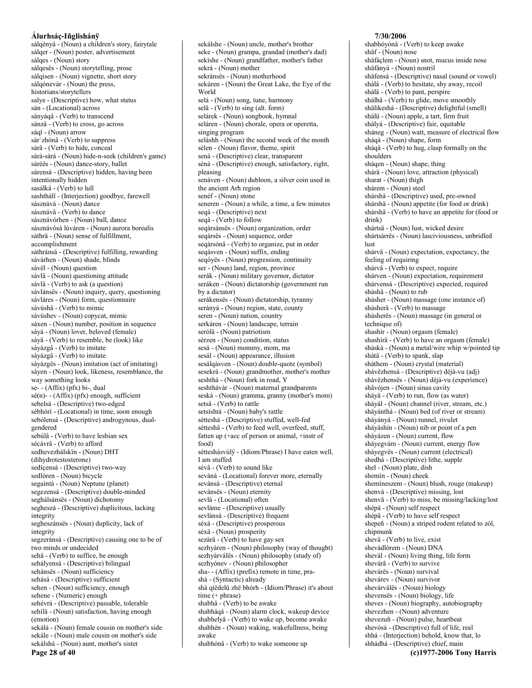sálgényá - (Noun) a children's story, fairytale sálqer - (Noun) poster, advertisement sálges - (Noun) story sálqesës - (Noun) storytelling, prose sálgísen - (Noun) vignette, short story sálgónevár - (Noun) the press, historians/storytellers salye - (Descriptive) how, what status sán - (Locational) across sányágâ - (Verb) to transcend sánzâ - (Verb) to cross, go across sáqï - (Noun) arrow sár'zhónâ - (Verb) to suppress sárâ - (Verb) to hide, conceal sárá-sárá - (Noun) hide-n-seek (children's game) sáréës - (Noun) dance-story, ballet sárensá - (Descriptive) hidden, having been intentionally hidden sasálkâ - (Verb) to lull sashthálï - (Interjection) goodbye, farewell sásznává - (Noun) dance sásznávâ - (Verb) to dance sásznávórhen - (Noun) ball, dance sásznávósá lúváren - (Noun) aurora borealis sáthrä - (Noun) sense of fulfillment, accomplishment sáthránsá - (Descriptive) fulfilling, rewarding sávárhen - (Noun) shade, blinds sávël - (Noun) question sávlä - (Noun) questioning attitude sávlâ - (Verb) to ask (a question) sávlánsës - (Noun) inquiry, query, questioning sávláres - (Noun) form, questionnaire sávúshâ - (Verb) to mimic sávúshev - (Noun) copycat, mimic sáxen - (Noun) number, position in sequence sáyá - (Noun) lover, beloved (female) sáyâ - (Verb) to resemble, be (look) like sáyázgâ - (Verb) to imitate sáyázgâ - (Verb) to imitate sáyázgës - (Noun) imitation (act of imitating) sáyen - (Noun) look, likeness, resemblance, the way something looks se- $- (Affix)$  (pfx) bi-, dual  $s\acute{e}(n)$ - (Affix) (pfx) enough, sufficient sebelsá - (Descriptive) two-edged sébhórì - (Locational) in time, soon enough sebólensá - (Descriptive) androgynous, dualgendered sebúlâ - (Verb) to have lesbian sex sécávrâ - (Verb) to afford sedhevezhálskïn - (Noun) DHT (dihydrotestosterone) sedíçensá - (Descriptive) two-way sedlòren - (Noun) bicycle segaíntá - (Noun) Neptune (planet) segezensá - (Descriptive) double-minded seghálsánsës - (Noun) dichotomy segheszá - (Descriptive) duplicitous, lacking integrity segheszánsës - (Noun) duplicity, lack of integrity segzeránsá - (Descriptive) causing one to be of two minds or undecided sehâ - (Verb) to suffice, be enough sehályensá - (Descriptive) bilingual sehánsës - (Noun) sufficiency sehásá - (Descriptive) sufficient sehen - (Noun) sufficiency, enough sehene - (Numeric) enough sehévrá - (Descriptive) passable, tolerable sehìlä - (Noun) satisfaction, having enough (emotion) sekálá - (Noun) female cousin on mother's side sekále - (Noun) male cousin on mother's side sekálshá - (Noun) aunt, mother's sister

sekálshe - (Noun) uncle, mother's brother seke - (Noun) grampa, grandad (mother's dad) sekishe - (Noun) grandfather, mother's father sekrá - (Noun) mother sekránsës - (Noun) motherhood sekúren - (Noun) the Great Lake, the Eye of the World selá - (Noun) song, tune, harmony selâ - (Verb) to sing (alt. form) selárek - (Noun) songbook, hymnal seláren - (Noun) chorale, opera or operetta, singing program seláshh - (Noun) the second week of the month sèlen - (Noun) flavor, theme, spirit sená - (Descriptive) clear, transparent séná - (Descriptive) enough, satisfactory, right, pleasing senáven - (Noun) dubloon, a silver coin used in the ancient Arh region senéf - (Noun) stone seneren - (Noun) a while, a time, a few minutes segá - (Descriptive) next seqâ - (Verb) to follow segársánsës - (Noun) organization, order segársës - (Noun) sequence, order seqársónâ - (Verb) to organize, put in order seqásven - (Noun) suffix, ending seqóyës - (Noun) progression, continuity ser - (Noun) land, region, province serák - (Noun) military governor, dictator seráken - (Noun) dictatorship (government run by a dictator) serákensës - (Noun) dictatorship, tyranny serányá - (Noun) region, state, county seren - (Noun) nation, country serkáren - (Noun) landscape, terrain serólä - (Noun) patriotism sèrzen - (Noun) condition, status sesá - (Noun) mommy, mom, ma sesál - (Noun) appearance, illusion sesálqásven - (Noun) double-quote (symbol) sesekrá - (Noun) grandmother, mother's mother seshthá - (Noun) fork in road, Y seshthávár - (Noun) maternal grandparents seská - (Noun) gramma, granny (mother's mom) setsâ - (Verb) to rattle setsíshtá - (Noun) baby's rattle sétteshá - (Descriptive) stuffed, well-fed sétteshâ - (Verb) to feed well, overfeed, stuff, fatten up (+acc of person or animal, +instr of  $food)$ sétteshásvùlÿ - (Idiom/Phrase) I have eaten well, Lam stuffed sévâ - (Verb) to sound like seváná - (Locational) forever more, eternally sevánsá - (Descriptive) eternal sevánsës - (Noun) eternity sevlá - (Locational) often sevláme - (Descriptive) usually sevlánsá - (Descriptive) frequent séxá - (Descriptive) prosperous séxä - (Noun) prosperity sezárâ - (Verb) to have gay sex sezhyáren - (Noun) philosophy (way of thought) sezhyárváles - (Noun) philosophy (study of) sezhyónev - (Noun) philosopher sha-- (Affix) (prefix) remote in time, prashá - (Syntactic) already shá gíëdelû zhë bhórh - (Idiom/Phrase) it's about time  $(+)$  phrase) shabhâ - (Verb) to be awake shabháqá - (Noun) alarm clock, wakeup device shabhelyâ - (Verb) to wake up, become awake shabhén - (Noun) waking, wakefullness, being awake shabhónâ - (Verb) to wake someone up

shabhóvónâ - (Verb) to keep awake shâf - (Noun) nose shâfáçlem - (Noun) snot, mucus inside nose shâfányá - (Noun) nostril shâfensá - (Descriptive) nasal (sound or vowel) shàlâ - (Verb) to hesitate, shy away, recoil shálâ - (Verb) to pant, perspire shálhâ - (Verb) to glide, move smoothly shâlikeshá - (Descriptive) delightful (smell) shálü - (Noun) apple, a tart, firm fruit shàlyá - (Descriptive) fair, equitable sháneg - (Noun) watt, measure of electrical flow sháqá - (Noun) shape, form sháqâ - (Verb) to hug, clasp formally on the shoulders shágen - (Noun) shape, thing shára - (Noun) love, attraction (physical) sharat - (Noun) thigh shárem - (Noun) steel shárshá - (Descriptive) used, pre-owned shárshä - (Noun) appetite (for food or drink) shárshâ - (Verb) to have an appetite for (food or  $drink$ ) shártsä - (Noun) lust, wicked desire shártsárrës - (Noun) lasciviousness, unbridled lust shárvä - (Noun) expectation, expectancy, the feeling of requiring shárvâ - (Verb) to expect, require shárven - (Noun) expectation, requirement shárvensá - (Descriptive) expected, required sháshâ - (Noun) to rub shásher - (Noun) massage (one instance of) shásherâ - (Verb) to massage shásherës - (Noun) massage (in general or technique of) shashir - (Noun) orgasm (female) shashirâ - (Verb) to have an orgasm (female) sháská - (Noun) a metal/wire whip w/pointed tip shàtâ - (Verb) to spank, slap sháthem - (Noun) crystal (material) shávëzhensá - (Descriptive) déjà-vu (adj) shávëzhensës - (Noun) déjà-vu (experience) shâvójen - (Noun) sinus cavity sháyâ - (Verb) to run, flow (as water) shávál - (Noun) channel (river, stream, etc.) sháyánthá - (Noun) bed (of river or stream) sháyányá - (Noun) runnel, rivulet sháyáshín - (Noun) nib or point of a pen sháyázen - (Noun) current, flow sháyegvám - (Noun) current, energy flow sháyegvës - (Noun) current (electrical) shedhá - (Descriptive) lithe, supple shel - (Noun) plate, dish shemín - (Noun) cheek shemineszem - (Noun) blush, rouge (makeup) shenvá - (Descriptive) missing, lost shenvâ - (Verb) to miss, be missing/lacking/lost shépä - (Noun) self respect shépâ - (Verb) to have self respect shepeñ - (Noun) a striped rodent related to zól, chipmunk shevâ - (Verb) to live, exist shevádlòrem - (Noun) DNA shevál - (Noun) living thing, life form shevárâ - (Verb) to survive shevárës - (Noun) survival shevárev - (Noun) survivor shevárválës - (Noun) biology shevensës - (Noun) biology, life sheves - (Noun) biography, autobiography shevezhen - (Noun) adventure shevezuñ - (Noun) pulse, heartbeat shevósá - (Descriptive) full of life, real shhá - (Interjection) behold, know that, lo shhádhá - (Descriptive) chief, main

7/30/2006

Page 28 of 40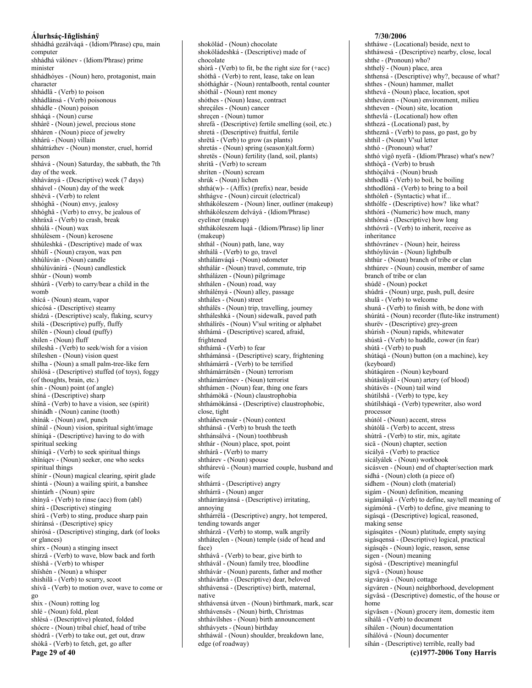shhádhá gezálváqá - (Idiom/Phrase) cpu, main computer shhádhá válónev - (Idiom/Phrase) prime minister shhádhóyes - (Noun) hero, protagonist, main character shhádlâ - (Verb) to poison shhádlánsá - (Verb) poisonous shhádle - (Noun) poison shháqá - (Noun) curse shhàrë - (Noun) jewel, precious stone shhàren - (Noun) piece of jewelry shhárú - (Noun) villain shhátrázhev - (Noun) monster, cruel, horrid person shhává - (Noun) Saturday, the sabbath, the 7th day of the week. shháványá - (Descriptive) week (7 days) shhável - (Noun) day of the week shhévâ - (Verb) to relent shhóghä - (Noun) envy, jealosy shhóghâ - (Verb) to envy, be jealous of shhráxâ - (Verb) to crash, break shhúlá - (Noun) wax shhúlèsem - (Noun) kerosene shhúleshká - (Descriptive) made of wax shhúlï - (Noun) crayon, wax pen shhúlúván - (Noun) candle shhúlúvánìrá - (Noun) candlestick shhúr - (Noun) womb shhúrâ - (Verb) to carry/bear a child in the womb shícá - (Noun) steam, vapor shícósá - (Descriptive) steamy shídzá - (Descriptive) scaly, flaking, scurvy shilá - (Descriptive) puffy, fluffy shïlén - (Noun) cloud (puffy) shilen - (Noun) fluff shïleshâ - (Verb) to seek/wish for a vision shïleshen - (Noun) vision quest shilha - (Noun) a small palm-tree-like fern shilósá - (Descriptive) stuffed (of toys), foggy (of thoughts, brain, etc.) shin - (Noun) point (of angle) shíná - (Descriptive) sharp shïnâ - (Verb) to have a vision, see (spirit) shínádh - (Noun) canine (tooth) shínák - (Noun) awl, punch shïnál - (Noun) vision, spiritual sight/image shïníqá - (Descriptive) having to do with spiritual seeking shïníqâ - (Verb) to seek spiritual things shïníqev - (Noun) seeker, one who seeks spiritual things shïnír - (Noun) magical clearing, spirit glade shíntá - (Noun) a wailing spirit, a banshee shíntárh - (Noun) spire shínyâ - (Verb) to rinse (acc) from (abl) shírá - (Descriptive) stinging shírâ - (Verb) to sting, produce sharp pain shíránsá - (Descriptive) spicy shírósá - (Descriptive) stinging, dark (of looks or glances) shírx - (Noun) a stinging insect shírzâ - (Verb) to wave, blow back and forth shïshâ - (Verb) to whisper shïshén - (Noun) a whisper shishilâ - (Verb) to scurry, scoot shívâ - (Verb) to motion over, wave to come or  $_{\text{20}}$ shix - (Noun) rotting log shlé - (Noun) fold, pleat shlésá - (Descriptive) pleated, folded shócre - (Noun) tribal chief, head of tribe shòdrâ - (Verb) to take out, get out, draw shòkâ - (Verb) to fetch, get, go after

shoköládeshká - (Descriptive) made of chocolate shòrâ - (Verb) to fit, be the right size for (+acc) shóthâ - (Verb) to rent, lease, take on lean shóthághár - (Noun) rentalbooth, rental counter shóthál - (Noun) rent money shóthes - (Noun) lease, contract shrecáles - (Noun) cancer shreçen - (Noun) tumor shrefá - (Descriptive) fertile smelling (soil, etc.) shretá - (Descriptive) fruitful, fertile shrëtâ - (Verb) to grow (as plants) shretás - (Noun) spring (season)(alt.form) shretës - (Noun) fertility (land, soil, plants) shrítâ - (Verb) to scream shriten - (Noun) scream shrúk - (Noun) lichen  $shthá(w) - (Affix)$  (prefix) near, beside shthágye - (Noun) circuit (electrical) shthákóleszem - (Noun) liner, outliner (makeup) shthákóleszem delváyá - (Idiom/Phrase) eyeliner (makeup) shthákóleszem lugá - (Idiom/Phrase) lip liner (makeup) shthál - (Noun) path, lane, way shthálâ - (Verb) to go, travel shthálánváqá - (Noun) odometer shthálár - (Noun) travel, commute, trip shthálázen - (Noun) pilgrimage shthálen - (Noun) road, way shthálényá - (Noun) alley, passage shtháles - (Noun) street shthálës - (Noun) trip, travelling, journey shtháleshká - (Noun) sidewalk, paved path shthálírës - (Noun) V'sul writing or alphabet shthámá - (Descriptive) scared, afraid, frightened shthámâ - (Verb) to fear shthámánsá - (Descriptive) scary, frightening shthámárrâ - (Verb) to be terrified shthámárrátsën - (Noun) terrorism shthámárrónev - (Noun) terrorist shthámen - (Noun) fear, thing one fears shthámòkä - (Noun) claustrophobia shthámòkánsá - (Descriptive) claustrophobic, close, tight shtháñevensár - (Noun) context shthánsâ - (Verb) to brush the teeth shthánsálvá - (Noun) toothbrush shthár - (Noun) place, spot, point shthárâ - (Verb) to marry shthárev - (Noun) spouse shthárevú - (Noun) married couple, husband and wife shthárrá - (Descriptive) angry shthárrä - (Noun) anger shthárrányánsá - (Descriptive) irritating, annoving shthárrélá - (Descriptive) angry, hot tempered, tending towards anger shthárzâ - (Verb) to stomp, walk angrily shtháteclen - (Noun) temple (side of head and face) shthávâ - (Verb) to bear, give birth to shthávál - (Noun) family tree, bloodline shthávár - (Noun) parents, father and mother shthávárhn - (Descriptive) dear, beloved shthávensá - (Descriptive) birth, maternal, native shthávensá útven - (Noun) birthmark, mark, scar shthávensës - (Noun) birth, Christmas shthávílshes - (Noun) birth announcement shthávyets - (Noun) birthday

shokölád - (Noun) chocolate

# shtháwál - (Noun) shoulder, breakdown lane, edge (of roadway)

7/30/2006

shtháwe - (Locational) beside, next to shtháwesá - (Descriptive) nearby, close, local shthe - (Pronoun) who? shthelÿ - (Noun) place, area shthensá - (Descriptive) why?, because of what? shthes - (Noun) hammer, mallet shthevá - (Noun) place, location, spot shtheváren - (Noun) environment, milieu shtheven - (Noun) site, location shthevlá - (Locational) how often shthezá - (Locational) past, by shtheznâ - (Verb) to pass, go past, go by shthíl - (Noun) V'sul letter shthó - (Pronoun) what? shthó vìgô nyefá - (Idiom/Phrase) what's new? shthòcâ - (Verb) to brush shthòçálvá - (Noun) brush shthodlâ - (Verb) to boil, be boiling shthodlónâ - (Verb) to bring to a boil shthóleñ - (Syntactic) what if... shthólfe - (Descriptive) how? like what? shthórá - (Numeric) how much, many shthórsá - (Descriptive) how long shthóvrâ - (Verb) to inherit, receive as inheritance shthóvránev - (Noun) heir, heiress shthóylúván - (Noun) lightbulb shthúr - (Noun) branch of tribe or clan shthúrev - (Noun) cousin, member of same branch of tribe or clan shúdë - (Noun) pocket shúdrá - (Noun) urge, push, pull, desire shulâ - (Verb) to welcome shunâ - (Verb) to finish with, be done with shúrátá - (Noun) recorder (flute-like instrument) shurëv - (Descriptive) grey-green shúrish - (Noun) rapids, whitewater shústâ - (Verb) to huddle, cower (in fear) shútâ - (Verb) to push shútáqá - (Noun) button (on a machine), key (keyboard) shútáqáren - (Noun) keyboard shútáslávál - (Noun) artery (of blood) shútávës - (Noun) tail wind shútílshâ - (Verb) to type, key shútílsháqá - (Verb) typewriter, also word processor shútól - (Noun) accent, stress shútólâ - (Verb) to accent, stress shùtrâ - (Verb) to stir, mix, agitate sicä - (Noun) chapter, section sícályâ - (Verb) to practice sícályálek - (Noun) workbook sicásven - (Noun) end of chapter/section mark sídhá - (Noun) cloth (a piece of) sídhem - (Noun) cloth (material) sigám - (Noun) definition, meaning sigámálqâ - (Verb) to define, say/tell meaning of sigámóna - (Verb) to define, give meaning to sigásqá - (Descriptive) logical, reasoned, making sense sigásqátes - (Noun) platitude, empty saying sigásqensá - (Descriptive) logical, practical sigásqës - (Noun) logic, reason, sense sigen - (Noun) meaning sigósá - (Descriptive) meaningful sígvâ - (Noun) house sígványá - (Noun) cottage sígváren - (Noun) neighborhood, development sígvâsá - (Descriptive) domestic, of the house or home sígvâsen - (Noun) grocery item, domestic item síhálâ - (Verb) to document síhálen - (Noun) documentation síhálóvá - (Noun) documenter síhán - (Descriptive) terrible, really bad (c)1977-2006 Tony Harris

Page 29 of 40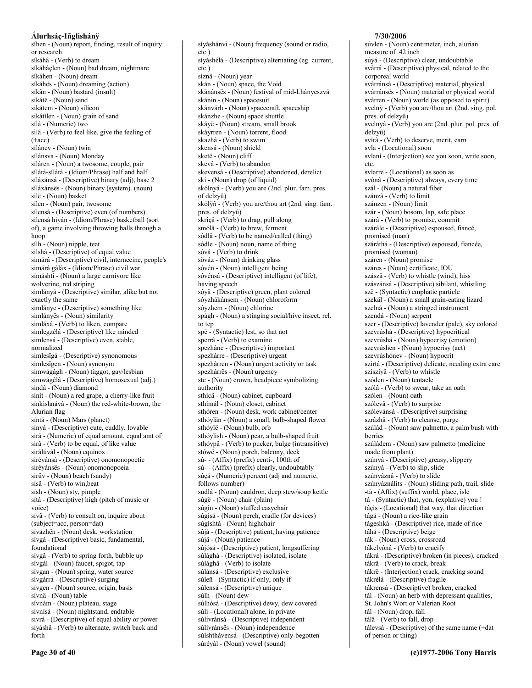síhen - (Noun) report, finding, result of inquiry or research síkáhâ - (Verb) to dream síkáháçlen - (Noun) bad dream, nightmare síkáhen - (Noun) dream síkáhës - (Noun) dreaming (action) síkân - (Noun) bastard (insult) sikátë - (Noun) sand sikátem - (Noun) silicon sikátilen - (Noun) grain of sand sílá - (Numeric) two silâ - (Verb) to feel like, give the feeling of  $(+acc)$ sílánev - (Noun) twin sílánsva - (Noun) Monday síláren - (Noun) a twosome, couple, pair sílátá-sílátá - (Idiom/Phrase) half and half síláxánsá - (Descriptive) binary (adj), base 2 síláxánsës - (Noun) binary (system). (noun) silë - (Noun) basket sílen - (Noun) pair, twosome sílensá - (Descriptive) even (of numbers) silensá hiyán - (Idiom/Phrase) basketball (sort of), a game involving throwing balls through a hoop. sílh - (Noun) nipple, teat silshá - (Descriptive) of equal value simárá - (Descriptive) civil, internecine, people's simárá gáláx - (Idiom/Phrase) civil war símáshtí - (Noun) a large carnivore like wolverine, red striping simlányá - (Descriptive) similar, alike but not exactly the same simlánye - (Descriptive) something like simlányës - (Noun) similarity simláxâ - (Verb) to liken, compare simlegzélá - (Descriptive) like minded simlensá - (Descriptive) even, stable, normalized simlesïgá - (Descriptive) synonomous simlesigen - (Noun) synonym simwágágh - (Noun) faggot, gay/lesbian simwágélá - (Descriptive) homosexual (adj.) sindá - (Noun) diamond sinit - (Noun) a red grape, a cherry-like fruit sínkìshnává - (Noun) the red-white-brown, the Alurian flag síntá - (Noun) Mars (planet) sínyá - (Descriptive) cute, cuddly, lovable sirá - (Numeric) of equal amount, equal amt of sirâ - (Verb) to be equal, of like value sirálúvál - (Noun) equinox siréyánsá - (Descriptive) onomonopoetic siréyánsës - (Noun) onomonopoeia sirüv - (Noun) beach (sandy) sísâ - (Verb) to win, beat sísh - (Noun) sty, pimple sítá - (Descriptive) high (pitch of music or voice) sívâ - (Verb) to consult on, inquire about (subject=acc, person=dat) sívázhën - (Noun) desk, workstation sívgá - (Descriptive) basic, fundamental, foundational sívgâ - (Verb) to spring forth, bubble up sívgál - (Noun) faucet, spigot, tap sívgan - (Noun) spring, water source sívgárrá - (Descriptive) surging sívgen - (Noun) source, origin, basis sívnä - (Noun) table sívnám - (Noun) plateau, stage sívnísá - (Noun) nightstand, endtable sivrá - (Descriptive) of equal ability or power síyáshâ - (Verb) to alternate, switch back and forth

 $etc.$ ) síyáshélá - (Descriptive) alternating (eg. current, etc.) síznâ - (Noun) year skán - (Noun) space, the Void skánánsës - (Noun) festival of mid-Lhányeszvá skánin - (Noun) spacesuit skánvárh - (Noun) spacecraft, spaceship skánzhe - (Noun) space shuttle skáyë - (Noun) stream, small brook skáyrren - (Noun) torrent, flood skazhâ - (Verb) to swim skensá - (Noun) shield sketë - (Noun) cliff skevâ - (Verb) to abandon skevensá - (Descriptive) abandoned, derelict skí - (Noun) drop (of liquid) skólnyá - (Verb) you are (2nd. plur. fam. pres. of delzyû) skólÿñ - (Verb) you are/thou art (2nd. sing. fam. pres. of delzvû) skriçâ - (Verb) to drag, pull along smólâ - (Verb) to brew, ferment sódlâ - (Verb) to be named/called (thing) sódle - (Noun) noun, name of thing sóvâ - (Verb) to drink söváz - (Noun) drinking glass sóvén - (Noun) intelligent being sóvénsá - (Descriptive) intelligent (of life), having speech sóyä - (Descriptive) green, plant colored sóyzhákánsem - (Noun) chloroform sóvzhem - (Noun) chlorine spágh - (Noun) a stinging social/hive insect, rel. to tep spé - (Syntactic) lest, so that not sperrâ - (Verb) to examine spezháne - (Descriptive) important spezhárre - (Descriptive) urgent spezhárren - (Noun) urgent activity or task spezhárrës - (Noun) urgency ste - (Noun) crown, headpiece symbolizing authority sthícä - (Noun) cabinet, cupboard sthímál - (Noun) closet, cabinet sthóren - (Noun) desk, work cabinet/center sthóylän - (Noun) a small, bulb-shaped flower sthóylë - (Noun) bulb, orb sthóylish - (Noun) pear, a bulb-shaped fruit sthóypâ - (Verb) to pucker, bulge (intransitive) stówë - (Noun) porch, balcony, deck sú- - (Affix) (prefix) centi-, 100th of sú- - (Affix) (prefix) clearly, undoubtably súçá - (Numeric) percent (adj and numeric, follows number) sudlá - (Noun) cauldron, deep stew/soup kettle súgë - (Noun) chair (plain) súgìn - (Noun) stuffed easychair súgísá - (Noun) perch, cradle (for devices) súgíshtá - (Noun) highchair sújá - (Descriptive) patient, having patience sújä - (Noun) patience sújósá - (Descriptive) patient, longsuffering sùlághá - (Descriptive) isolated, isolate sùlághâ - (Verb) to isolate sùlánsá - (Descriptive) exclusive sùleñ - (Syntactic) if only, only if sùlensá - (Descriptive) unique súlh - (Noun) dew súlhósá - (Descriptive) dewy, dew covered sùlì - (Locational) alone, in private sùlívránsá - (Descriptive) independent sùlívránsës - (Noun) independence sùlshthávensá - (Descriptive) only-begotten sùréyál - (Noun) vowel (sound)

síváshányi - (Noun) frequency (sound or radio,

#### 7/30/2006

súvlen - (Noun) centimeter, inch, alurian measure of .42 inch súvá - (Descriptive) clear, undoubtable svárrá - (Descriptive) physical, related to the corporeal world svárránsá - (Descriptive) material, physical svárránsës - (Noun) material or physical world svárren - (Noun) world (as opposed to spirit) svelnÿ - (Verb) you are/thou art (2nd. sing. pol. pres. of delzyû) svelnyá - (Verb) you are (2nd. plur. pol. pres. of delzyû) svírâ - (Verb) to deserve, merit, earn svla - (Locational) soon svlaní - (Interjection) see you soon, write soon, etc. svlarre - (Locational) as soon as svóná - (Descriptive) always, every time szál - (Noun) a natural fiber szánzâ - (Verb) to limit szánzen - (Noun) limit szár - (Noun) bosom, lap, safe place szárâ - (Verb) to promise, commit szárále - (Descriptive) espoused, fiancé, promised (man) száráthá - (Descriptive) espoused, fiancée, promised (woman) száren - (Noun) promise száres - (Noun) certificate, IOU szászâ - (Verb) to whistle (wind), hiss szászánsá - (Descriptive) sibilant, whistling szë - (Syntactic) emphatic particle szekäl - (Noun) a small grain-eating lizard szelná - (Noun) a stringed instrument szendá - (Noun) serpent szer - (Descriptive) lavender (pale), sky colored szevrúshá - (Descriptive) hypocritical szevrúshä - (Noun) hypocrisy (emotion) szevrúshen - (Noun) hypocrisy (act) szevrúshónev - (Noun) hypocrit szirtá - (Descriptive) delicate, needing extra care szíszívâ - (Verb) to whistle szóden - (Noun) tentacle szólâ - (Verb) to swear, take an oath szólen - (Noun) oath szólevâ - (Verb) to surprise szólevánsá - (Descriptive) surprising szrázhâ - (Verb) to cleanse, purge szúlád - (Noun) saw palmetto, a palm bush with berries szúládem - (Noun) saw palmetto (medicine made from plant) szúnyá - (Descriptive) greasy, slippery szúnyâ - (Verb) to slip, slide szúnyáznâ - (Verb) to slide szúnyáználits - (Noun) sliding path, trail, slide -tá - (Affix) (suffix) world, place, isle tá - (Syntactic) that, yon, (explative) you ! tácis - (Locational) that way, that direction tágá - (Noun) a rice-like grain tágeshká - (Descriptive) rice, made of rice táhá - (Descriptive) beige ták - (Noun) cross, crossroad tákelyónâ - (Verb) to crucify tákrá - (Descriptive) broken (in pieces), cracked tákrâ - (Verb) to crack, break tákrë - (Interjection) crack, cracking sound tákrélá - (Descriptive) fragile tákrensá - (Descriptive) broken, cracked tàl - (Noun) an herb with depressant qualities, St. John's Wort or Valerian Root tál - (Noun) drop, fall tálâ - (Verb) to fall, drop tálevsá - (Descriptive) of the same name (+dat of person or thing)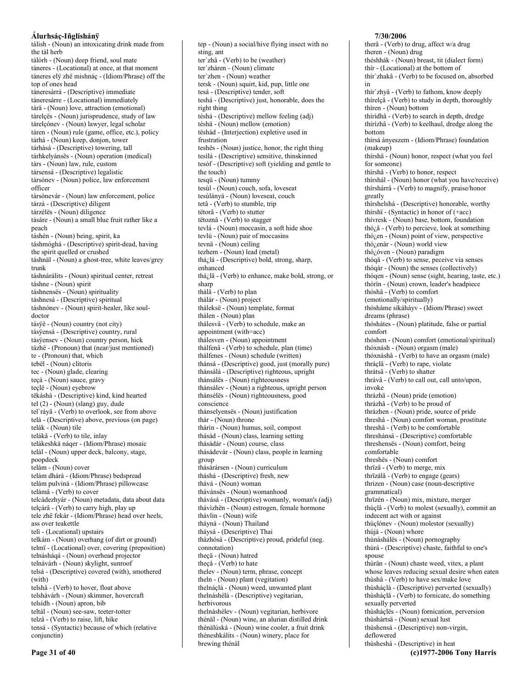tàlish - (Noun) an intoxicating drink made from the tàl herb tálórh - (Noun) deep friend, soul mate táneres - (Locational) at once, at that moment táneres elÿ zhë mishnác - (Idiom/Phrase) off the top of ones head táneresárrá - (Descriptive) immediate táneresárre - (Locational) immediately tárä - (Noun) love, attraction (emotional) tárelçës - (Noun) jurisprudence, study of law tárelçónev - (Noun) lawyer, legal scholar táren - (Noun) rule (game, office, etc.), policy tárhá - (Noun) keep, donjon, tower tárhásá - (Descriptive) towering, tall tárhkelyánsës - (Noun) operation (medical) társ - (Noun) law, rule, custom társensá - (Descriptive) legalistic társónev - (Noun) police, law enforcement officer társónevár - (Noun) law enforcement, police tárzá - (Descriptive) diligent tárzélës - (Noun) diligence tásáre - (Noun) a small blue fruit rather like a peach táshén - (Noun) being, spirit, ka táshmóghá - (Descriptive) spirit-dead, having the spirit quelled or crushed táshnäl - (Noun) a ghost-tree, white leaves/grey trunk táshnárálits - (Noun) spiritual center, retreat táshne - (Noun) spirit táshnensës - (Noun) spirituality táshnesá - (Descriptive) spiritual táshnónev - (Noun) spirit-healer, like souldoctor tásÿë - (Noun) country (not city) tásÿensá - (Descriptive) country, rural tásÿensev - (Noun) country person, hick tázhë - (Pronoun) that (near/just mentioned) te - (Pronoun) that, which tebël - (Noun) clitoris tec - (Noun) glade, clearing teçá - (Noun) sauce, gravy teçlë - (Noun) eyebrow tëkàshá - (Descriptive) kind, kind hearted tel  $(2)$  - (Noun) (slang) guy, dude tel`ráyâ - (Verb) to overlook, see from above telá - (Descriptive) above, previous (on page) telák - (Noun) tile telákâ - (Verb) to tile, inlay telákeshká náqer - (Idiom/Phrase) mosaic telál - (Noun) upper deck, balcony, stage, poopdeck telám - (Noun) cover telám dhárá - (Idiom/Phrase) bedspread telám pulviná - (Idiom/Phrase) pillowcase telámâ - (Verb) to cover telcádezhyár - (Noun) metadata, data about data telçárâ - (Verb) to carry high, play up tele zhë fekár - (Idiom/Phrase) head over heels, ass over teakettle telì - (Locational) upstairs telkám - (Noun) overhang (of dirt or ground) telmi - (Locational) over, covering (preposition) telnásháqá - (Noun) overhead projector telnávárh - (Noun) skylight, sunroof telsá - (Descriptive) covered (with), smothered (with) telshâ - (Verb) to hover, float above telshávárh - (Noun) skimmer, hovercraft telsídh - (Noun) apron, bib teltál - (Noun) see-saw, teeter-totter telzâ - (Verb) to raise, lift, hike tensá - (Syntactic) because of which (relative conjunctin)

tep - (Noun) a social/hive flying insect with no sting, ant ter'zhâ - (Verb) to be (weather) ter'zháren - (Noun) climate ter'zhen - (Noun) weather tersk - (Noun) squirt, kid, pup, little one tesá - (Descriptive) tender, soft teshá - (Descriptive) just, honorable, does the right thing téshá - (Descriptive) mellow feeling (adj) téshä - (Noun) mellow (emotion) tëshád - (Interjection) expletive used in frustration teshës - (Noun) justice, honor, the right thing tesìlá - (Descriptive) sensitive, thinskinned tesóf - (Descriptive) soft (yielding and gentle to the touch) tesqü - (Noun) tummy tesúl - (Noun) couch, sofa, loveseat tesúlányá - (Noun) loveseat, couch tetâ - (Verb) to stumble, trip tëtorâ - (Verb) to stutter tëtoznâ - (Verb) to stagger tevlá - (Noun) moccasin, a soft hide shoe tevlú - (Noun) pair of moccasins tevnä - (Noun) ceiling tezhem - (Noun) lead (metal) thá¿lá - (Descriptive) bold, strong, sharp, enhanced thá<sub>i</sub>,lâ - (Verb) to enhance, make bold, strong, or sharp thálâ - (Verb) to plan thálár - (Noun) project tháleksë - (Noun) template, format thálen - (Noun) plan thálesvâ - (Verb) to schedule, make an appointment (with=acc) thálesven - (Noun) appointment thálfenâ - (Verb) to schedule, plan (time) thálfenes - (Noun) schedule (written) thánsá - (Descriptive) good, just (morally pure) thánsálá - (Descriptive) righteous, upright thánsálës - (Noun) righteousness thánsálev - (Noun) a righteous, upright person thánsélës - (Noun) righteousness, good conscience thánselyensës - (Noun) justification thár - (Noun) throne thárin - (Noun) humus, soil, compost thásád - (Noun) class, learning setting thásádár - (Noun) course, class thásádevár - (Noun) class, people in learning group thásárársen - (Noun) curriculum tháshá - (Descriptive) fresh, new thává - (Noun) woman thávánsës - (Noun) womanhood thávásá - (Descriptive) womanly, woman's (adj) thávizhën - (Noun) estrogen, female hormone thávlin - (Noun) wife tháyná - (Noun) Thailand tháysá - (Descriptive) Thai tházhósá - (Descriptive) proud, prideful (neg. connotation) thecä - (Noun) hatred theçâ - (Verb) to hate thelev - (Noun) term, phrase, concept theln - (Noun) plant (vegitation) thelnáclá - (Noun) weed, unwanted plant thelnáshélá - (Descriptive) vegitarian, herbivorous thelnáshélev - (Noun) vegitarian, herbivore thénäl - (Noun) wine, an alurian distilled drink thénälúská - (Noun) wine cooler, a fruit drink théneshkálits - (Noun) winery, place for brewing thénäl

# 7/30/2006

therâ - (Verb) to drug, affect w/a drug theren - (Noun) drug théshhák - (Noun) breast, tit (dialect form) thír - (Locational) at the bottom of thír'zhakâ - (Verb) to be focused on, absorbed in thír zhyâ - (Verb) to fathom, know deeply thírelçâ - (Verb) to study in depth, thoroughly thíren - (Noun) bottom thírídhâ - (Verb) to search in depth, dredge thírízhâ - (Verb) to keelhaul, dredge along the hottom thírsá ányeszem - (Idiom/Phrase) foundation (makeup) thírshä - (Noun) honor, respect (what you feel for someone) thírshâ - (Verb) to honor, respect thírshál - (Noun) honor (what you have/receive) thírshárrâ - (Verb) to magnify, praise/honor greatly thírshelshá - (Descriptive) honorable, worthy thírshi - (Syntactic) in honor of  $(+acc)$ thívresk - (Noun) base, bottom, foundation thó¿â - (Verb) to percieve, look at something thózen - (Noun) point of view, perspective thó¿enár - (Noun) world view thó¿óven - (Noun) paradigm thóqâ - (Verb) to sense, peceive via senses thóqár - (Noun) the senses (collectively) thógen - (Noun) sense (sight, hearing, taste, etc.) thórïn - (Noun) crown, leader's headpiece thóshâ - (Verb) to comfort (emotionally/spiritually) thósháme síkáháyv - (Idiom/Phrase) sweet dreams (phrase) thóshátes - (Noun) platitude, false or partial comfort thóshen - (Noun) comfort (emotional/spiritual) thóxnásh - (Noun) orgasm (male) thóxnáshâ - (Verb) to have an orgasm (male) thráçlâ - (Verb) to rape, violate thrátsâ - (Verb) to shatter thrávâ - (Verb) to call out, call unto/upon, invoke thrázhä - (Noun) pride (emotion) thrázhâ - (Verb) to be proud of thrázhen - (Noun) pride, source of pride threshá - (Noun) comfort woman, prostitute threshâ - (Verb) to be comfortable threshánsá - (Descriptive) comfortable threshensës - (Noun) comfort, being comfortable threshës - (Noun) comfort thrïzâ - (Verb) to merge, mix thrïzálâ - (Verb) to engage (gears) thrizen - (Noun) case (noun-descriptive grammatical) thrïzén - (Noun) mix, mixture, merger thùçlâ - (Verb) to molest (sexually), commit an indecent act with or against thùçlónev - (Noun) molestor (sexually) thùjá - (Noun) whore thùnáshálës - (Noun) pornography thùrá - (Descriptive) chaste, faithful to one's spouse thùrän - (Noun) chaste weed, vitex, a plant whose leaves reducing sexual desire when eaten thùshâ - (Verb) to have sex/make love thùsháçlá - (Descriptive) perverted (sexually) thùsháçlâ - (Verb) to fornicate, do something sexually perverted thùsháçlës - (Noun) fornication, perversion thùshártsä - (Noun) sexual lust thùshensá - (Descriptive) non-virgin, deflowered thùsheshá - (Descriptive) in heat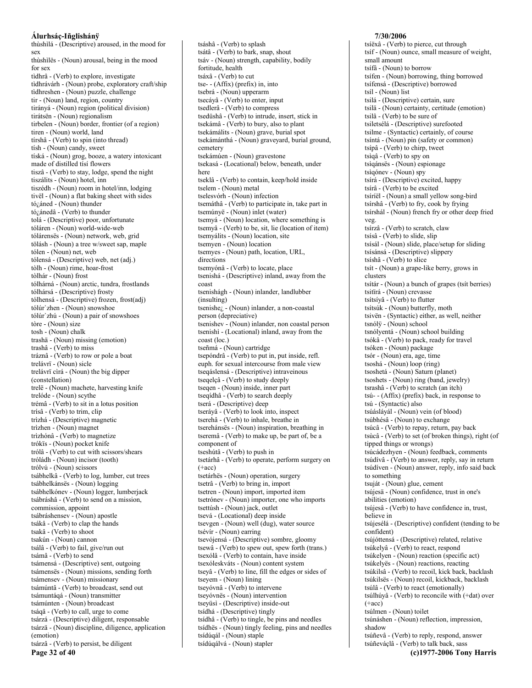thùshìlá - (Descriptive) aroused, in the mood for sex thùshìlës - (Noun) arousal, being in the mood for sex tìdhrâ - (Verb) to explore, investigate tìdhrávárh - (Noun) probe, exploratory craft/ship tidhreshen - (Noun) puzzle, challenge tir - (Noun) land, region, country tirányá - (Noun) region (political division) tirátsën - (Noun) regionalism tirbelen - (Noun) border, frontier (of a region) tiren - (Noun) world, land tírshâ - (Verb) to spin (into thread) tísh - (Noun) candy, sweet tíská - (Noun) grog, booze, a watery intoxicant made of distilled tisi flowers tiszâ - (Verb) to stay, lodge, spend the night tiszálits - (Noun) hotel, inn tiszédh - (Noun) room in hotel/inn, lodging tivël - (Noun) a flat baking sheet with sides tó¿áned - (Noun) thunder tó<sub>č</sub>ánedâ - (Verb) to thunder tolá - (Descriptive) poor, unfortunate tóláren - (Noun) world-wide-web tólárensës - (Noun) network, web, grid tölásh - (Noun) a tree w/sweet sap, maple tólen - (Noun) net, web tólensá - (Descriptive) web, net (adj.) tòlh - (Noun) rime, hoar-frost tòlhár - (Noun) frost tólhárná - (Noun) arctic, tundra, frostlands tólhársá - (Descriptive) frosty tólhensá - (Descriptive) frozen, frost(adj) tólúr'zhen - (Noun) snowshoe tólúr'zhú - (Noun) a pair of snowshoes tòre - (Noun) size tosh - (Noun) chalk trashä - (Noun) missing (emotion) trashâ - (Verb) to miss tráznâ - (Verb) to row or pole a boat trelávrï - (Noun) sicle trelávrï cìrá - (Noun) the big dipper (constellation) trelë - (Noun) machete, harvesting knife trelóde - (Noun) scythe trémâ - (Verb) to sit in a lotus position trísâ - (Verb) to trim, clip trìzhá - (Descriptive) magnetic trìzhen - (Noun) magnet trìzhónâ - (Verb) to magnetize trókïs - (Noun) pocket knife trólâ - (Verb) to cut with scissors/shears tróládh - (Noun) incisor (tooth) trólvú - (Noun) scissors tsábhelkâ - (Verb) to log, lumber, cut trees tsábhelkánsës - (Noun) logging tsábhelkónev - (Noun) logger, lumberjack tsábráshâ - (Verb) to send on a mission, commission, appoint tsábráshensev - (Noun) apostle tsákâ - (Verb) to clap the hands tsakâ - (Verb) to shoot tsakún - (Noun) cannon tsálâ - (Verb) to fail, give/run out tsámâ - (Verb) to send tsámensá - (Descriptive) sent, outgoing tsámensës - (Noun) missions, sending forth tsámensev - (Noun) missionary tsámúntâ - (Verb) to broadcast, send out tsámuntáqá - (Noun) transmitter tsámúnten - (Noun) broadcast tsáqâ - (Verb) to call, urge to come tsárzá - (Descriptive) diligent, responsable tsárzä - (Noun) discipline, diligence, application (emotion) tsárzâ - (Verb) to persist, be diligent Page 32 of 40

tsáshâ - (Verb) to splash tsátâ - (Verb) to bark, snap, shout tsáv - (Noun) strength, capability, bodily fortitude, health tsáxâ - (Verb) to cut tse- - (Affix) (prefix) in, into tsebrá - (Noun) upperarm tsecáyâ - (Verb) to enter, input tsedlerâ - (Verb) to compress tsedüshâ - (Verb) to intrude, insert, stick in tsekámâ - (Verb) to bury, also to plant tsekámálits - (Noun) grave, burial spot tsekámánthá - (Noun) graveyard, burial ground, cemetery tsekámúen - (Noun) gravestone tsekasá - (Locational) below, beneath, under here tseklâ - (Verb) to contain, keep/hold inside tselem - (Noun) metal tselesvórh - (Noun) infection tsemáthâ - (Verb) to participate in, take part in tsemúnyë - (Noun) inlet (water) tsemyá - (Noun) location, where something is tsemyâ - (Verb) to be, sit, lie (location of item) tsemyálits - (Noun) location, site tsemyen - (Noun) location tsemyes - (Noun) path, location, URL, directions tsemyónâ - (Verb) to locate, place tsenishá - (Descriptive) inland, away from the coast tsenishágh - (Noun) inlander, landlubber (insulting) tsenishe<sub>i</sub> - (Noun) inlander, a non-coastal person (depreciative) tsenishev - (Noun) inlander, non coastal person tsenishì - (Locational) inland, away from the coast (loc.) tseñmá - (Noun) cartridge tsepóndrâ - (Verb) to put in, put inside, refl. euph. for sexual intercourse from male view tsegáslensá - (Descriptive) intraveinous tseqelçâ - (Verb) to study deeply tsegen - (Noun) inside, inner part tseqídhâ - (Verb) to search deeply tserá - (Descriptive) deep tseráyâ - (Verb) to look into, inspect tserehâ - (Verb) to inhale, breathe in tserehánsës - (Noun) inspiration, breathing in tseremâ - (Verb) to make up, be part of, be a component of tseshútâ - (Verb) to push in tsetárhâ - (Verb) to operate, perform surgery on  $(+acc)$ tsetárhës - (Noun) operation, surgery tsetrâ - (Verb) to bring in, import tsetren - (Noun) import, imported item tsetrónev - (Noun) importer, one who imports tsettúsh - (Noun) jack, outlet tsevá - (Locational) deep inside tsevgen - (Noun) well (dug), water source tsévír - (Noun) earring tsevójensá - (Descriptive) sombre, gloomy tsewâ - (Verb) to spew out, spew forth (trans.) tsexólâ - (Verb) to contain, have inside tsexóleskváts - (Noun) content system tseyâ - (Verb) to line, fill the edges or sides of tseyem - (Noun) lining tseyóvnâ - (Verb) to intervene tseyóvnës - (Noun) intervention tseyüsi - (Descriptive) inside-out tsídhá - (Descriptive) tingly tsídhâ - (Verb) to tingle, be pins and needles tsídhës - (Noun) tingly feeling, pins and needles tsídúqál - (Noun) staple tsídúqálvá - (Noun) stapler

#### 7/30/2006

tsíëxâ - (Verb) to pierce, cut through tsíf - (Noun) ounce, small measure of weight, small amount tsífâ - (Noun) to borrow tsifen - (Noun) borrowing, thing borrowed tsífensá - (Descriptive) borrowed tsíl - (Noun) list tsilá - (Descriptive) certain, sure tsilä - (Noun) certainty, certitude (emotion) tsilâ - (Verb) to be sure of tsiletsélá - (Descriptive) surefooted tsilme - (Syntactic) certainly, of course tsíntá - (Noun) pin (safety or common) tsípâ - (Verb) to chirp, tweet tsìqâ - (Verb) to spy on tsìqánsës - (Noun) espionage tsiqónev - (Noun) spy tsírá - (Descriptive) excited, happy tsírâ - (Verb) to be excited tsíríël - (Noun) a small yellow song-bird tsírshâ - (Verb) to fry, cook by frying tsírshál - (Noun) french fry or other deep fried veg. tsírzâ - (Verb) to scratch, claw tsísâ - (Verb) to slide, slip tsísál - (Noun) slide, place/setup for sliding tsísánsá - (Descriptive) slippery tsíshâ - (Verb) to slice tsít - (Noun) a grape-like berry, grows in clusters tsítár - (Noun) a bunch of grapes (tsít berries) tsitïrá - (Noun) crevasse tsítsíyâ - (Verb) to flutter tsítsúk - (Noun) butterfly, moth tsivën - (Syntactic) either, as well, neither tsnólÿ - (Noun) school tsnólyentá - (Noun) school building tsókâ - (Verb) to pack, ready for travel tsóken - (Noun) package tsór - (Noun) era, age, time tsoshá - (Noun) loop (ring) tsoshetá - (Noun) Saturn (planet) tsoshets - (Noun) ring (band, jewelry) tsrashâ - (Verb) to scratch (an itch) tsú- - (Affix) (prefix) back, in response to tsú - (Syntactic) also tsúáslávál - (Noun) vein (of blood) tsúbhésâ - (Noun) to exchange tsúcâ - (Verb) to repay, return, pay back tsùcâ - (Verb) to set (of broken things), right (of tipped things or wrongs) tsúcádezhyen - (Noun) feedback, comments tsúdívâ - (Verb) to answer, reply, say in return tsúdíven - (Noun) answer, reply, info said back to something tsuját - (Noun) glue, cement tsújesä - (Noun) confidence, trust in one's abilities (emotion) tsújesâ - (Verb) to have confidence in, trust, believe in tsújesélá - (Descriptive) confident (tending to be confident) tsújóttensá - (Descriptive) related, relative tsúkelyâ - (Verb) to react, respond tsúkelyen - (Noun) reaction (specific act) tsúkelyës - (Noun) reactions, reacting tsúkilsâ - (Verb) to recoil, kick back, backlash tsúkilsës - (Noun) recoil, kickback, backlash tsúlâ - (Verb) to react (emotionally) tsúlhúyâ - (Verb) to reconcile with (+dat) over  $(+acc)$ tsúlmen - (Noun) toilet tsúnáshen - (Noun) reflection, impression, shadow tsúñevâ - (Verb) to reply, respond, answer tsúñeváçlâ - (Verb) to talk back, sass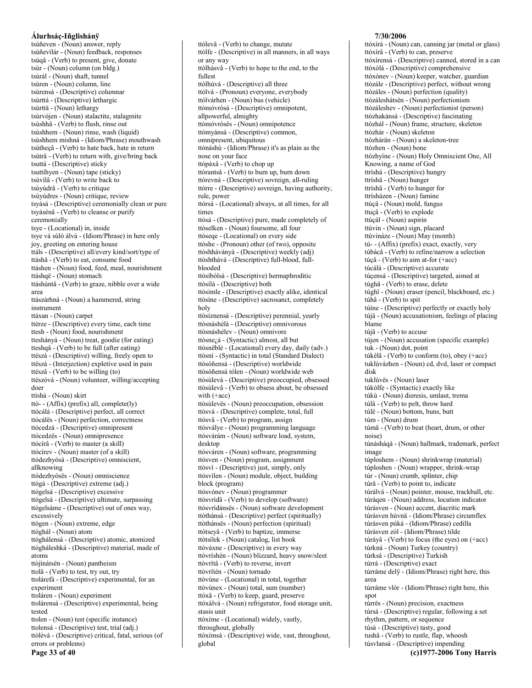tsúñeven - (Noun) answer, reply tsúñevilár - (Noun) feedback, responses tsúqâ - (Verb) to present, give, donate tsúr - (Noun) column (on bldg.) tsúrál - (Noun) shaft, tunnel tsúren - (Noun) column, line tsúrensá - (Descriptive) columnar tsúrttá - (Descriptive) lethargic tsúrttä - (Noun) lethargy tsúrvójen - (Noun) stalactite, stalagmite tsúshhâ - (Verb) to flush, rinse out tsúshhem - (Noun) rinse, wash (liquid) tsúshhem mishná - (Idiom/Phrase) mouthwash tsútheçâ - (Verb) to hate back, hate in return tsútrâ - (Verb) to return with, give/bring back tsuttá - (Descriptive) sticky tsuttihyen - (Noun) tape (sticky) tsúvílâ - (Verb) to write back to tsúyúdrâ - (Verb) to critique tsúyúdres - (Noun) critique, review tsyásá - (Descriptive) ceremonially clean or pure tsyásénâ - (Verb) to cleanse or purify ceremonially tsye - (Locational) in, inside tsye vá sùló álvá - (Idiom/Phrase) in here only joy, greeting on entering house ttáls - (Descriptive) all/every kind/sort/type of ttáshâ - (Verb) to eat, consume food ttáshen - (Noun) food, feed, meal, nourishment ttáshqë - (Noun) stomach ttáshúntâ - (Verb) to graze, nibble over a wide area ttászárhná - (Noun) a hammered, string instrument ttáxan - (Noun) carpet ttèrze - (Descriptive) every time, each time ttesh - (Noun) food, nourishment tteshányá - (Noun) treat, goodie (for eating) tteshqâ - (Verb) to be full (after eating) ttészá - (Descriptive) willing, freely open to ttëszá - (Interjection) expletive used in pain ttészâ - (Verb) to be willing (to) ttészóvá - (Noun) volunteer, willing/accepting doer ttìshá - (Noun) skirt ttò-- (Affix) (prefix) all, complete(ly) ttòcálá - (Descriptive) perfect, all correct ttòcálës - (Noun) perfection, correctness ttòcedzá - (Descriptive) omnipresent ttòcedzës - (Noun) omnipresence ttòcírâ - (Verb) to master (a skill) ttòcírev - (Noun) master (of a skill) ttòdezhyósá - (Descriptive) omniscient, allknowing ttòdezhyósës - (Noun) omniscience ttògá - (Descriptive) extreme (adj.) ttògelsá - (Descriptive) excessive ttògelsá - (Descriptive) ultimate, surpassing ttògelsáme - (Descriptive) out of ones way, excessively ttògen - (Noun) extreme, edge ttòghál - (Noun) atom ttòghálensá - (Descriptive) atomic, atomized ttògháleshká - (Descriptive) material, made of atoms ttòjìnátsën - (Noun) pantheism ttolâ - (Verb) to test, try out, try ttolárefá - (Descriptive) experimental, for an experiment ttoláren - (Noun) experiment ttolárensá - (Descriptive) experimental, being tested ttolen - (Noun) test (specific instance) ttolensá - (Descriptive) test, trial (adj.) ttòlèvá - (Descriptive) critical, fatal, serious (of errors or problems)

ttólfe - (Descriptive) in all manners, in all ways or any way ttòlhásvâ - (Verb) to hope to the end, to the fullest ttòlhúvá - (Descriptive) all three ttólvá - (Pronoun) everyone, everybody ttólvárhen - (Noun) bus (vehicle) ttòmóvrósá - (Descriptive) omnipotent, allpowerful, almighty ttòmóvrósës - (Noun) omnipotence ttòmyánsá - (Descriptive) common, omnipresent, ubiquitous ttònáshù - (Idiom/Phrase) it's as plain as the nose on your face ttòpáxâ - (Verb) to chop up ttòrantsâ - (Verb) to burn up, burn down ttòrevná - (Descriptive) sovreign, all-ruling ttòrre - (Descriptive) sovreign, having authority, rule, nower ttórsá - (Locational) always, at all times, for all times ttòsá - (Descriptive) pure, made completely of ttòselken - (Noun) foursome, all four ttòsege - (Locational) on every side ttóshe - (Pronoun) other (of two), opposite ttòshháványá - (Descriptive) weekly (adj) ttòshthává - (Descriptive) full-blood, fullblooded ttòsíbólsá - (Descriptive) hermaphroditic ttòsílá - (Descriptive) both ttòsimle - (Descriptive) exactly alike, identical ttòsine - (Descriptive) sacrosanct, completely holy ttòsíznensá - (Descriptive) perennial, yearly ttòsnáshélá - (Descriptive) omnivorous ttòsnáshélev - (Noun) omnivore ttòsnezá - (Syntactic) almost, all but ttòsnëblé - (Locational) every day, daily (adv.) ttòsnì - (Syntactic) in total (Standard Dialect) ttòsóñensá - (Descriptive) worldwide ttòsóñensá tólen - (Noun) worldwide web ttòsùlevá - (Descriptive) preoccupied, obsessed ttòsùlevâ - (Verb) to obsess about, be obsessed with  $(+acc)$ ttòsùlevës - (Noun) preoccupation, obsession ttòsvá - (Descriptive) complete, total, full ttósvâ - (Verb) to program, assign ttósválye - (Noun) programming language ttósvárám - (Noun) software load, system, desktop ttósváren - (Noun) software, programming ttósven - (Noun) program, assignment ttòsvì - (Descriptive) just, simply, only ttósvilen - (Noun) module, object, building block (program) ttósvónev - (Noun) programmer ttósvrídâ - (Verb) to develop (software) ttósvrídánsës - (Noun) software development ttòthánsá - (Descriptive) perfect (spiritually) ttòthánsës - (Noun) perfection (spiritual) ttòtseyâ - (Verb) to baptize, immerse ttòtsílek - (Noun) catalog, list book ttóváxne - (Descriptive) in every way ttòvríshén - (Noun) blizzard, heavy snow/sleet ttòvrïtâ - (Verb) to reverse, invert ttòvrïtén - (Noun) tornado ttòvùne - (Locational) in total, together ttòvùnex - (Noun) total, sum (number) ttóxâ - (Verb) to keep, guard, preserve ttóxálvá - (Noun) refrigerator, food storage unit, stasis unit ttòxíme - (Locational) widely, vastly, throughout, globally

ttólevâ - (Verb) to change, mutate

# ttòxímsá - (Descriptive) wide, vast, throughout, global

7/30/2006

ttóxìrá - (Noun) can, canning jar (metal or glass) ttóxìrâ - (Verb) to can, preserve ttóxìrensá - (Descriptive) canned, stored in a can ttòxólá - (Descriptive) comprehensive ttóxónev - (Noun) keeper, watcher, guardian ttòzále - (Descriptive) perfect, without wrong ttòzáles - (Noun) perfection (quality) ttòzáleshátsën - (Noun) perfectionism ttòzáleshev - (Noun) perfectionist (person) ttòzhakánsá - (Descriptive) fascinating ttòzhál - (Noun) frame, structure, skeleton ttòzhár - (Noun) skeleton ttòzhárän - (Noun) a skeleton-tree ttòzhen - (Noun) bone ttòzhyìne - (Noun) Holy Omniscient One, All Knowing, a name of God ttrìshá - (Descriptive) hungry ttrìshä - (Noun) hunger ttrìshâ - (Verb) to hunger for ttrìsházen - (Noun) famine ttúçä - (Noun) mold, fungus ttuçâ - (Verb) to explode ttúçál - (Noun) aspirin ttúvin - (Noun) sign, placard ttúvináze - (Noun) May (month) tú- - (Affix) (prefix) exact, exactly, very túbácâ - (Verb) to refine/narrow a selection túçâ - (Verb) to aim at-for  $(+acc)$ túcálá - (Descriptive) accurate túçensá - (Descriptive) targeted, aimed at túghâ - (Verb) to erase, delete túghï - (Noun) eraser (pencil, blackboard, etc.) túhâ - (Verb) to spit túine - (Descriptive) perfectly or exactly holy tújä - (Noun) accusationism, feelings of placing blame tújâ - (Verb) to accuse tújen - (Noun) accusation (specific example) tuk - (Noun) dot, point túkèlâ - (Verb) to conform (to), obey (+acc) tuklúvázhen - (Noun) cd, dvd, laser or compact disk tuklúvës - (Noun) laser túkólfe - (Syntactic) exactly like túkú - (Noun) dieresis, umlaut, trema túlâ - (Verb) to pelt, throw hard túlë - (Noun) bottom, buns, butt túm - (Noun) drum túmâ - (Verb) to beat (heart, drum, or other noise) túnásháqá - (Noun) hallmark, trademark, perfect image túploshem - (Noun) shrinkwrap (material) túploshen - (Noun) wrapper, shrink-wrap túr - (Noun) crumb, splinter, chip túrâ - (Verb) to point to, indicate túrálvá - (Noun) pointer, mouse, trackball, etc. túráqen - (Noun) address, location indicator túrásven - (Noun) accent, diacritic mark túrásven húvnä - (Idiom/Phrase) circumflex túrásven púká - (Idiom/Phrase) cedilla túrásven zól - (Idiom/Phrase) tilde túráyâ - (Verb) to focus (the eyes) on (+acc) tùrkná - (Noun) Turkey (country) tùrksá - (Descriptive) Turkish túrrá - (Descriptive) exact túrráme delÿ - (Idiom/Phrase) right here, this area túrráme vlór - (Idiom/Phrase) right here, this spot túrrës - (Noun) precision, exactness túrsá - (Descriptive) regular, following a set rhythm, pattern, or sequence túsá - (Descriptive) tasty, good tushâ - (Verb) to rustle, flap, whoosh túsvlansá - (Descriptive) impending

```
(c)1977-2006 Tony Harris
```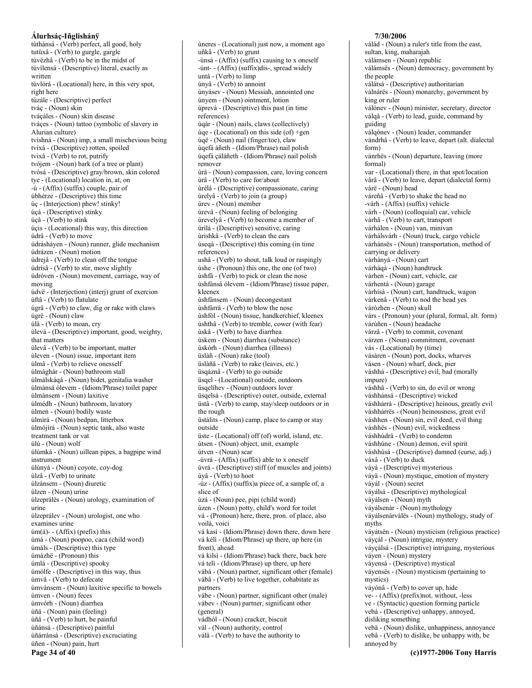Álurhsáç-Iñglishánÿ túthánsá - (Verb) perfect, all good, holy tutüxâ - (Verb) to gurgle, gargle túvëzhâ - (Verb) to be in the midst of túvílensá - (Descriptive) literal, exactly as written túvlórá - (Locational) here, in this very spot, right here túzále - (Descriptive) perfect tváç - (Noun) skin tváçáles - (Noun) skin disease tváçes - (Noun) tattoo (symbolic of slavery in Alurian culture) tvíshná - (Noun) imp, a small mischevious being tvixá - (Descriptive) rotten, spoiled tvixâ - (Verb) to rot, putrify tvójem - (Noun) bark (of a tree or plant) tvósá - (Descriptive) gray/brown, skin colored tye - (Locational) location in, at, on  $-i$ u - (Affix) (suffix) couple, pair of úbhèrze - (Descriptive) this time úç - (Interjection) phew! stinky! úçá - (Descriptive) stinky úçâ - (Verb) to stink úcis - (Locational) this way, this direction údrâ - (Verb) to move údrásháyen - (Noun) runner, glide mechanism údrázen - (Noun) motion ùdrejâ - (Verb) to clean off the tongue údrísâ - (Verb) to stir, move slightly údróven - (Noun) movement, carriage, way of moving údvë - (Interjection) (interj) grunt of exercion ùftâ - (Verb) to flatulate úgrâ - (Verb) to claw, dig or rake with claws úgrë - (Noun) claw úlâ - (Verb) to moan, cry ùlevá - (Descriptive) important, good, weighty, that matters ùlevâ - (Verb) to be important, matter ùleven - (Noun) issue, important item ùlmâ - (Verb) to relieve onesself ùlmághár - (Noun) bathroom stall ùlmálskáqá - (Noun) bidet, genitalia washer ùlmánsá ólevem - (Idiom/Phrase) toilet paper ùlmánsem - (Noun) laxitive ùlmédh - (Noun) bathroom, lavatory ùlmen - (Noun) bodily waste ùlmìrá - (Noun) bedpan, litterbox ùlmójìrá - (Noun) septic tank, also waste treatment tank or vat úlú - (Noun) wolf úlúmká - (Noun) uillean pipes, a bagpipe wind instrument úlúnyá - (Noun) coyote, coy-dog ùlzâ - (Verb) to urinate ùlzánsem - (Noun) diuretic ùlzen - (Noun) urine ùlzeprálës - (Noun) urology, examination of urine ùlzeprálev - (Noun) urologist, one who examines urine  $\text{im}(\acute{a})$ - (Affix) (prefix) this ùmá - (Noun) poopoo, caca (child word) úmáls - (Descriptive) this type úmázhë - (Pronoun) this úmlá - (Descriptive) spooky úmólfe - (Descriptive) in this way, thus ùmvâ - (Verb) to defecate ùmvánsem - (Noun) laxitive specific to bowels ùmven - (Noun) feces ùmvórh - (Noun) diarrhea úñä - (Noun) pain (feeling) úñâ - (Verb) to hurt, be painful úñánsá - (Descriptive) painful úñárránsá - (Descriptive) excruciating úñen - (Noun) pain, hurt Page 34 of 40

úneres - (Locational) just now, a moment ago uñkâ - (Verb) to grunt -ùnsá -  $(Affix)$  (suffix) causing to x oneself -únt- - (Affix) (suffix)dis-, spread widely untâ - (Verb) to limp únyâ - (Verb) to annoint únyásev - (Noun) Messiah, annointed one únyem - (Noun) ointment, lotion úprevá - (Descriptive) this past (in time references) úqár - (Noun) nails, claws (collectively) úqe - (Locational) on this side (of) +gen úqë - (Noun) nail (finger/toe), claw úqefá áñeth - (Idiom/Phrase) nail polish úqefá çáláñeth - (Idiom/Phrase) nail polish remover ùrä - (Noun) compassion, care, loving concern ùrâ - (Verb) to care for/about ùrélá - (Descriptive) compassionate, caring úrelyâ - (Verb) to join (a group) úrev - (Noun) member úrevä - (Noun) feeling of belonging úrevelyâ - (Verb) to become a member of ùrìlá - (Descriptive) sensitive, caring ùrishkâ - (Verb) to clean the ears úseqá - (Descriptive) this coming (in time references) ushâ - (Verb) to shout, talk loud or raspingly úshe - (Pronoun) this one, the one (of two) ùshfà - (Verb) to pick or clean the nose ùshfánsá ólevem - (Idiom/Phrase) tissue paper, kleenex ùshfánsem - (Noun) decongestant ùshfárrâ - (Verb) to blow the nose ùshfól - (Noun) tissue, handkerchief, kleenex úshthâ - (Verb) to tremble, cower (with fear) ùskâ - (Verb) to have diarrhea ùskem - (Noun) diarrhea (substance) ùskórh - (Noun) diarrhea (illness) üslàñ - (Noun) rake (tool) üslàñâ - (Verb) to rake (leaves, etc.) üsqáznâ - (Verb) to go outside üsqel - (Locational) outside, outdoors üsgelihev - (Noun) outdoors lover üsqelsá - (Descriptive) outer, outside, external üstâ - (Verb) to camp, stay/sleep outdoors or in the rough üstálits - (Noun) camp, place to camp or stay outside üste - (Locational) off (of) world, island, etc. útsen - (Noun) object, unit, example útven - (Noun) scar -ùvrá - (Affix) (suffix) able to x oneself úvrá - (Descriptive) stiff (of muscles and joints) úyâ - (Verb) to hoot -úz - (Affix) (suffix) a piece of, a sample of, a slice of ùzá - (Noun) pee, pipi (child word) ùzen - (Noun) potty, child's word for toilet vá - (Pronoun) here, there, pron. of place, also voilà voici vá kasì - (Idiom/Phrase) down there, down here vá kéli - (Idiom/Phrase) up there, up here (in front), ahead vá kilsì - (Idiom/Phrase) back there, back here vá telì - (Idiom/Phrase) up there, up here vábá - (Noun) partner, significant other (female) vábâ - (Verb) to live together, cohabitate as partners vábe - (Noun) partner, significant other (male) vábev - (Noun) partner, significant other (general) vádhól - (Noun) cracker, biscuit vál - (Noun) authority, control válâ - (Verb) to have the authority to

#### 7/30/2006 válád - (Noun) a ruler's title from the east, sultan, king, maharajah válámsen - (Noun) republic válámsës - (Noun) democracy, government by the people válátsá - (Descriptive) authoritarian válnárës - (Noun) monarchy, government by king or ruler válónev - (Noun) minister, secretary, director válqâ - (Verb) to lead, guide, command by guiding válqónev - (Noun) leader, commander vándrhâ - (Verb) to leave, depart (alt. dialectal form) vánrhës - (Noun) departure, leaving (more formal) var - (Locational) there, in that spot/location vârâ - (Verb) to leave, depart (dialectal form) várë - (Noun) head váreñâ - (Verb) to shake the head no -várh - (Affix) (suffix) vehicle várh - (Noun) (colloquial) car, vehicle várhâ - (Verb) to cart, transport várhálen - (Noun) van, minivan várhálsvárh - (Noun) truck, cargo vehicle várhánsës - (Noun) transportation, method of carrying or delivery várhányá - (Noun) cart várháqá - (Noun) handtruck várhen - (Noun) cart, vehicle, car várhentá - (Noun) garage várhísá - (Noun) cart, handtruck, wagon várkenâ - (Verb) to nod the head yes váròzhen - (Noun) skull várs - (Pronoun) your (plural, formal, alt. form) várúñen - (Noun) headache várzâ - (Verb) to commit, covenant várzen - (Noun) commitment, covenant vás - (Locational) by (time) vásáren - (Noun) port, docks, wharves vásen - (Noun) wharf, dock, pier váshhá - (Descriptive) evil, bad (morally impure) váshhâ - (Verb) to sin, do evil or wrong váshhánsá - (Descriptive) wicked váshhárrá - (Descriptive) heinous, greatly evil váshhárrës - (Noun) heinousness, great evil váshhen - (Noun) sin, evil deed, evil thing váshhës - (Noun) evil, wickedness váshhúdrâ - (Verb) to condemn váshhúne - (Noun) demon, evil spirit váshhúsá - (Descriptive) damned (curse, adj.) váxâ - (Verb) to duck váyá - (Descriptive) mysterious váyä - (Noun) mystique, emotion of mystery váyál - (Noun) secret váyálsá - (Descriptive) mythological váyálsen - (Noun) myth váyálsenár - (Noun) mythology váyálsenárválës - (Noun) mythology, study of myths váyátsën - (Noun) mysticism (religious practice) váyçál - (Noun) intrigue, mystery váyçálsá - (Descriptive) intriguing, mysterious váyen - (Noun) mystery váyensá - (Descriptive) mystical váyensës - (Noun) mysticism (pertaining to mystics) váyónâ - (Verb) to cover up, hide ve- - (Affix) (prefix)not, without, -less ve - (Syntactic) question forming particle vebá - (Descriptive) unhappy, annoyed, disliking something vebä - (Noun) dislike, unhappiness, annoyance vebâ - (Verb) to dislike, be unhappy with, be annoved by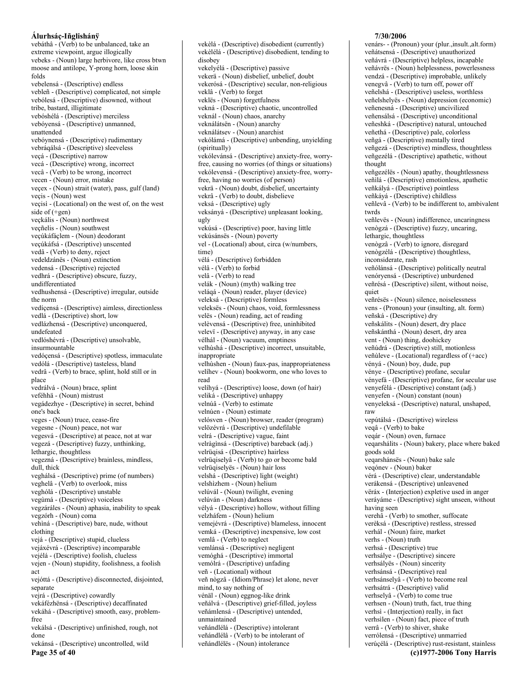vebáthâ - (Verb) to be unbalanced, take an extreme viewpoint, argue illogically vebeks - (Noun) large herbivore, like cross btwn moose and antilope, Y-prong horn, loose skin folds vebelensá - (Descriptive) endless vebleñ - (Descriptive) complicated, not simple vebólesá - (Descriptive) disowned, without tribe, bastard, illigitimate vebóshélá - (Descriptive) merciless vebóyensá - (Descriptive) unmanned, unattended vebóynensá - (Descriptive) rudimentary vebráqálsá - (Descriptive) sleeveless veçá - (Descriptive) narrow vecá - (Descriptive) wrong, incorrect vecâ - (Verb) to be wrong, incorrect vecen - (Noun) error, mistake veçex - (Noun) strait (water), pass, gulf (land) veçis - (Noun) west veçisì - (Locational) on the west of, on the west side of  $(+gen)$ veçkális - (Noun) northwest vecñelis - (Noun) southwest veçúkáfáçlem - (Noun) deodorant veçúkáfsá - (Descriptive) unscented vedâ - (Verb) to deny, reject vedeldzánës - (Noun) extinction vedensá - (Descriptive) rejected vedhrá - (Descriptive) obscure, fuzzy, undifferentiated vedhushensá - (Descriptive) irregular, outside the norm vedícensá - (Descriptive) aimless, directionless vedlá - (Descriptive) short, low vedlázhensá - (Descriptive) unconquered, undefeated vedlóshévrá - (Descriptive) unsolvable, insurmountable vedóçensá - (Descriptive) spotless, immaculate vedólá - (Descriptive) tasteless, bland vedrâ - (Verb) to brace, splint, hold still or in place vedrálvá - (Noun) brace, splint veféhhä - (Noun) mistrust vegádezhye - (Descriptive) in secret, behind one's back veges - (Noun) truce, cease-fire vegesne - (Noun) peace, not war vegesvá - (Descriptive) at peace, not at war vegezá - (Descriptive) fuzzy, unthinking, lethargic, thoughtless vegezná - (Descriptive) brainless, mindless, dull, thick veghálsá - (Descriptive) prime (of numbers) veghelâ - (Verb) to overlook, miss veghólá - (Descriptive) unstable vegùmá - (Descriptive) voiceless vegzáráles - (Noun) aphasia, inability to speak vegzórh - (Noun) coma vehìná - (Descriptive) bare, nude, without clothing vejá - (Descriptive) stupid, clueless vejáxévrá - (Descriptive) incomparable vejélá - (Descriptive) foolish, clueless vejen - (Noun) stupidity, foolishness, a foolish act vejóttá - (Descriptive) disconnected, disjointed, separate vejrá - (Descriptive) cowardly vekáfézhënsá - (Descriptive) decaffinated vekáhá - (Descriptive) smooth, easy, problemfree vekálsá - (Descriptive) unfinished, rough, not done vekánsá - (Descriptive) uncontrolled, wild

Page 35 of 40

vekèlélá - (Descriptive) disobedient, tending to disobev vekelyélá - (Descriptive) passive vekerä - (Noun) disbelief, unbelief, doubt vekerósá - (Descriptive) secular, non-religious veklâ - (Verb) to forget veklës - (Noun) forgetfulness vekná - (Descriptive) chaotic, uncontrolled veknál - (Noun) chaos, anarchy veknálátsën - (Noun) anarchy veknálátsev - (Noun) anarchist vekólámá - (Descriptive) unbending, unyielding (spiritually) vekólevánsá - (Descriptive) anxiety-free, worryfree, causing no worries (of things or situations) vekólevensá - (Descriptive) anxiety-free, worryfree, having no worries (of person) vekrä - (Noun) doubt, disbelief, uncertainty vekrâ - (Verb) to doubt, disbelieve veksá - (Descriptive) ugly veksányá - (Descriptive) unpleasant looking, ugly vekúsá - (Descriptive) poor, having little vekúsánsës - (Noun) poverty vel - (Locational) about, circa (w/numbers, time) vélá - (Descriptive) forbidden vélâ - (Verb) to forbid velâ - (Verb) to read velák - (Noun) (myth) walking tree veláqá - (Noun) reader, player (device) veleksá - (Descriptive) formless veleksës - (Noun) chaos, void, formlessness velës - (Noun) reading, act of reading velèvensá - (Descriptive) free, uninhibited velevi - (Descriptive) anyway, in any case vélhál - (Noun) vacuum, emptiness velhùshá - (Descriptive) incorrect, unsuitable, inappropriate velhùshen - (Noun) faux-pas, inappropriateness velíhev - (Noun) bookworm, one who loves to read velíhyá - (Descriptive) loose, down (of hair) veliká - (Descriptive) unhappy velnúâ - (Verb) to estimate velnúen - (Noun) estimate velósven - (Noun) browser, reader (program) velözévrá - (Descriptive) undefilable velrá - (Descriptive) vague, faint velràginsá - (Descriptive) bareback (adj.) velrüqisá - (Descriptive) hairless velrüqiselyâ - (Verb) to go or become bald velrüqiselyës - (Noun) hair loss velshá - (Descriptive) light (weight) velshizhem - (Noun) helium velúvál - (Noun) twilight, evening velúván - (Noun) darkness vélyá - (Descriptive) hollow, without filling velzháfem - (Noun) helium vemejévrá - (Descriptive) blameless, innocent vemká - (Descriptive) inexpensive, low cost vemlâ - (Verb) to neglect vemlánsá - (Descriptive) negligent vemóghá - (Descriptive) immortal vemólrá - (Descriptive) unfading veñ - (Locational) without veñ nògzâ - (Idiom/Phrase) let alone, never mind, to say nothing of vénäl - (Noun) eggnog-like drink veñálvá - (Descriptive) grief-filled, joyless veñámlensá - (Descriptive) untended, unmaintained veñándlélá - (Descriptive) intolerant veñándlélâ - (Verb) to be intolerant of veñándlélës - (Noun) intolerance

vekèlá - (Descriptive) disobedient (currently)

#### 7/30/2006

venárs- - (Pronoun) your (plur., insult., alt. form) veñátsensá - (Descriptive) unauthorized veñávrá - (Descriptive) helpless, incapable veñávrës - (Noun) helplessness, powerlessness vendzá - (Descriptive) improbable, unlikely venegvâ - (Verb) to turn off, power off veñelshá - (Descriptive) useless, worthless veñelshelyës - (Noun) depression (economic) veñenesná - (Descriptive) uncivilized veñensálsá - (Descriptive) unconditional veñeshká - (Descriptive) natural, untouched veñethá - (Descriptive) pale, colorless veñgá - (Descriptive) mentally tired veñgezá - (Descriptive) mindless, thoughtless veñgezélá - (Descriptive) apathetic, without thought veñgezéles - (Noun) apathy, thoughtlessness veñilá - (Descriptive) emotionless, apathetic veñkályá - (Descriptive) pointless veñkáyá - (Descriptive) childless veñlevâ - (Verb) to be indifferent to, ambivalent twrds veñlevës - (Noun) indifference, uncaringness venògzá - (Descriptive) fuzzy, uncaring, lethargic, thoughtless venògzâ - (Verb) to ignore, disregard venògzélá - (Descriptive) thoughtless, inconsiderate, rash veñólánsá - (Descriptive) politically neutral venóryensá - (Descriptive) unburdened veñrésá - (Descriptive) silent, without noise, quiet veñrésës - (Noun) silence, noiselessness vens - (Pronoun) your (insulting, alt. form) veñská - (Descriptive) dry veñskálits - (Noun) desert, dry place veñskánthá - (Noun) desert, dry area vent - (Noun) thing, doohickey veñúdrá - (Descriptive) still, motionless veñùleve - (Locational) regardless of (+acc) vényá - (Noun) boy, dude, pup vénye - (Descriptive) profane, secular vényefá - (Descriptive) profane, for secular use venyefélá - (Descriptive) constant (adj.) venyefen - (Noun) constant (noun) venyeleksá - (Descriptive) natural, unshaped, raw vepútálsá - (Descriptive) wireless veqâ - (Verb) to bake veqár - (Noun) oven, furnace veqarshálits - (Noun) bakery, place where baked goods sold veqarshánsës - (Noun) bake sale veqónev - (Noun) baker vérá - (Descriptive) clear, understandable verákensá - (Descriptive) unleavened vëráx - (Interjection) expletive used in anger veráyáme - (Descriptive) sight unseen, without having seen verehâ - (Verb) to smother, suffocate verèksá - (Descriptive) restless, stressed verhál - (Noun) faire, market verhs - (Noun) truth verhsá - (Descriptive) true verhsálye - (Descriptive) sincere verhsályës - (Noun) sincerity verhsánsá - (Descriptive) real verhsánselyâ - (Verb) to become real verhsátrá - (Descriptive) valid verhselyâ - (Verb) to come true verhsen - (Noun) truth, fact, true thing verhsì - (Interjection) really, in fact verhsilen - (Noun) fact, piece of truth verrâ - (Verb) to shiver, shake verrólensá - (Descriptive) unmarried verúçélá - (Descriptive) rust-resistant, stainless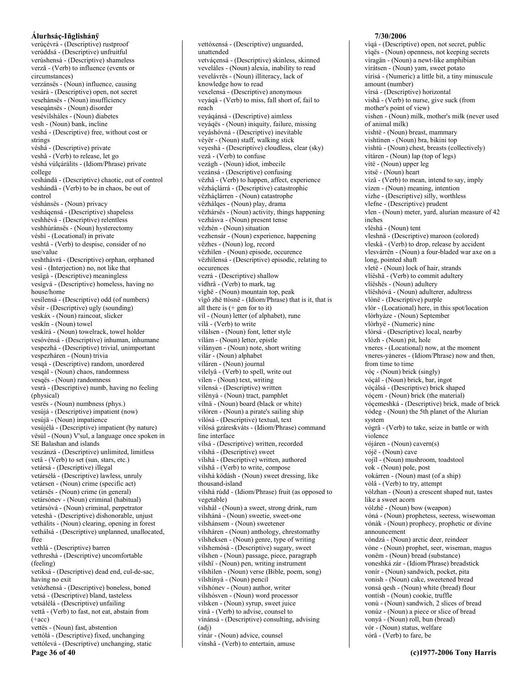#### Álurhsáç-Iñglishánÿ verúcévrá - (Descriptive) rustproof verúddsá - (Descriptive) unfruitful verúshensá - (Descriptive) shameless verzâ - (Verb) to influence (events or circumstances) verzánsës - (Noun) influence, causing vesárá - (Descriptive) open, not secret vesehánsës - (Noun) insufficiency veseqánsës - (Noun) disorder vesévilsháles - (Noun) diabetes vesh - (Noun) bank, incline veshá - (Descriptive) free, without cost or strings véshá - (Descriptive) private veshâ - (Verb) to release, let go véshá vùlcárálits - (Idiom/Phrase) private college veshándá - (Descriptive) chaotic, out of control veshándâ - (Verb) to be in chaos, be out of control véshánsës - (Noun) privacy vesháqensá - (Descriptive) shapeless veshhévá - (Descriptive) relentless veshhúránsës - (Noun) hysterectomy véshì - (Locational) in private veshtâ - (Verb) to despise, consider of no use/value veshthávrá - (Descriptive) orphan, orphaned vesì - (Interjection) no, not like that vesïgá - (Descriptive) meaningless vesígvá - (Descriptive) homeless, having no house/home vesílensá - (Descriptive) odd (of numbers) vësir - (Descriptive) ugly (sounding) veskáx - (Noun) raincoat, slicker veskïn - (Noun) towel veskirá - (Noun) towelrack, towel holder vesóvénsá - (Descriptive) inhuman, inhumane vespezhá - (Descriptive) trivial, unimportant vespezháren - (Noun) trivia vesqá - (Descriptive) random, unordered vesqál - (Noun) chaos, randomness vesqës - (Noun) randomness vesrá - (Descriptive) numb, having no feeling (physical) vesrës - (Noun) numbness (phys.) vesújá - (Descriptive) impatient (now) vesújä - (Noun) impatience vesújélá - (Descriptive) impatient (by nature) vësúl - (Noun) V'sul, a language once spoken in SE Balashan and islands veszánzá - (Descriptive) unlimited, limitless vetâ - (Verb) to set (sun, stars, etc.) vetársá - (Descriptive) illegal vetársélá - (Descriptive) lawless, unruly vetársen - (Noun) crime (specific act) vetársës - (Noun) crime (in general) vetársónev - (Noun) criminal (habitual) vetársóvá - (Noun) criminal, perpetrator veteshá - (Descriptive) dishonorable, unjust vethálits - (Noun) clearing, opening in forest vethálsá - (Descriptive) unplanned, unallocated, free vethlá - (Descriptive) barren vethreshá - (Descriptive) uncomfortable (feeling) vetiksá - (Descriptive) dead end, cul-de-sac, having no exit vetòzhensá - (Descriptive) boneless, boned vetsá - (Descriptive) bland, tasteless vetsálélá - (Descriptive) unfailing vettâ - (Verb) to fast, not eat, abstain from  $(+acc)$ vettës - (Noun) fast, abstention vettólá - (Descriptive) fixed, unchanging vettólevá - (Descriptive) unchanging, static Page 36 of 40

vettóxensá - (Descriptive) unguarded, unattended vetvácensá - (Descriptive) skinless, skinned veveláles - (Noun) alexia, inability to read vevelávrës - (Noun) illiteracy, lack of knowledge how to read vexelensá - (Descriptive) anonymous veyáqâ - (Verb) to miss, fall short of, fail to reach veyágánsá - (Descriptive) aimless veyáqës - (Noun) iniquity, failure, missing veyáshóvná - (Descriptive) inevitable véyër - (Noun) staff, walking stick veyeshá - (Descriptive) cloudless, clear (sky) vezâ - (Verb) to confuse vezágh - (Noun) idiot, imbecile vezánsá - (Descriptive) confusing vëzhâ - (Verb) to happen, affect, experience vëzháçlárrá - (Descriptive) catastrophic vëzháçlárren - (Noun) catastrophe vëzhálqes - (Noun) play, drama vëzhársës - (Noun) activity, things happening vezhásva - (Noun) present tense vëzhén - (Noun) situation vezhensár - (Noun) experience, happening vëzhes - (Noun) log, record vëzhilen - (Noun) episode, occurence vëzhilensá - (Descriptive) episodic, relating to occurences vezrá - (Descriptive) shallow vídhrâ - (Verb) to mark, tag vìghë - (Noun) mountain top, peak vìgô zhë ttòsnë - (Idiom/Phrase) that is it, that is all there is  $(+)$  gen for to it) víl - (Noun) letter (of alphabet), rune vílâ - (Verb) to write vílálsen - (Noun) font, letter style vílám - (Noun) letter, epistle vílányen - (Noun) note, short writing vílár - (Noun) alphabet víláren - (Noun) journal vílelyâ - (Verb) to spell, write out vilen - (Noun) text, writing vílensá - (Descriptive) written vílényá - (Noun) tract, pamphlet vílnä - (Noun) board (black or white) vílóren - (Noun) a pirate's sailing ship vílósá - (Descriptive) textual, text vílósá gzáreskváts - (Idiom/Phrase) command line interface vílsá - (Descriptive) written, recorded vilshá - (Descriptive) sweet vílshá - (Descriptive) written, authored vílshâ - (Verb) to write, compose vilshá ködásh - (Noun) sweet dressing, like thousand-island vilshá rúdd - (Idiom/Phrase) fruit (as opposed to vegetable) vilshál - (Noun) a sweet, strong drink, rum vilsháná - (Noun) sweetie, sweet-one vilshánsem - (Noun) sweetener vílsháren - (Noun) anthology, chrestomathy vílsheksen - (Noun) genre, type of writing vilshemósá - (Descriptive) sugary, sweet vílshen - (Noun) passage, piece, paragraph vílshï - (Noun) pen, writing instrument vílshilen - (Noun) verse (Bible, poem, song) vílshínyá - (Noun) pencil vílshónev - (Noun) author, writer vílshósven - (Noun) word processor vilsken - (Noun) syrup, sweet juice vínâ - (Verb) to advise, counsel to vínánsá - (Descriptive) consulting, advising  $(adj)$ vínár - (Noun) advice, counsel vínshâ - (Verb) to entertain, amuse

# 7/30/2006

vìqá - (Descriptive) open, not secret, public viqës - (Noun) openness, not keeping secrets víragän - (Noun) a newt-like amphibian vírátsen - (Noun) yam, sweet potato vírísá - (Numeric) a little bit, a tiny minuscule amount (number) vírsá - (Descriptive) horizontal vishâ - (Verb) to nurse, give suck (from mother's point of view) vishen - (Noun) milk, mother's milk (never used of animal milk) vishtë - (Noun) breast, mammary vishtìnen - (Noun) bra, bikini top vishtú - (Noun) chest, breasts (collectively) vítáren - (Noun) lap (top of legs) vítë - (Noun) upper leg vitsë - (Noun) heart vízâ - (Verb) to mean, intend to say, imply vízen - (Noun) meaning, intention vízhe - (Descriptive) silly, worthless vlefne - (Descriptive) prudent vlen - (Noun) meter, yard, alurian measure of 42 inches vléshá - (Noun) tent vleshnä - (Descriptive) maroon (colored) vleskâ - (Verb) to drop, release by accident vlesvárrën - (Noun) a four-bladed war axe on a long, pointed shaft vletë - (Noun) lock of hair, strands vlíëshâ - (Verb) to commit adultery vlíëshës - (Noun) adultery vlíëshóvá - (Noun) adulterer, adultress vlónë - (Descriptive) purple vlór - (Locational) here, in this spot/location vlórhyáze - (Noun) September vlórhyë - (Numeric) nine vlórsá - (Descriptive) local, nearby vlózh - (Noun) pit, hole vneres - (Locational) now, at the moment vneres-yáneres - (Idiom/Phrase) now and then, from time to time vóc - (Noun) brick (singly) vóçál - (Noun) brick, bar, ingot vóçálsá - (Descriptive) brick shaped vóçem - (Noun) brick (the material) vócemeshká - (Descriptive) brick, made of brick vódeg - (Noun) the 5th planet of the Alurian system vógrâ - (Verb) to take, seize in battle or with violence vójáren - (Noun) cavern(s) vójë - (Noun) cave vojil - (Noun) mushroom, toadstool vok - (Noun) pole, post vokárren - (Noun) mast (of a ship) vòlâ - (Verb) to try, attempt vólzhan - (Noun) a crescent shaped nut, tastes like a sweet acorn vólzhë - (Noun) bow (weapon) vóná - (Noun) prophetess, seeress, wisewoman vónák - (Noun) prophecy, prophetic or divine announcement vóndzá - (Noun) arctic deer, reindeer vóne - (Noun) prophet, seer, wiseman, magus vonëm - (Noun) bread (substance) voneshká zár - (Idiom/Phrase) breadstick vonír - (Noun) sandwich, pocket, pita vonish - (Noun) cake, sweetened bread vonsá qesh - (Noun) white (bread) flour vontísh - (Noun) cookie, truffle vonú - (Noun) sandwich, 2 slices of bread vonúz - (Noun) a piece or slice of bread vonyá - (Noun) roll, bun (bread) vór - (Noun) status, welfare vórâ - (Verb) to fare, be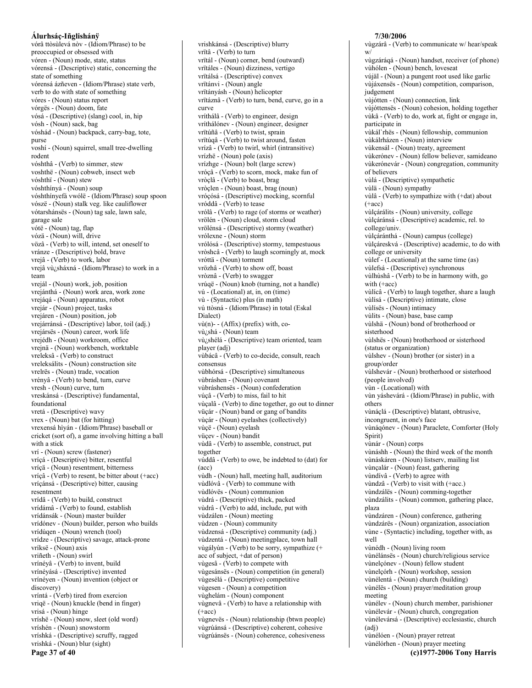vórâ ttòsùlevá nòv - (Idiom/Phrase) to be preoccupied or obsessed with vóren - (Noun) mode, state, status vórensá - (Descriptive) static, concerning the state of something vórensá ázñeven - (Idiom/Phrase) state verb, verb to do with state of something vóres - (Noun) status report vórgës - (Noun) doom, fate vósá - (Descriptive) (slang) cool, in, hip vósh - (Noun) sack, bag vóshád - (Noun) backpack, carry-bag, tote, purse voshí - (Noun) squirrel, small tree-dwelling rodent vóshthâ - (Verb) to simmer, stew voshthë - (Noun) cobweb, insect web vóshthï - (Noun) stew vóshthínyá - (Noun) soup vóshthínyefá vwólë - (Idiom/Phrase) soup spoon vószë - (Noun) stalk veg. like cauliflower vótarshánsës - (Noun) tag sale, lawn sale, garage sale vótë - (Noun) tag, flap vózä - (Noun) will, drive vözâ - (Verb) to will, intend, set oneself to vránze - (Descriptive) bold, brave vrejâ - (Verb) to work, labor vrejâ vù¿sháxná - (Idiom/Phrase) to work in a team vrejál - (Noun) work, job, position vrejánthá - (Noun) work area, work zone vrejáqá - (Noun) apparatus, robot vrejár - (Noun) project, tasks vrejáren - (Noun) position, job vrejárránsá - (Descriptive) labor, toil (adj.) vrejársës - (Noun) career, work life vrejédh - (Noun) workroom, office vrejnä - (Noun) workbench, worktable vreleksâ - (Verb) to construct vreleksálits - (Noun) construction site vrelrës - (Noun) trade, vocation vrényâ - (Verb) to bend, turn, curve vresh - (Noun) curve, turn vreskánsá - (Descriptive) fundamental, foundational vretá - (Descriptive) wavy vrex - (Noun) bat (for hitting) vrexensá hiyán - (Idiom/Phrase) baseball or cricket (sort of), a game involving hitting a ball with a stick vrí - (Noun) screw (fastener) vríçá - (Descriptive) bitter, resentful vríçä - (Noun) resentment, bitterness vríçâ - (Verb) to resent, be bitter about (+acc) vríçánsá - (Descriptive) bitter, causing resentment vrídâ - (Verb) to build, construct vrídámâ - (Verb) to found, establish vrídánsák - (Noun) master builder vrídónev - (Noun) builder, person who builds vrídúqen - (Noun) wrench (tool) vrídze - (Descriptive) savage, attack-prone vríksë - (Noun) axis vriñeth - (Noun) swirl vrínéyâ - (Verb) to invent, build vrínévásá - (Descriptive) invented vrínéyen - (Noun) invention (object or discovery) vríntá - (Verb) tired from exercion vriqë - (Noun) knuckle (bend in finger) vrisá - (Noun) hinge vríshë - (Noun) snow, sleet (old word) vríshén - (Noun) snowstorm vríshká - (Descriptive) scruffy, ragged vrishká - (Noun) blur (sight) Page 37 of 40

vrishkánsá - (Descriptive) blurry vrïtâ - (Verb) to turn vrïtál - (Noun) corner, bend (outward) vritáles - (Noun) dizziness, vertigo vrïtálsá - (Descriptive) convex vrïtánvi - (Noun) angle vrïtányásh - (Noun) helicopter vrïtáznâ - (Verb) to turn, bend, curve, go in a curve vríthálâ - (Verb) to engineer, design vríthálónev - (Noun) engineer, designer vrītúñâ - (Verb) to twist, sprain vrïtúqâ - (Verb) to twist around, fasten vrízâ - (Verb) to twirl, whirl (intransitive) vrízhë - (Noun) pole (axis) vrízhge - (Noun) bolt (large screw) vróçâ - (Verb) to scorn, mock, make fun of vròçlâ - (Verb) to boast, brag vròclen - (Noun) boast, brag (noun) vróçósá - (Descriptive) mocking, scornful vróddâ - (Verb) to tease vrólâ - (Verb) to rage (of storms or weather) vrölén - (Noun) cloud, storm cloud vrölénsá - (Descriptive) stormy (weather) vrólexne - (Noun) storm vrólósá - (Descriptive) stormy, tempestuous vròshcâ - (Verb) to laugh scorningly at, mock vróttä - (Noun) torment vrözhâ - (Verb) to show off, boast vròznâ - (Verb) to swagger vrúqë - (Noun) knob (turning, not a handle) vú - (Locational) at, in, on (time) vù - (Syntactic) plus (in math) vú ttòsná - (Idiom/Phrase) in total (Eskal Dialect) vù(n)--(Affix) (prefix) with, covù¿shá - (Noun) team vù¿shélá - (Descriptive) team oriented, team player (adj) vùbácâ - (Verb) to co-decide, consult, reach consensus vùbhórsá - (Descriptive) simultaneous vùbráshen - (Noun) covenant vùbráshensës - (Noun) confederation vúçâ - (Verb) to miss, fail to hit vùcalâ - (Verb) to dine together, go out to dinner vüçár - (Noun) band or gang of bandits vùçár - (Noun) eyelashes (collectively) vùçë - (Noun) eyelash vüçev - (Noun) bandit vùdâ - (Verb) to assemble, construct, put together vúddâ - (Verb) to owe, be indebted to (dat) for  $(\text{acc})$ vùdh - (Noun) hall, meeting hall, auditorium vùdlóvâ - (Verb) to commune with vùdlóvës - (Noun) communion vùdrá - (Descriptive) thick, packed vùdrâ - (Verb) to add, include, put with vùdzálen - (Noun) meeting vùdzen - (Noun) community vùdzensá - (Descriptive) community (adj.) vùdzentá - (Noun) meetingplace, town hall vùgályùn - (Verb) to be sorry, sympathize (+ acc of subject, +dat of person) vùgesâ - (Verb) to compete with vùgesánsës - (Noun) competition (in general) vùgesélá - (Descriptive) competitive vùgesen - (Noun) a competition vùghelám - (Noun) component vùgnevâ - (Verb) to have a relationship with  $(+acc)$ vùgnevës - (Noun) relationship (btwn people) vùgrúánsá - (Descriptive) coherent, cohesive vùgrúánsës - (Noun) coherence, cohesiveness

#### $W/$ vùgzárágá - (Noun) handset, receiver (of phone) vùhólen - (Noun) bench, loveseat vújäl - (Noun) a pungent root used like garlic vùjáxensës - (Noun) competition, comparison, judgement vùjótten - (Noun) connection, link vùjóttensës - (Noun) cohesion, holding together vùkâ - (Verb) to do, work at, fight or engage in, participate in vùkál'rhës - (Noun) fellowship, communion vùkálrházen - (Noun) interview vùkensál - (Noun) treaty, agreement vùkerónev - (Noun) fellow believer, samideano vùkerónevár - (Noun) congregation, community of believers vùlá - (Descriptive) sympathetic vùlä - (Noun) sympathy vùlâ - (Verb) to sympathize with (+dat) about  $(+acc)$ vùlçárálits - (Noun) university, college vùlçáránsá - (Descriptive) academic, rel. to college/univ. vùlçáránthá - (Noun) campus (college) vùlcáreskvá - (Descriptive) academic, to do with college or university vùlef - (Locational) at the same time (as) vùlefsá - (Descriptive) synchronous vùlhùshâ - (Verb) to be in harmony with, go with  $(+acc)$ vùlícâ - (Verb) to laugh together, share a laugh vùlísá - (Descriptive) intimate, close vùlísës - (Noun) intimacy vùlits - (Noun) base, base camp vùlshä - (Noun) bond of brotherhood or sisterhood vùlshës - (Noun) brotherhood or sisterhood (status or organization) vùlshev - (Noun) brother (or sister) in a group/order vùlshevár - (Noun) brotherhood or sisterhood (people involved) vùn - (Locational) with vùn yáshevárá - (Idiom/Phrase) in public, with others vùnáçlá - (Descriptive) blatant, obtrusive, incongruent, in one's face vùnáqónev - (Noun) Paraclete, Comforter (Holy Spirit) vùnár - (Noun) corps vùnáshh - (Noun) the third week of the month vùnáskáren - (Noun) listserv, mailing list vùnçalár - (Noun) feast, gathering vùndívâ - (Verb) to agree with vùndzâ - (Verb) to visit with (+acc.) vùndzálës - (Noun) comming-together vùndzálits - (Noun) common, gathering place, plaza vùndzáren - (Noun) conference, gathering vùndzárës - (Noun) organization, association vùne - (Syntactic) including, together with, as well vùnédh - (Noun) living room vùnélánses - (Noun) church/religious service vùnelçónev - (Noun) fellow student vùnelçórh - (Noun) workshop, session vùnélentá - (Noun) church (building) vùnélës - (Noun) prayer/meditation group meeting vùnélev - (Noun) church member, parishioner vùnélevár - (Noun) church, congregation vùnélevársá - (Descriptive) ecclesiastic, church  $(adj)$ vùnélóen - (Noun) prayer retreat vùnélórhen - (Noun) prayer meeting (c)1977-2006 Tony Harris

7/30/2006

vùgzárâ - (Verb) to communicate w/ hear/speak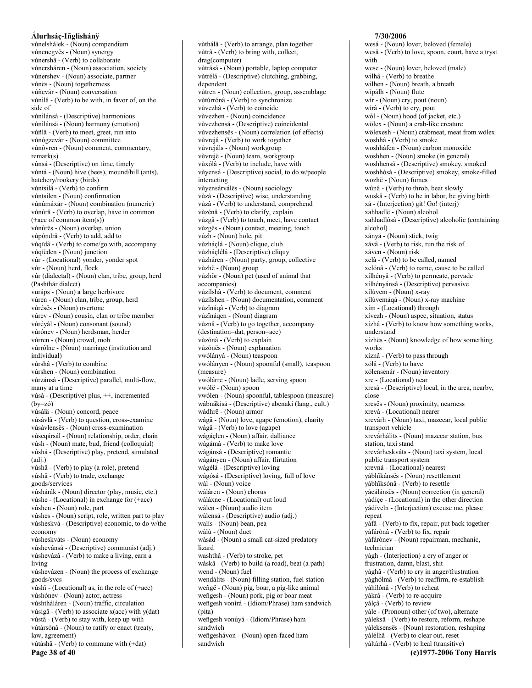vùnelshálek - (Noun) compendium vùnenegvës - (Noun) synergy vùnershâ - (Verb) to collaborate vùnersháren - (Noun) association, society vùnershev - (Noun) associate, partner vùnës - (Noun) togetherness vùñevár - (Noun) conversation vùnilâ - (Verb) to be with, in favor of, on the side of vùnilánsá - (Descriptive) harmonious vùnìlánsä - (Noun) harmony (emotion) vùñlâ - (Verb) to meet, greet, run into vùnògzevár - (Noun) committee vùnòvren - (Noun) comment, commentary,  $remark(s)$ vúnsá - (Descriptive) on time, timely vùntá - (Noun) hive (bees), mound/hill (ants), hatchery/rookery (birds) vùntsilâ - (Verb) to confirm vùntsilen - (Noun) confirmation vùnúmáxár - (Noun) combination (numeric) vùnúrâ - (Verb) to overlap, have in common  $(+acc of common item(s))$ vùnúrës - (Noun) overlap, union vùpóndrâ - (Verb) to add, add to vùqïdâ - (Verb) to come/go with, accompany vùqíëden - (Noun) junction vúr - (Locational) yonder, yonder spot vùr - (Noun) herd, flock vúr (dialectal) - (Noun) clan, tribe, group, herd (Pashthár dialect) vuráps - (Noun) a large herbivore vùren - (Noun) clan, tribe, group, herd vùrésës - (Noun) overtone vùrev - (Noun) cousin, clan or tribe member vùréyál - (Noun) consonant (sound) vùrónev - (Noun) herdsman, herder vùrren - (Noun) crowd, mob vùrrólne - (Noun) marriage (institution and individual) vùrshâ - (Verb) to combine vùrshen - (Noun) combination vùrzánsá - (Descriptive) parallel, multi-flow, many at a time vùsá - (Descriptive) plus, ++, incremented  $(bv=z6)$ vùsálä - (Noun) concord, peace vùsávlâ - (Verb) to question, cross-examine vùsávlensës - (Noun) cross-examination vùseqársál - (Noun) relationship, order, chain vùsh - (Noun) mate, bud, friend (colloquial) vúshá - (Descriptive) play, pretend, simulated  $(adj.)$ vúshâ - (Verb) to play (a role), pretend vùshâ - (Verb) to trade, exchange goods/services vúshárák - (Noun) director (play, music, etc.) vùshe - (Locational) in exchange for  $(+\text{acc})$ vúshen - (Noun) role, part vúshes - (Noun) script, role, written part to play vùsheskvá - (Descriptive) economic, to do w/the economy vùsheskváts - (Noun) economy vùshevánsá - (Descriptive) communist (adj.) vùshevázâ - (Verb) to make a living, earn a living vùshevázen - (Noun) the process of exchange goods/svcs vúshï - (Locational) as, in the role of  $(+acc)$ vúshónev - (Noun) actor, actress vùshtháláren - (Noun) traffic, circulation vùsigâ - (Verb) to associate  $x(acc)$  with  $y(data)$ vùstâ - (Verb) to stay with, keep up with vùtársónâ - (Noun) to ratify or enact (treaty, law, agreement) vùtáshâ - (Verb) to commune with (+dat)

Page 38 of 40

vùthálâ - (Verb) to arrange, plan together vùtrâ - (Verb) to bring with, collect, drag(computer) vùtrásá - (Noun) portable, laptop computer vùtrélá - (Descriptive) clutching, grabbing, dependent vùtren - (Noun) collection, group, assemblage vùtúrrónâ - (Verb) to synchronize vùvezhâ - (Verb) to coincide vùvezhen - (Noun) coincidence vùvezhensá - (Descriptive) coincidental vùvezhensës - (Noun) correlation (of effects) vùvrejâ - (Verb) to work together vùvrejáls - (Noun) workgroup vùvrejë - (Noun) team, workgroup vùxólâ - (Verb) to include, have with vùyensá - (Descriptive) social, to do w/people interacting vùyensárválës - (Noun) sociology vùzá - (Descriptive) wise, understanding vùzâ - (Verb) to understand, comprehend vùzénâ - (Verb) to clarify, explain vùzgâ - (Verb) to touch, meet, have contact vùzgës - (Noun) contact, meeting, touch vúzh - (Noun) hole, pit vùzháçlá - (Noun) clique, club vùzháçlélá - (Descriptive) cliquy vùzháren - (Noun) party, group, collective vùzhë - (Noun) group vùzhör - (Noun) pet (used of animal that accompanies) vùzílshâ - (Verb) to document, comment vùzílshen - (Noun) documentation, comment vùzïnáqâ - (Verb) to diagram vùzïnáqen - (Noun) diagram vùznâ - (Verb) to go together, accompany (destination=dat, person=acc) vùzónâ - (Verb) to explain vùzónës - (Noun) explanation vwólányá - (Noun) teaspoon vwólányen - (Noun) spoonful (small), teaspoon (measure) vwólárre - (Noun) ladle, serving spoon vwólë - (Noun) spoon vwólen - (Noun) spoonful, tablespoon (measure) wábnäkísá - (Descriptive) abenaki (lang., cult.) wádhrë - (Noun) armor wágä - (Noun) love, agape (emotion), charity wágâ - (Verb) to love (agape) wágáçlen - (Noun) affair, dalliance wágámâ - (Verb) to make love wágánsá - (Descriptive) romantic wágányen - (Noun) affair, flirtation wágélá - (Descriptive) loving wágósá - (Descriptive) loving, full of love wál - (Noun) voice wáláren - (Noun) chorus wáláxne - (Locational) out loud wálen - (Noun) audio item wálensá - (Descriptive) audio (adj.) walís - (Noun) bean, pea wálú - (Noun) duet wásád - (Noun) a small cat-sized predatory lizard washthâ - (Verb) to stroke, pet wáskâ - (Verb) to build (a road), beat (a path) wend - (Noun) fuel wendálits - (Noun) filling station, fuel station weñgë - (Noun) pig, boar, a pig-like animal weñgesh - (Noun) pork, pig or boar meat weñgesh vonírá - (Idiom/Phrase) ham sandwich (pita) weñgesh vonúyá - (Idiom/Phrase) ham sandwich weñgeshávon - (Noun) open-faced ham sandwich

7/30/2006 wesá - (Noun) lover, beloved (female) wesâ - (Verb) to love, spoon, court, have a tryst with wese - (Noun) lover, beloved (male) wilhâ - (Verb) to breathe wilhen - (Noun) breath, a breath wípálh - (Noun) flute wir - (Noun) cry, pout (noun) wírâ - (Verb) to cry, pout wól - (Noun) hood (of jacket, etc.) wölex - (Noun) a crab-like creature wölexesh - (Noun) crabmeat, meat from wölex woshhâ - (Verb) to smoke woshháfen - (Noun) carbon monoxide woshhen - (Noun) smoke (in general) woshhensá - (Descriptive) smokey, smoked woshhósá - (Descriptive) smokey, smoke-filled wozhë - (Noun) fumes wúnâ - (Verb) to throb, beat slowly wuskâ - (Verb) to be in labor, be giving birth xá - (Interjection) git! Go! (interj) xahhadlë - (Noun) alcohol xahhadlósá - (Descriptive) alcoholic (containing alcohol) xányá - (Noun) stick, twig xávâ - (Verb) to risk, run the risk of xáven - (Noun) risk xelâ - (Verb) to be called, named xelónâ - (Verb) to name, cause to be called xílhényâ - (Verb) to permeate, pervade xílhényánsá - (Descriptive) pervasive xílúvem - (Noun) x-ray xílúvemáqá - (Noun) x-ray machine xím - (Locational) through xívezh - (Noun) aspec, situation, status xízhâ - (Verb) to know how something works, understand xízhës - (Noun) knowledge of how something works xíznâ - (Verb) to pass through xólâ - (Verb) to have xólensenár - (Noun) inventory xre - (Locational) near xresá - (Descriptive) local, in the area, nearby, close xresës - (Noun) proximity, nearness xrevá - (Locational) nearer xrevárh - (Noun) taxi, mazecar, local public transport vehicle xrevárhálits - (Noun) mazecar station, bus station, taxi stand xrevárheskváts - (Noun) taxi system, local public transport system xrevná - (Locational) nearest yábhïkánsës - (Noun) resettlement yábhïksónâ - (Verb) to resettle yácálánsës - (Noun) correction (in general) yádíce - (Locational) in the other direction yádíveln - (Interjection) excuse me, please repeat váfà - (Verb) to fix, repair, put back together yáfárónâ - (Verb) to fix, repair váfárónev - (Noun) repairman, mechanic, technician vágh - (Interjection) a cry of anger or frustration, damn, blast, shit yághâ - (Verb) to cry in anger/frustration yághólmâ - (Verb) to reaffirm, re-establish yáhìlónâ - (Verb) to reheat yákrâ - (Verb) to re-acquire válçâ - (Verb) to review yále - (Pronoun) other (of two), alternate yáleksâ - (Verb) to restore, reform, reshape yáleksenses - (Noun) restoration, reshaping válélhâ - (Verb) to clear out, reset yáltárhâ - (Verb) to heal (transitive) (c)1977-2006 Tony Harris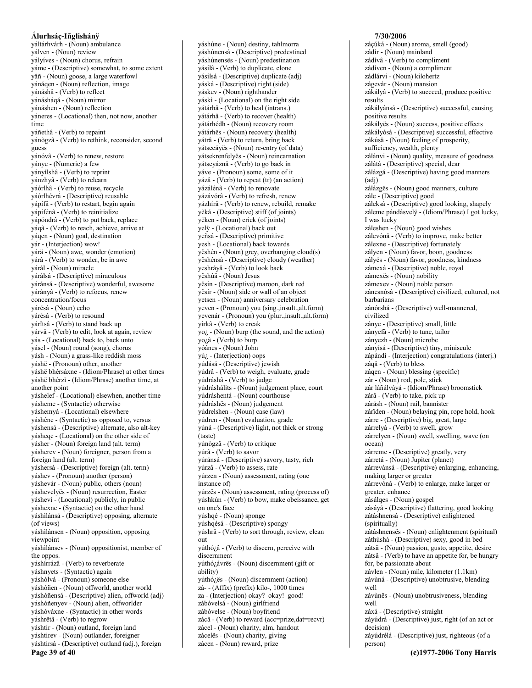váltárhvárh - (Noun) ambulance yálven - (Noun) review yályíves - (Noun) chorus, refrain yáme - (Descriptive) somewhat, to some extent vâñ - (Noun) goose, a large waterfowl vánágen - (Noun) reflection, image vánáshâ - (Verb) to reflect yánásháqá - (Noun) mirror vánáshen - (Noun) reflection váneres - (Locational) then, not now, another time yáñethâ - (Verb) to repaint yánògzâ - (Verb) to rethink, reconsider, second guess vánóvâ - (Verb) to renew, restore ványe - (Numeric) a few yányílshâ - (Verb) to reprint yánzhyâ - (Verb) to relearn yáórlhâ - (Verb) to reuse, recycle yáórlhévrá - (Descriptive) reusable yápífã - (Verb) to restart, begin again yápífénâ - (Verb) to reinitialize vápóndrâ - (Verb) to put back, replace yáqâ - (Verb) to reach, achieve, arrive at yágen - (Noun) goal, destination yár - (Interjection) wow! yárä - (Noun) awe, wonder (emotion) yárâ - (Verb) to wonder, be in awe yárál - (Noun) miracle várálsá - (Descriptive) miraculous yáránsá - (Descriptive) wonderful, awesome yárányâ - (Verb) to refocus, renew concentration/focus várésá - (Noun) echo yárésâ - (Verb) to resound várïtsâ - (Verb) to stand back up yárvâ - (Verb) to edit, look at again, review vás - (Locational) back to, back unto yásel - (Noun) round (song), chorus yásh - (Noun) a grass-like reddish moss yáshë - (Pronoun) other, another váshë bhèrsáxne - (Idiom/Phrase) at other times yáshë bhèrzì - (Idiom/Phrase) another time, at another point yáshelef - (Locational) elsewhen, another time vásheme - (Syntactic) otherwise yáshemyá - (Locational) elsewhere váshéne - (Syntactic) as opposed to, versus yáshensá - (Descriptive) alternate, also alt-key vásheqe - (Locational) on the other side of yásher - (Noun) foreign land (alt. term) yásherev - (Noun) foreigner, person from a foreign land (alt. term) váshersá - (Descriptive) foreign (alt. term) yáshev - (Pronoun) another (person) yáshevár - (Noun) public, others (noun) yáshevelyes - (Noun) resurrection, Easter yáshevì - (Locational) publicly, in public yáshexne - (Syntactic) on the other hand yáshilánsá - (Descriptive) opposing, alternate (of views) yáshilánsen - (Noun) opposition, opposing viewpoint yáshilánsev - (Noun) oppositionist, member of the oppos. yáshírrázâ - (Verb) to reverberate yáshnyets - (Syntactic) again váshólvá - (Pronoun) someone else váshóñen - (Noun) offworld, another world váshóñensá - (Descriptive) alien, offworld (adj) váshóñenyev - (Noun) alien, offworlder yáshóváxne - (Syntactic) in other words yáshrëtâ - (Verb) to regrow yáshtir - (Noun) outland, foreign land yáshtirev - (Noun) outlander, foreigner váshtirsá - (Descriptive) outland (adj.), foreign Page 39 of 40

váshúne - (Noun) destiny, tahlmorra yáshúnensá - (Descriptive) predestined váshúnensës - (Noun) predestination yásílâ - (Verb) to duplicate, clone vásílsá - (Descriptive) duplicate (adj) váská - (Descriptive) right (side) váskev - (Noun) righthander yáskì - (Locational) on the right side yátárhâ - (Verb) to heal (intrans.) vátárhâ - (Verb) to recover (health) vátárhédh - (Noun) recovery room yátárhës - (Noun) recovery (health) yátrâ - (Verb) to return, bring back yátsecáyës - (Noun) re-entry (of data) vátsekrenfelyës - (Noun) reincarnation vátseváznâ - (Verb) to go back in yáve - (Pronoun) some, some of it yázâ - (Verb) to repeat (tr) (an action) vázálénâ - (Verb) to renovate yázávórâ - (Verb) to refresh, renew yázhírâ - (Verb) to renew, rebuild, remake vèká - (Descriptive) stiff (of joints) yèken - (Noun) crick (of joints) vely - (Locational) back out yeñsá - (Descriptive) primitive yesh - (Locational) back towards yëshén - (Noun) grey, overhanging cloud(s) yëshénsá - (Descriptive) cloudy (weather) yeshráyâ - (Verb) to look back yëshúä - (Noun) Jesus vësin - (Descriptive) maroon, dark red yësir - (Noun) side or wall of an object yetsen - (Noun) anniversary celebration yeven - (Pronoun) you (sing., insult., alt. form) yevenár - (Pronoun) you (plur., insult., alt. form) vírkâ - (Verb) to creak  $yo_{\xi}$  - (Noun) burp (the sound, and the action)  $yo_{\lambda} \hat{a}$  - (Verb) to burp yóánes - (Noun) John  $y\acute{u}_i$  - (Interjection) oops yúdásá - (Descriptive) jewish yúdrâ - (Verb) to weigh, evaluate, grade yúdráshâ - (Verb) to judge yúdráshálits - (Noun) judgement place, court yúdráshentá - (Noun) courthouse vúdráshës - (Noun) judgement yúdrelshen - (Noun) case (law) yúdren - (Noun) evaluation, grade yúná - (Descriptive) light, not thick or strong (taste) yúnògzâ - (Verb) to critique yúrâ - (Verb) to savor yúránsá - (Descriptive) savory, tasty, rich yúrzâ - (Verb) to assess, rate yúrzen - (Noun) assessment, rating (one instance of) yúrzës - (Noun) assessment, rating (process of) yúshkùn - (Verb) to bow, make obeissance, get on one's face yúshqé - (Noun) sponge yúshqésá - (Descriptive) spongy yúshrâ - (Verb) to sort through, review, clean  $_{\text{out}}$ yúthó¿â - (Verb) to discern, perceive with discernment yúthó¿ávrës - (Noun) discernment (gift or ability) yúthó¿ës - (Noun) discernment (action) zá- - (Affix) (prefix) kilo-, 1000 times za - (Interjection) okay? okay! good! zábóvelsá - (Noun) girlfriend zábóvelse - (Noun) boyfriend zácâ - (Verb) to reward (acc=prize,dat=recvr) zácel - (Noun) charity, alm, handout zácelës - (Noun) charity, giving

zácen - (Noun) reward, prize

7/30/2006 zácúká - (Noun) aroma, smell (good) zádír - (Noun) mainland zádívâ - (Verb) to compliment zádíven - (Noun) a compliment zádlárvi - (Noun) kilohertz zágevár - (Noun) mansion zákályâ - (Verb) to succeed, produce positive results zákályánsá - (Descriptive) successful, causing positive results zákályës - (Noun) success, positive effects zákályósá - (Descriptive) successful, effective zákúsä - (Noun) feeling of prosperity, sufficiency, wealth, plenty zálánvi - (Noun) quality, measure of goodness zálátá - (Descriptive) special, dear zálázgá - (Descriptive) having good manners  $(adi)$ zálázgës - (Noun) good manners, culture zále - (Descriptive) good záleksá - (Descriptive) good looking, shapely záleme pándásvely - (Idiom/Phrase) I got lucky, I was lucky záleshen - (Noun) good wishes zálevónâ - (Verb) to improve, make better zálexne - (Descriptive) fortunately zályen - (Noun) favor, boon, goodness zályés - (Noun) favor, goodness, kindness zámexá - (Descriptive) noble, royal zámexës - (Noun) nobility zámexev - (Noun) noble person zánesnósá - (Descriptive) civilized, cultured, not barbarians zánórshá - (Descriptive) well-mannered. civilized zánye - (Descriptive) small, little zányefã - (Verb) to tune, tailor zányezh - (Noun) microbe zányísá - (Descriptive) tiny, miniscule zápándî - (Interjection) congratulations (interj.) záqâ - (Verb) to bless záqen - (Noun) blessing (specific) zár - (Noun) rod, pole, stick zár làñálváyá - (Idiom/Phrase) broomstick zárâ - (Verb) to take, pick up zárásh - (Noun) rail, bannister zárïden - (Noun) belaying pin, rope hold, hook zárre - (Descriptive) big, great, large zárrelyâ - (Verb) to swell, grow zárrelyen - (Noun) swell, swelling, wave (on ocean) zárreme - (Descriptive) greatly, very zárretá - (Noun) Jupiter (planet) zárrevánsá - (Descriptive) enlarging, enhancing, making larger or greater zárrevónâ - (Verb) to enlarge, make larger or greater, enhance zásálges - (Noun) gospel zásává - (Descriptive) flattering, good looking zátáshnensá - (Descriptive) enlightened (spiritually) zátáshnensës - (Noun) enlightenment (spiritual) záthùshá - (Descriptive) sexy, good in bed zátsä - (Noun) passion, gusto, appetite, desire zátsâ - (Verb) to have an appetite for, be hungry for, be passionate about závlen - (Noun) mile, kilometer (1.1km) závùná - (Descriptive) unobtrusive, blending well závùnës - (Noun) unobtrusiveness, blending well záxá - (Descriptive) straight záyúdrá - (Descriptive) just, right (of an act or decision) záyúdrélá - (Descriptive) just, righteous (of a person)